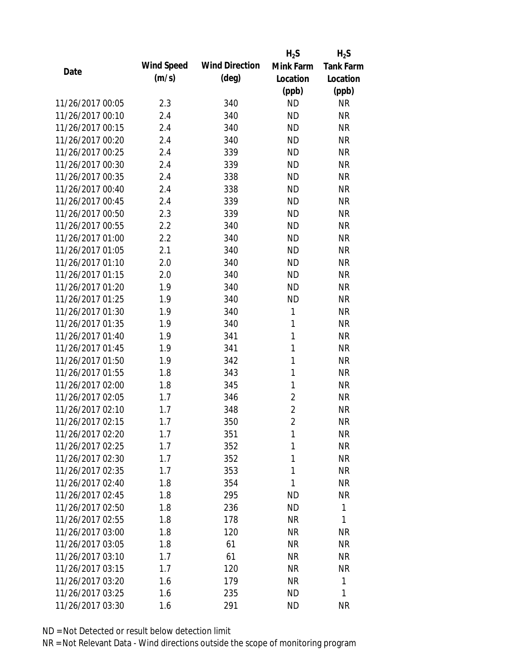|                  |            |                       | $H_2S$         | $H_2S$           |
|------------------|------------|-----------------------|----------------|------------------|
| Date             | Wind Speed | <b>Wind Direction</b> | Mink Farm      | <b>Tank Farm</b> |
|                  | (m/s)      | $(\text{deg})$        | Location       | Location         |
|                  |            |                       | (ppb)          | (ppb)            |
| 11/26/2017 00:05 | 2.3        | 340                   | <b>ND</b>      | <b>NR</b>        |
| 11/26/2017 00:10 | 2.4        | 340                   | <b>ND</b>      | <b>NR</b>        |
| 11/26/2017 00:15 | 2.4        | 340                   | <b>ND</b>      | <b>NR</b>        |
| 11/26/2017 00:20 | 2.4        | 340                   | <b>ND</b>      | <b>NR</b>        |
| 11/26/2017 00:25 | 2.4        | 339                   | <b>ND</b>      | <b>NR</b>        |
| 11/26/2017 00:30 | 2.4        | 339                   | <b>ND</b>      | <b>NR</b>        |
| 11/26/2017 00:35 | 2.4        | 338                   | <b>ND</b>      | <b>NR</b>        |
| 11/26/2017 00:40 | 2.4        | 338                   | <b>ND</b>      | <b>NR</b>        |
| 11/26/2017 00:45 | 2.4        | 339                   | <b>ND</b>      | <b>NR</b>        |
| 11/26/2017 00:50 | 2.3        | 339                   | <b>ND</b>      | <b>NR</b>        |
| 11/26/2017 00:55 | 2.2        | 340                   | <b>ND</b>      | <b>NR</b>        |
| 11/26/2017 01:00 | 2.2        | 340                   | <b>ND</b>      | <b>NR</b>        |
| 11/26/2017 01:05 | 2.1        | 340                   | <b>ND</b>      | <b>NR</b>        |
| 11/26/2017 01:10 | 2.0        | 340                   | <b>ND</b>      | <b>NR</b>        |
| 11/26/2017 01:15 | 2.0        | 340                   | <b>ND</b>      | <b>NR</b>        |
| 11/26/2017 01:20 | 1.9        | 340                   | <b>ND</b>      | <b>NR</b>        |
| 11/26/2017 01:25 | 1.9        | 340                   | <b>ND</b>      | <b>NR</b>        |
| 11/26/2017 01:30 | 1.9        | 340                   | 1              | <b>NR</b>        |
| 11/26/2017 01:35 | 1.9        | 340                   | $\mathbf{1}$   | <b>NR</b>        |
| 11/26/2017 01:40 | 1.9        | 341                   | 1              | <b>NR</b>        |
| 11/26/2017 01:45 | 1.9        | 341                   | 1              | <b>NR</b>        |
| 11/26/2017 01:50 | 1.9        | 342                   | 1              | <b>NR</b>        |
| 11/26/2017 01:55 | 1.8        | 343                   | 1              | <b>NR</b>        |
| 11/26/2017 02:00 | 1.8        | 345                   | $\mathbf{1}$   | <b>NR</b>        |
| 11/26/2017 02:05 | 1.7        | 346                   | $\overline{2}$ | <b>NR</b>        |
| 11/26/2017 02:10 | 1.7        | 348                   | $\overline{2}$ | <b>NR</b>        |
| 11/26/2017 02:15 | 1.7        | 350                   | $\overline{2}$ | <b>NR</b>        |
| 11/26/2017 02:20 | 1.7        | 351                   | 1              | <b>NR</b>        |
| 11/26/2017 02:25 | 1.7        | 352                   | 1              | <b>NR</b>        |
| 11/26/2017 02:30 | 1.7        | 352                   | 1              | <b>NR</b>        |
| 11/26/2017 02:35 | 1.7        | 353                   | 1              | <b>NR</b>        |
| 11/26/2017 02:40 | 1.8        | 354                   | 1              | <b>NR</b>        |
| 11/26/2017 02:45 | 1.8        | 295                   | <b>ND</b>      | <b>NR</b>        |
| 11/26/2017 02:50 | 1.8        | 236                   | <b>ND</b>      | 1                |
| 11/26/2017 02:55 | 1.8        | 178                   | <b>NR</b>      | 1                |
| 11/26/2017 03:00 | 1.8        | 120                   | <b>NR</b>      | <b>NR</b>        |
| 11/26/2017 03:05 | 1.8        | 61                    | NR             | <b>NR</b>        |
| 11/26/2017 03:10 | 1.7        | 61                    | NR             | <b>NR</b>        |
| 11/26/2017 03:15 | 1.7        | 120                   | <b>NR</b>      | <b>NR</b>        |
| 11/26/2017 03:20 | 1.6        | 179                   | <b>NR</b>      | 1                |
| 11/26/2017 03:25 | 1.6        | 235                   | <b>ND</b>      | 1                |
| 11/26/2017 03:30 | 1.6        | 291                   | <b>ND</b>      | <b>NR</b>        |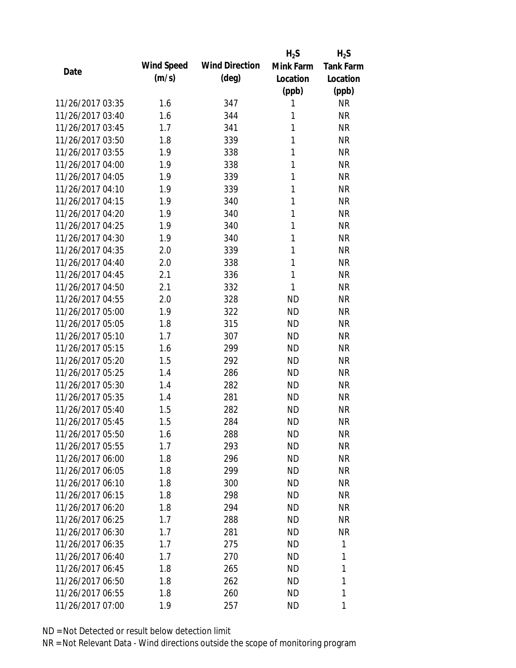|                  |                   |                       | $H_2S$    | $H_2S$           |
|------------------|-------------------|-----------------------|-----------|------------------|
|                  | <b>Wind Speed</b> | <b>Wind Direction</b> | Mink Farm | <b>Tank Farm</b> |
| Date             | (m/s)             | $(\text{deg})$        | Location  | Location         |
|                  |                   |                       | (ppb)     | (ppb)            |
| 11/26/2017 03:35 | 1.6               | 347                   | 1         | <b>NR</b>        |
| 11/26/2017 03:40 | 1.6               | 344                   | 1         | <b>NR</b>        |
| 11/26/2017 03:45 | 1.7               | 341                   | 1         | <b>NR</b>        |
| 11/26/2017 03:50 | 1.8               | 339                   | 1         | <b>NR</b>        |
| 11/26/2017 03:55 | 1.9               | 338                   | 1         | <b>NR</b>        |
| 11/26/2017 04:00 | 1.9               | 338                   | 1         | <b>NR</b>        |
| 11/26/2017 04:05 | 1.9               | 339                   | 1         | <b>NR</b>        |
| 11/26/2017 04:10 | 1.9               | 339                   | 1         | <b>NR</b>        |
| 11/26/2017 04:15 | 1.9               | 340                   | 1         | <b>NR</b>        |
| 11/26/2017 04:20 | 1.9               | 340                   | 1         | <b>NR</b>        |
| 11/26/2017 04:25 | 1.9               | 340                   | 1         | <b>NR</b>        |
| 11/26/2017 04:30 | 1.9               | 340                   | 1         | <b>NR</b>        |
| 11/26/2017 04:35 | 2.0               | 339                   | 1         | <b>NR</b>        |
| 11/26/2017 04:40 | 2.0               | 338                   | 1         | <b>NR</b>        |
| 11/26/2017 04:45 | 2.1               | 336                   | 1         | <b>NR</b>        |
| 11/26/2017 04:50 | 2.1               | 332                   | 1         | <b>NR</b>        |
| 11/26/2017 04:55 | 2.0               | 328                   | <b>ND</b> | <b>NR</b>        |
| 11/26/2017 05:00 | 1.9               | 322                   | <b>ND</b> | <b>NR</b>        |
| 11/26/2017 05:05 | 1.8               | 315                   | <b>ND</b> | <b>NR</b>        |
| 11/26/2017 05:10 | 1.7               | 307                   | <b>ND</b> | <b>NR</b>        |
| 11/26/2017 05:15 | 1.6               | 299                   | <b>ND</b> | <b>NR</b>        |
| 11/26/2017 05:20 | 1.5               | 292                   | <b>ND</b> | <b>NR</b>        |
| 11/26/2017 05:25 | 1.4               | 286                   | <b>ND</b> | <b>NR</b>        |
| 11/26/2017 05:30 | 1.4               | 282                   | <b>ND</b> | <b>NR</b>        |
| 11/26/2017 05:35 | 1.4               | 281                   | <b>ND</b> | <b>NR</b>        |
| 11/26/2017 05:40 | 1.5               | 282                   | <b>ND</b> | <b>NR</b>        |
| 11/26/2017 05:45 | 1.5               | 284                   | <b>ND</b> | <b>NR</b>        |
| 11/26/2017 05:50 | 1.6               | 288                   | ND        | <b>NR</b>        |
| 11/26/2017 05:55 | 1.7               | 293                   | <b>ND</b> | <b>NR</b>        |
| 11/26/2017 06:00 | 1.8               | 296                   | <b>ND</b> | <b>NR</b>        |
| 11/26/2017 06:05 | 1.8               | 299                   | <b>ND</b> | <b>NR</b>        |
| 11/26/2017 06:10 | 1.8               | 300                   | <b>ND</b> | <b>NR</b>        |
| 11/26/2017 06:15 | 1.8               | 298                   | ND        | NR               |
| 11/26/2017 06:20 | 1.8               | 294                   | <b>ND</b> | <b>NR</b>        |
| 11/26/2017 06:25 | 1.7               | 288                   | <b>ND</b> | <b>NR</b>        |
| 11/26/2017 06:30 | 1.7               | 281                   | <b>ND</b> | <b>NR</b>        |
| 11/26/2017 06:35 | 1.7               | 275                   | <b>ND</b> | 1                |
| 11/26/2017 06:40 | 1.7               | 270                   | ND        | 1                |
| 11/26/2017 06:45 | 1.8               | 265                   | <b>ND</b> | 1                |
| 11/26/2017 06:50 | 1.8               | 262                   | ND        | 1                |
| 11/26/2017 06:55 | 1.8               | 260                   | <b>ND</b> | 1                |
| 11/26/2017 07:00 | 1.9               | 257                   | <b>ND</b> | 1                |
|                  |                   |                       |           |                  |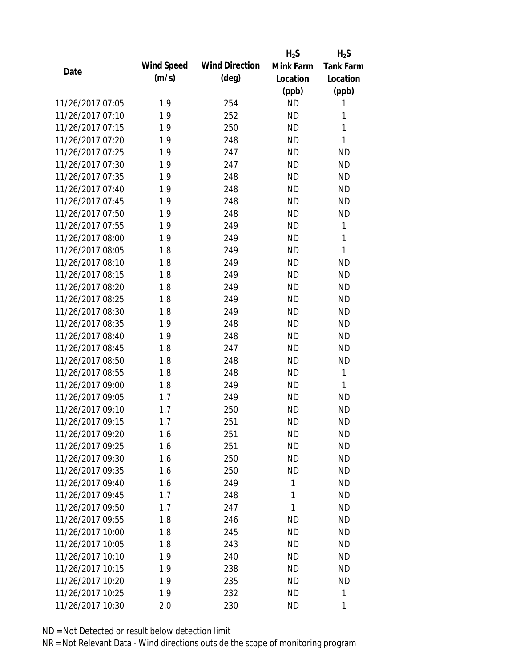|                  |            |                       | $H_2S$    | $H_2S$           |
|------------------|------------|-----------------------|-----------|------------------|
| Date             | Wind Speed | <b>Wind Direction</b> | Mink Farm | <b>Tank Farm</b> |
|                  | (m/s)      | $(\text{deg})$        | Location  | Location         |
|                  |            |                       | (ppb)     | (ppb)            |
| 11/26/2017 07:05 | 1.9        | 254                   | <b>ND</b> | 1                |
| 11/26/2017 07:10 | 1.9        | 252                   | <b>ND</b> | 1                |
| 11/26/2017 07:15 | 1.9        | 250                   | <b>ND</b> | $\mathbf{1}$     |
| 11/26/2017 07:20 | 1.9        | 248                   | <b>ND</b> | 1                |
| 11/26/2017 07:25 | 1.9        | 247                   | <b>ND</b> | <b>ND</b>        |
| 11/26/2017 07:30 | 1.9        | 247                   | <b>ND</b> | <b>ND</b>        |
| 11/26/2017 07:35 | 1.9        | 248                   | <b>ND</b> | <b>ND</b>        |
| 11/26/2017 07:40 | 1.9        | 248                   | <b>ND</b> | <b>ND</b>        |
| 11/26/2017 07:45 | 1.9        | 248                   | <b>ND</b> | <b>ND</b>        |
| 11/26/2017 07:50 | 1.9        | 248                   | <b>ND</b> | <b>ND</b>        |
| 11/26/2017 07:55 | 1.9        | 249                   | <b>ND</b> | 1                |
| 11/26/2017 08:00 | 1.9        | 249                   | <b>ND</b> | $\mathbf{1}$     |
| 11/26/2017 08:05 | 1.8        | 249                   | <b>ND</b> | 1                |
| 11/26/2017 08:10 | 1.8        | 249                   | <b>ND</b> | <b>ND</b>        |
| 11/26/2017 08:15 | 1.8        | 249                   | <b>ND</b> | <b>ND</b>        |
| 11/26/2017 08:20 | 1.8        | 249                   | <b>ND</b> | <b>ND</b>        |
| 11/26/2017 08:25 | 1.8        | 249                   | <b>ND</b> | <b>ND</b>        |
| 11/26/2017 08:30 | 1.8        | 249                   | <b>ND</b> | <b>ND</b>        |
| 11/26/2017 08:35 | 1.9        | 248                   | <b>ND</b> | <b>ND</b>        |
| 11/26/2017 08:40 | 1.9        | 248                   | <b>ND</b> | <b>ND</b>        |
| 11/26/2017 08:45 | 1.8        | 247                   | <b>ND</b> | <b>ND</b>        |
| 11/26/2017 08:50 | 1.8        | 248                   | <b>ND</b> | <b>ND</b>        |
| 11/26/2017 08:55 | 1.8        | 248                   | <b>ND</b> | 1                |
| 11/26/2017 09:00 | 1.8        | 249                   | <b>ND</b> | 1                |
| 11/26/2017 09:05 | 1.7        | 249                   | <b>ND</b> | <b>ND</b>        |
| 11/26/2017 09:10 | 1.7        | 250                   | <b>ND</b> | <b>ND</b>        |
| 11/26/2017 09:15 | 1.7        | 251                   | <b>ND</b> | <b>ND</b>        |
| 11/26/2017 09:20 | 1.6        | 251                   | <b>ND</b> | <b>ND</b>        |
| 11/26/2017 09:25 | 1.6        | 251                   | <b>ND</b> | <b>ND</b>        |
| 11/26/2017 09:30 | 1.6        | 250                   | ND        | <b>ND</b>        |
| 11/26/2017 09:35 | 1.6        | 250                   | <b>ND</b> | <b>ND</b>        |
| 11/26/2017 09:40 | 1.6        | 249                   | 1         | <b>ND</b>        |
| 11/26/2017 09:45 | 1.7        | 248                   | 1         | <b>ND</b>        |
| 11/26/2017 09:50 | 1.7        | 247                   | 1         | <b>ND</b>        |
| 11/26/2017 09:55 | 1.8        | 246                   | <b>ND</b> | <b>ND</b>        |
| 11/26/2017 10:00 | 1.8        | 245                   | <b>ND</b> | <b>ND</b>        |
| 11/26/2017 10:05 | 1.8        | 243                   | ND.       | <b>ND</b>        |
| 11/26/2017 10:10 | 1.9        | 240                   | <b>ND</b> | <b>ND</b>        |
| 11/26/2017 10:15 | 1.9        | 238                   | <b>ND</b> | <b>ND</b>        |
| 11/26/2017 10:20 | 1.9        | 235                   | <b>ND</b> | <b>ND</b>        |
| 11/26/2017 10:25 | 1.9        | 232                   | <b>ND</b> | 1                |
| 11/26/2017 10:30 | 2.0        | 230                   | <b>ND</b> | 1                |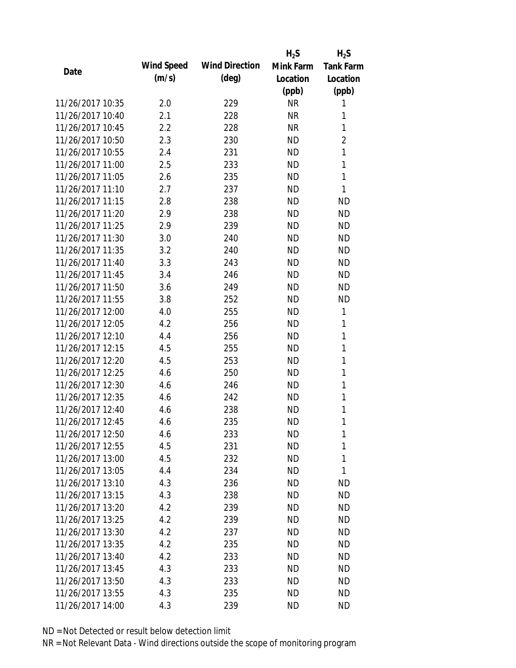|                  |            |                       | $H_2S$    | $H_2S$           |
|------------------|------------|-----------------------|-----------|------------------|
| Date             | Wind Speed | <b>Wind Direction</b> | Mink Farm | <b>Tank Farm</b> |
|                  | (m/s)      | $(\text{deg})$        | Location  | Location         |
|                  |            |                       | (ppb)     | (ppb)            |
| 11/26/2017 10:35 | 2.0        | 229                   | <b>NR</b> | 1                |
| 11/26/2017 10:40 | 2.1        | 228                   | <b>NR</b> | 1                |
| 11/26/2017 10:45 | 2.2        | 228                   | <b>NR</b> | 1                |
| 11/26/2017 10:50 | 2.3        | 230                   | <b>ND</b> | $\overline{2}$   |
| 11/26/2017 10:55 | 2.4        | 231                   | <b>ND</b> | 1                |
| 11/26/2017 11:00 | 2.5        | 233                   | <b>ND</b> | 1                |
| 11/26/2017 11:05 | 2.6        | 235                   | <b>ND</b> | 1                |
| 11/26/2017 11:10 | 2.7        | 237                   | <b>ND</b> | 1                |
| 11/26/2017 11:15 | 2.8        | 238                   | <b>ND</b> | <b>ND</b>        |
| 11/26/2017 11:20 | 2.9        | 238                   | <b>ND</b> | <b>ND</b>        |
| 11/26/2017 11:25 | 2.9        | 239                   | <b>ND</b> | <b>ND</b>        |
| 11/26/2017 11:30 | 3.0        | 240                   | <b>ND</b> | <b>ND</b>        |
| 11/26/2017 11:35 | 3.2        | 240                   | <b>ND</b> | <b>ND</b>        |
| 11/26/2017 11:40 | 3.3        | 243                   | <b>ND</b> | <b>ND</b>        |
| 11/26/2017 11:45 | 3.4        | 246                   | <b>ND</b> | <b>ND</b>        |
| 11/26/2017 11:50 | 3.6        | 249                   | <b>ND</b> | <b>ND</b>        |
| 11/26/2017 11:55 | 3.8        | 252                   | <b>ND</b> | <b>ND</b>        |
| 11/26/2017 12:00 | 4.0        | 255                   | <b>ND</b> | 1                |
| 11/26/2017 12:05 | 4.2        | 256                   | <b>ND</b> | 1                |
| 11/26/2017 12:10 | 4.4        | 256                   | <b>ND</b> | 1                |
| 11/26/2017 12:15 | 4.5        | 255                   | <b>ND</b> | 1                |
| 11/26/2017 12:20 | 4.5        | 253                   | <b>ND</b> | 1                |
| 11/26/2017 12:25 | 4.6        | 250                   | <b>ND</b> | 1                |
| 11/26/2017 12:30 | 4.6        | 246                   | <b>ND</b> | 1                |
| 11/26/2017 12:35 | 4.6        | 242                   | <b>ND</b> | 1                |
| 11/26/2017 12:40 | 4.6        | 238                   | <b>ND</b> | 1                |
| 11/26/2017 12:45 | 4.6        | 235                   | <b>ND</b> | 1                |
| 11/26/2017 12:50 | 4.6        | 233                   | <b>ND</b> | 1                |
| 11/26/2017 12:55 | 4.5        | 231                   | <b>ND</b> | 1                |
| 11/26/2017 13:00 | 4.5        | 232                   | ND        | 1                |
| 11/26/2017 13:05 | 4.4        | 234                   | <b>ND</b> | 1                |
| 11/26/2017 13:10 | 4.3        | 236                   | <b>ND</b> | <b>ND</b>        |
| 11/26/2017 13:15 | 4.3        | 238                   | ND        | <b>ND</b>        |
| 11/26/2017 13:20 | 4.2        | 239                   | <b>ND</b> | <b>ND</b>        |
| 11/26/2017 13:25 | 4.2        | 239                   | ND        | <b>ND</b>        |
| 11/26/2017 13:30 | 4.2        | 237                   | <b>ND</b> | <b>ND</b>        |
| 11/26/2017 13:35 | 4.2        | 235                   | ND.       | <b>ND</b>        |
| 11/26/2017 13:40 | 4.2        | 233                   | ND        | <b>ND</b>        |
| 11/26/2017 13:45 | 4.3        | 233                   | <b>ND</b> | <b>ND</b>        |
| 11/26/2017 13:50 | 4.3        | 233                   | <b>ND</b> | <b>ND</b>        |
| 11/26/2017 13:55 | 4.3        | 235                   | <b>ND</b> | <b>ND</b>        |
| 11/26/2017 14:00 | 4.3        | 239                   | <b>ND</b> | <b>ND</b>        |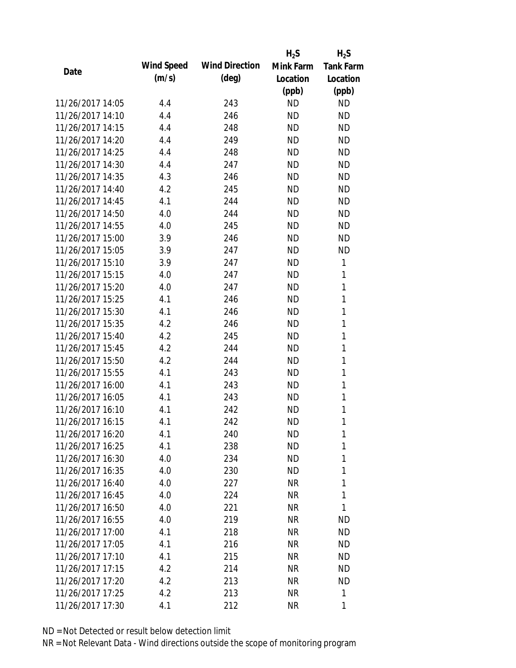|                  |                   |                       | $H_2S$    | $H_2S$           |
|------------------|-------------------|-----------------------|-----------|------------------|
|                  | <b>Wind Speed</b> | <b>Wind Direction</b> | Mink Farm | <b>Tank Farm</b> |
| Date             | (m/s)             | $(\text{deg})$        | Location  | Location         |
|                  |                   |                       | (ppb)     | (ppb)            |
| 11/26/2017 14:05 | 4.4               | 243                   | <b>ND</b> | <b>ND</b>        |
| 11/26/2017 14:10 | 4.4               | 246                   | <b>ND</b> | <b>ND</b>        |
| 11/26/2017 14:15 | 4.4               | 248                   | <b>ND</b> | <b>ND</b>        |
| 11/26/2017 14:20 | 4.4               | 249                   | <b>ND</b> | <b>ND</b>        |
| 11/26/2017 14:25 | 4.4               | 248                   | <b>ND</b> | <b>ND</b>        |
| 11/26/2017 14:30 | 4.4               | 247                   | <b>ND</b> | <b>ND</b>        |
| 11/26/2017 14:35 | 4.3               | 246                   | <b>ND</b> | <b>ND</b>        |
| 11/26/2017 14:40 | 4.2               | 245                   | <b>ND</b> | <b>ND</b>        |
| 11/26/2017 14:45 | 4.1               | 244                   | <b>ND</b> | <b>ND</b>        |
| 11/26/2017 14:50 | 4.0               | 244                   | <b>ND</b> | <b>ND</b>        |
| 11/26/2017 14:55 | 4.0               | 245                   | <b>ND</b> | <b>ND</b>        |
| 11/26/2017 15:00 | 3.9               | 246                   | <b>ND</b> | <b>ND</b>        |
| 11/26/2017 15:05 | 3.9               | 247                   | <b>ND</b> | <b>ND</b>        |
| 11/26/2017 15:10 | 3.9               | 247                   | <b>ND</b> | 1                |
| 11/26/2017 15:15 | 4.0               | 247                   | <b>ND</b> | 1                |
| 11/26/2017 15:20 | 4.0               | 247                   | <b>ND</b> | 1                |
| 11/26/2017 15:25 | 4.1               | 246                   | <b>ND</b> | 1                |
| 11/26/2017 15:30 | 4.1               | 246                   | <b>ND</b> | 1                |
| 11/26/2017 15:35 | 4.2               | 246                   | <b>ND</b> | $\mathbf{1}$     |
| 11/26/2017 15:40 | 4.2               | 245                   | <b>ND</b> | 1                |
| 11/26/2017 15:45 | 4.2               | 244                   | <b>ND</b> | 1                |
| 11/26/2017 15:50 | 4.2               | 244                   | <b>ND</b> | 1                |
| 11/26/2017 15:55 | 4.1               | 243                   | <b>ND</b> | 1                |
| 11/26/2017 16:00 | 4.1               | 243                   | <b>ND</b> | 1                |
| 11/26/2017 16:05 | 4.1               | 243                   | <b>ND</b> | 1                |
| 11/26/2017 16:10 | 4.1               | 242                   | <b>ND</b> | 1                |
| 11/26/2017 16:15 | 4.1               | 242                   | <b>ND</b> | 1                |
| 11/26/2017 16:20 | 4.1               | 240                   | ND        | 1                |
| 11/26/2017 16:25 | 4.1               | 238                   | <b>ND</b> | 1                |
| 11/26/2017 16:30 | 4.0               | 234                   | <b>ND</b> | 1                |
| 11/26/2017 16:35 | 4.0               | 230                   | ND        | 1                |
| 11/26/2017 16:40 | 4.0               | 227                   | NR        | 1                |
| 11/26/2017 16:45 | 4.0               | 224                   | NR        | 1                |
| 11/26/2017 16:50 | 4.0               | 221                   | <b>NR</b> | 1                |
| 11/26/2017 16:55 | 4.0               | 219                   | NR        | <b>ND</b>        |
| 11/26/2017 17:00 | 4.1               | 218                   | <b>NR</b> | <b>ND</b>        |
| 11/26/2017 17:05 | 4.1               | 216                   | NR        | ND               |
| 11/26/2017 17:10 | 4.1               | 215                   | NR        | ND               |
| 11/26/2017 17:15 | 4.2               | 214                   | NR        | <b>ND</b>        |
| 11/26/2017 17:20 | 4.2               | 213                   | NR        | <b>ND</b>        |
| 11/26/2017 17:25 | 4.2               | 213                   | <b>NR</b> | 1                |
| 11/26/2017 17:30 | 4.1               | 212                   | <b>NR</b> | 1                |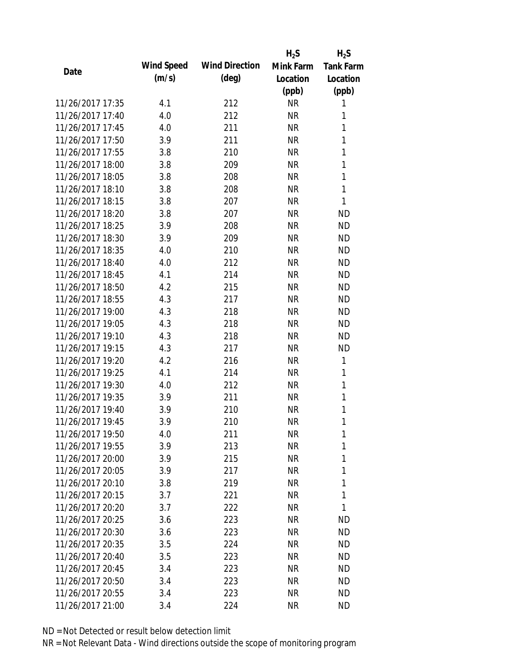|                  |            |                       | $H_2S$    | $H_2S$           |
|------------------|------------|-----------------------|-----------|------------------|
| Date             | Wind Speed | <b>Wind Direction</b> | Mink Farm | <b>Tank Farm</b> |
|                  | (m/s)      | $(\text{deg})$        | Location  | Location         |
|                  |            |                       | (ppb)     | (ppb)            |
| 11/26/2017 17:35 | 4.1        | 212                   | <b>NR</b> | 1                |
| 11/26/2017 17:40 | 4.0        | 212                   | <b>NR</b> | 1                |
| 11/26/2017 17:45 | 4.0        | 211                   | <b>NR</b> | 1                |
| 11/26/2017 17:50 | 3.9        | 211                   | <b>NR</b> | 1                |
| 11/26/2017 17:55 | 3.8        | 210                   | <b>NR</b> | 1                |
| 11/26/2017 18:00 | 3.8        | 209                   | <b>NR</b> | 1                |
| 11/26/2017 18:05 | 3.8        | 208                   | <b>NR</b> | 1                |
| 11/26/2017 18:10 | 3.8        | 208                   | <b>NR</b> | $\mathbf{1}$     |
| 11/26/2017 18:15 | 3.8        | 207                   | <b>NR</b> | 1                |
| 11/26/2017 18:20 | 3.8        | 207                   | <b>NR</b> | <b>ND</b>        |
| 11/26/2017 18:25 | 3.9        | 208                   | <b>NR</b> | <b>ND</b>        |
| 11/26/2017 18:30 | 3.9        | 209                   | <b>NR</b> | <b>ND</b>        |
| 11/26/2017 18:35 | 4.0        | 210                   | <b>NR</b> | <b>ND</b>        |
| 11/26/2017 18:40 | 4.0        | 212                   | <b>NR</b> | <b>ND</b>        |
| 11/26/2017 18:45 | 4.1        | 214                   | <b>NR</b> | <b>ND</b>        |
| 11/26/2017 18:50 | 4.2        | 215                   | <b>NR</b> | <b>ND</b>        |
| 11/26/2017 18:55 | 4.3        | 217                   | <b>NR</b> | <b>ND</b>        |
| 11/26/2017 19:00 | 4.3        | 218                   | <b>NR</b> | <b>ND</b>        |
| 11/26/2017 19:05 | 4.3        | 218                   | <b>NR</b> | <b>ND</b>        |
| 11/26/2017 19:10 | 4.3        | 218                   | <b>NR</b> | <b>ND</b>        |
| 11/26/2017 19:15 | 4.3        | 217                   | <b>NR</b> | <b>ND</b>        |
| 11/26/2017 19:20 | 4.2        | 216                   | <b>NR</b> | 1                |
| 11/26/2017 19:25 | 4.1        | 214                   | <b>NR</b> | 1                |
| 11/26/2017 19:30 | 4.0        | 212                   | <b>NR</b> | 1                |
| 11/26/2017 19:35 | 3.9        | 211                   | <b>NR</b> | 1                |
| 11/26/2017 19:40 | 3.9        | 210                   | <b>NR</b> | 1                |
| 11/26/2017 19:45 | 3.9        | 210                   | <b>NR</b> | 1                |
| 11/26/2017 19:50 | 4.0        | 211                   | NR        | 1                |
| 11/26/2017 19:55 | 3.9        | 213                   | <b>NR</b> | 1                |
| 11/26/2017 20:00 | 3.9        | 215                   | NR        | 1                |
| 11/26/2017 20:05 | 3.9        | 217                   | NR        | 1                |
| 11/26/2017 20:10 | 3.8        | 219                   | <b>NR</b> | 1                |
| 11/26/2017 20:15 | 3.7        | 221                   | NR        | 1                |
| 11/26/2017 20:20 | 3.7        | 222                   | <b>NR</b> | 1                |
| 11/26/2017 20:25 | 3.6        | 223                   | <b>NR</b> | <b>ND</b>        |
| 11/26/2017 20:30 | 3.6        | 223                   | NR        | <b>ND</b>        |
| 11/26/2017 20:35 | 3.5        | 224                   | NR        | <b>ND</b>        |
| 11/26/2017 20:40 | 3.5        | 223                   | NR        | <b>ND</b>        |
| 11/26/2017 20:45 | 3.4        | 223                   | <b>NR</b> | <b>ND</b>        |
| 11/26/2017 20:50 | 3.4        | 223                   | <b>NR</b> | <b>ND</b>        |
| 11/26/2017 20:55 | 3.4        | 223                   | <b>NR</b> | <b>ND</b>        |
|                  |            |                       | <b>NR</b> | <b>ND</b>        |
| 11/26/2017 21:00 | 3.4        | 224                   |           |                  |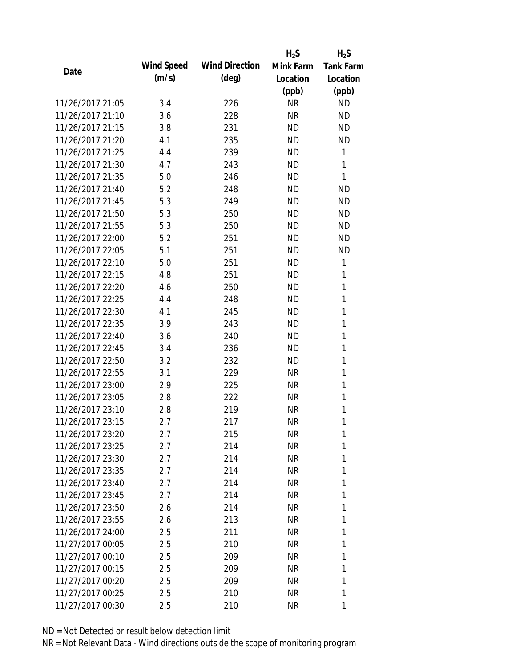|                  |                   |                       | $H_2S$    | $H_2S$           |
|------------------|-------------------|-----------------------|-----------|------------------|
|                  | <b>Wind Speed</b> | <b>Wind Direction</b> | Mink Farm | <b>Tank Farm</b> |
| Date             | (m/s)             | $(\text{deg})$        | Location  | Location         |
|                  |                   |                       | (ppb)     | (ppb)            |
| 11/26/2017 21:05 | 3.4               | 226                   | <b>NR</b> | <b>ND</b>        |
| 11/26/2017 21:10 | 3.6               | 228                   | <b>NR</b> | <b>ND</b>        |
| 11/26/2017 21:15 | 3.8               | 231                   | <b>ND</b> | <b>ND</b>        |
| 11/26/2017 21:20 | 4.1               | 235                   | <b>ND</b> | <b>ND</b>        |
| 11/26/2017 21:25 | 4.4               | 239                   | <b>ND</b> | 1                |
| 11/26/2017 21:30 | 4.7               | 243                   | <b>ND</b> | 1                |
| 11/26/2017 21:35 | 5.0               | 246                   | <b>ND</b> | 1                |
| 11/26/2017 21:40 | 5.2               | 248                   | <b>ND</b> | <b>ND</b>        |
| 11/26/2017 21:45 | 5.3               | 249                   | <b>ND</b> | <b>ND</b>        |
| 11/26/2017 21:50 | 5.3               | 250                   | <b>ND</b> | <b>ND</b>        |
| 11/26/2017 21:55 | 5.3               | 250                   | <b>ND</b> | <b>ND</b>        |
| 11/26/2017 22:00 | 5.2               | 251                   | <b>ND</b> | <b>ND</b>        |
| 11/26/2017 22:05 | 5.1               | 251                   | <b>ND</b> | <b>ND</b>        |
| 11/26/2017 22:10 | 5.0               | 251                   | <b>ND</b> | 1                |
| 11/26/2017 22:15 | 4.8               | 251                   | <b>ND</b> | 1                |
| 11/26/2017 22:20 | 4.6               | 250                   | <b>ND</b> | 1                |
| 11/26/2017 22:25 | 4.4               | 248                   | <b>ND</b> | 1                |
| 11/26/2017 22:30 | 4.1               | 245                   | <b>ND</b> | 1                |
| 11/26/2017 22:35 | 3.9               | 243                   | <b>ND</b> | 1                |
| 11/26/2017 22:40 | 3.6               | 240                   | <b>ND</b> | 1                |
| 11/26/2017 22:45 | 3.4               | 236                   | <b>ND</b> | 1                |
| 11/26/2017 22:50 | 3.2               | 232                   | <b>ND</b> | 1                |
| 11/26/2017 22:55 | 3.1               | 229                   | <b>NR</b> | 1                |
| 11/26/2017 23:00 | 2.9               | 225                   | <b>NR</b> | 1                |
| 11/26/2017 23:05 | 2.8               | 222                   | <b>NR</b> | 1                |
| 11/26/2017 23:10 | 2.8               | 219                   | <b>NR</b> | 1                |
| 11/26/2017 23:15 | 2.7               | 217                   | <b>NR</b> | 1                |
| 11/26/2017 23:20 | 2.7               | 215                   | NR        | 1                |
| 11/26/2017 23:25 | 2.7               | 214                   | <b>NR</b> | 1                |
| 11/26/2017 23:30 | 2.7               | 214                   | NR        | 1                |
| 11/26/2017 23:35 | 2.7               | 214                   | NR        | 1                |
| 11/26/2017 23:40 | 2.7               | 214                   | NR        | 1                |
| 11/26/2017 23:45 | 2.7               | 214                   | NR        | 1                |
| 11/26/2017 23:50 | 2.6               | 214                   | <b>NR</b> | 1                |
| 11/26/2017 23:55 | 2.6               | 213                   | NR        | 1                |
| 11/26/2017 24:00 | 2.5               | 211                   | NR        | 1                |
| 11/27/2017 00:05 | 2.5               | 210                   | NR        | 1                |
| 11/27/2017 00:10 | 2.5               | 209                   | NR        | 1                |
| 11/27/2017 00:15 | 2.5               | 209                   | NR        | 1                |
| 11/27/2017 00:20 | 2.5               | 209                   | NR        | 1                |
| 11/27/2017 00:25 | 2.5               | 210                   | <b>NR</b> | 1                |
| 11/27/2017 00:30 | 2.5               | 210                   | NR        | 1                |
|                  |                   |                       |           |                  |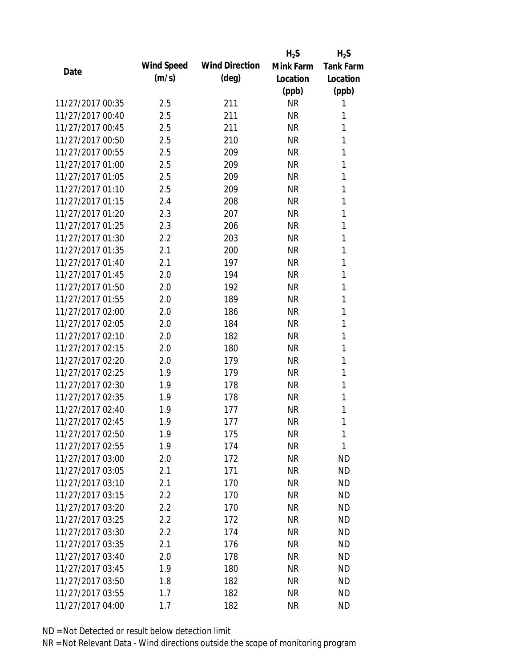|                  |            |                       | $H_2S$    | $H_2S$           |
|------------------|------------|-----------------------|-----------|------------------|
| Date             | Wind Speed | <b>Wind Direction</b> | Mink Farm | <b>Tank Farm</b> |
|                  | (m/s)      | $(\text{deg})$        | Location  | Location         |
|                  |            |                       | (ppb)     | (ppb)            |
| 11/27/2017 00:35 | 2.5        | 211                   | <b>NR</b> | 1                |
| 11/27/2017 00:40 | 2.5        | 211                   | <b>NR</b> | 1                |
| 11/27/2017 00:45 | 2.5        | 211                   | <b>NR</b> | 1                |
| 11/27/2017 00:50 | 2.5        | 210                   | <b>NR</b> | 1                |
| 11/27/2017 00:55 | 2.5        | 209                   | <b>NR</b> | 1                |
| 11/27/2017 01:00 | 2.5        | 209                   | <b>NR</b> | 1                |
| 11/27/2017 01:05 | 2.5        | 209                   | <b>NR</b> | 1                |
| 11/27/2017 01:10 | 2.5        | 209                   | <b>NR</b> | 1                |
| 11/27/2017 01:15 | 2.4        | 208                   | <b>NR</b> | 1                |
| 11/27/2017 01:20 | 2.3        | 207                   | <b>NR</b> | 1                |
| 11/27/2017 01:25 | 2.3        | 206                   | <b>NR</b> | 1                |
| 11/27/2017 01:30 | 2.2        | 203                   | <b>NR</b> | 1                |
| 11/27/2017 01:35 | 2.1        | 200                   | <b>NR</b> | 1                |
| 11/27/2017 01:40 | 2.1        | 197                   | <b>NR</b> | 1                |
| 11/27/2017 01:45 | 2.0        | 194                   | <b>NR</b> | 1                |
| 11/27/2017 01:50 | 2.0        | 192                   | <b>NR</b> | 1                |
| 11/27/2017 01:55 | 2.0        | 189                   | <b>NR</b> | 1                |
| 11/27/2017 02:00 | 2.0        | 186                   | <b>NR</b> | 1                |
| 11/27/2017 02:05 | 2.0        | 184                   | <b>NR</b> | 1                |
| 11/27/2017 02:10 | 2.0        | 182                   | <b>NR</b> | 1                |
| 11/27/2017 02:15 | 2.0        | 180                   | <b>NR</b> | 1                |
| 11/27/2017 02:20 | 2.0        | 179                   | <b>NR</b> | 1                |
| 11/27/2017 02:25 | 1.9        | 179                   | <b>NR</b> | 1                |
| 11/27/2017 02:30 | 1.9        | 178                   | <b>NR</b> | 1                |
| 11/27/2017 02:35 | 1.9        | 178                   | <b>NR</b> | 1                |
| 11/27/2017 02:40 | 1.9        | 177                   | <b>NR</b> | 1                |
| 11/27/2017 02:45 | 1.9        | 177                   | <b>NR</b> | 1                |
| 11/27/2017 02:50 | 1.9        | 175                   | <b>NR</b> | 1                |
| 11/27/2017 02:55 | 1.9        | 174                   | <b>NR</b> | 1                |
| 11/27/2017 03:00 | 2.0        | 172                   | <b>NR</b> | <b>ND</b>        |
| 11/27/2017 03:05 | 2.1        | 171                   | <b>NR</b> | <b>ND</b>        |
| 11/27/2017 03:10 | 2.1        | 170                   | <b>NR</b> | <b>ND</b>        |
| 11/27/2017 03:15 | 2.2        | 170                   | <b>NR</b> | <b>ND</b>        |
| 11/27/2017 03:20 | 2.2        | 170                   | <b>NR</b> | <b>ND</b>        |
| 11/27/2017 03:25 | 2.2        | 172                   | <b>NR</b> | <b>ND</b>        |
| 11/27/2017 03:30 | 2.2        | 174                   | <b>NR</b> | <b>ND</b>        |
| 11/27/2017 03:35 | 2.1        | 176                   | <b>NR</b> | <b>ND</b>        |
| 11/27/2017 03:40 | 2.0        | 178                   | <b>NR</b> | <b>ND</b>        |
| 11/27/2017 03:45 | 1.9        | 180                   | <b>NR</b> | <b>ND</b>        |
| 11/27/2017 03:50 | 1.8        | 182                   | <b>NR</b> | <b>ND</b>        |
| 11/27/2017 03:55 | 1.7        | 182                   | <b>NR</b> | <b>ND</b>        |
| 11/27/2017 04:00 | 1.7        | 182                   | <b>NR</b> | <b>ND</b>        |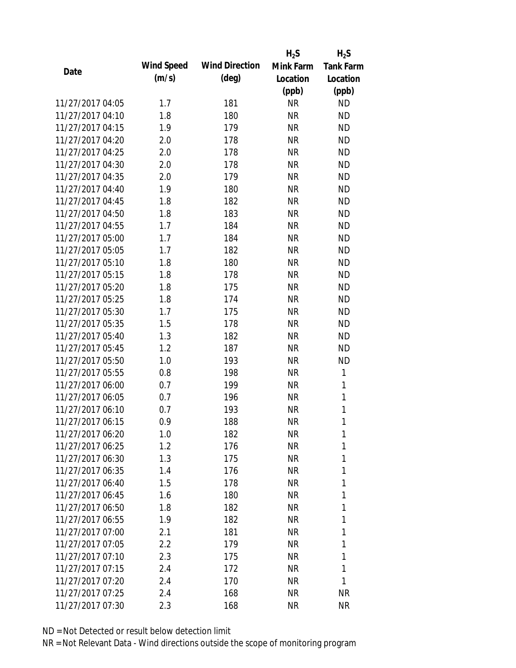|                  |            |                       | $H_2S$    | $H_2S$           |
|------------------|------------|-----------------------|-----------|------------------|
| Date             | Wind Speed | <b>Wind Direction</b> | Mink Farm | <b>Tank Farm</b> |
|                  | (m/s)      | $(\text{deg})$        | Location  | Location         |
|                  |            |                       | (ppb)     | (ppb)            |
| 11/27/2017 04:05 | 1.7        | 181                   | <b>NR</b> | <b>ND</b>        |
| 11/27/2017 04:10 | 1.8        | 180                   | <b>NR</b> | <b>ND</b>        |
| 11/27/2017 04:15 | 1.9        | 179                   | <b>NR</b> | <b>ND</b>        |
| 11/27/2017 04:20 | 2.0        | 178                   | <b>NR</b> | <b>ND</b>        |
| 11/27/2017 04:25 | 2.0        | 178                   | <b>NR</b> | <b>ND</b>        |
| 11/27/2017 04:30 | 2.0        | 178                   | <b>NR</b> | <b>ND</b>        |
| 11/27/2017 04:35 | 2.0        | 179                   | <b>NR</b> | <b>ND</b>        |
| 11/27/2017 04:40 | 1.9        | 180                   | <b>NR</b> | <b>ND</b>        |
| 11/27/2017 04:45 | 1.8        | 182                   | <b>NR</b> | <b>ND</b>        |
| 11/27/2017 04:50 | 1.8        | 183                   | <b>NR</b> | <b>ND</b>        |
| 11/27/2017 04:55 | 1.7        | 184                   | <b>NR</b> | <b>ND</b>        |
| 11/27/2017 05:00 | 1.7        | 184                   | <b>NR</b> | <b>ND</b>        |
| 11/27/2017 05:05 | 1.7        | 182                   | <b>NR</b> | <b>ND</b>        |
| 11/27/2017 05:10 | 1.8        | 180                   | <b>NR</b> | <b>ND</b>        |
| 11/27/2017 05:15 | 1.8        | 178                   | <b>NR</b> | <b>ND</b>        |
| 11/27/2017 05:20 | 1.8        | 175                   | <b>NR</b> | <b>ND</b>        |
| 11/27/2017 05:25 | 1.8        | 174                   | <b>NR</b> | <b>ND</b>        |
| 11/27/2017 05:30 | 1.7        | 175                   | <b>NR</b> | <b>ND</b>        |
| 11/27/2017 05:35 | 1.5        | 178                   | <b>NR</b> | <b>ND</b>        |
| 11/27/2017 05:40 | 1.3        | 182                   | <b>NR</b> | <b>ND</b>        |
| 11/27/2017 05:45 | 1.2        | 187                   | <b>NR</b> | <b>ND</b>        |
| 11/27/2017 05:50 | 1.0        | 193                   | <b>NR</b> | <b>ND</b>        |
| 11/27/2017 05:55 | 0.8        | 198                   | <b>NR</b> | 1                |
| 11/27/2017 06:00 | 0.7        | 199                   | <b>NR</b> | $\mathbf{1}$     |
| 11/27/2017 06:05 | 0.7        | 196                   | <b>NR</b> | 1                |
| 11/27/2017 06:10 | 0.7        | 193                   | <b>NR</b> | $\mathbf{1}$     |
| 11/27/2017 06:15 | 0.9        | 188                   | <b>NR</b> | 1                |
| 11/27/2017 06:20 | 1.0        | 182                   | <b>NR</b> | 1                |
| 11/27/2017 06:25 | 1.2        | 176                   | <b>NR</b> | 1                |
| 11/27/2017 06:30 | 1.3        | 175                   | NR        | 1                |
| 11/27/2017 06:35 | 1.4        | 176                   | NR        | 1                |
| 11/27/2017 06:40 | 1.5        | 178                   | <b>NR</b> | 1                |
| 11/27/2017 06:45 | 1.6        | 180                   | <b>NR</b> | 1                |
| 11/27/2017 06:50 | 1.8        | 182                   | <b>NR</b> | 1                |
| 11/27/2017 06:55 | 1.9        | 182                   | NR        | 1                |
| 11/27/2017 07:00 | 2.1        | 181                   | NR        | 1                |
| 11/27/2017 07:05 | 2.2        | 179                   | NR        | 1                |
| 11/27/2017 07:10 | 2.3        | 175                   | NR        | 1                |
| 11/27/2017 07:15 | 2.4        | 172                   | <b>NR</b> | 1                |
| 11/27/2017 07:20 | 2.4        | 170                   | <b>NR</b> | 1                |
| 11/27/2017 07:25 | 2.4        | 168                   | <b>NR</b> | <b>NR</b>        |
| 11/27/2017 07:30 | 2.3        | 168                   | <b>NR</b> | <b>NR</b>        |
|                  |            |                       |           |                  |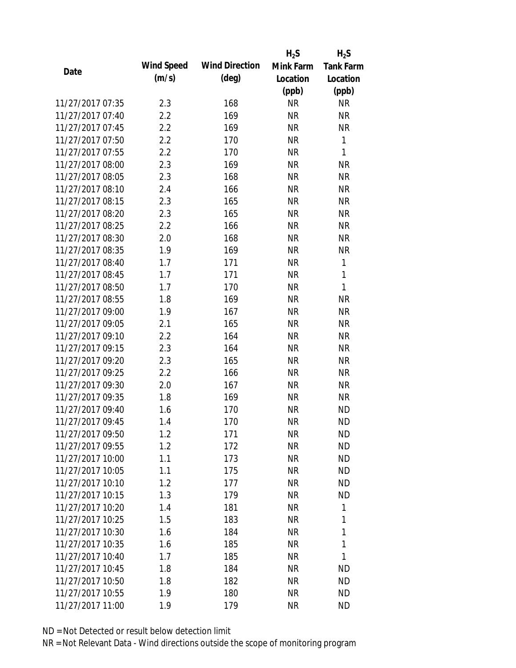|                  |            |                       | $H_2S$    | $H_2S$           |
|------------------|------------|-----------------------|-----------|------------------|
| Date             | Wind Speed | <b>Wind Direction</b> | Mink Farm | <b>Tank Farm</b> |
|                  | (m/s)      | $(\text{deg})$        | Location  | Location         |
|                  |            |                       | (ppb)     | (ppb)            |
| 11/27/2017 07:35 | 2.3        | 168                   | <b>NR</b> | <b>NR</b>        |
| 11/27/2017 07:40 | 2.2        | 169                   | <b>NR</b> | <b>NR</b>        |
| 11/27/2017 07:45 | 2.2        | 169                   | <b>NR</b> | <b>NR</b>        |
| 11/27/2017 07:50 | 2.2        | 170                   | <b>NR</b> | 1                |
| 11/27/2017 07:55 | 2.2        | 170                   | <b>NR</b> | 1                |
| 11/27/2017 08:00 | 2.3        | 169                   | <b>NR</b> | <b>NR</b>        |
| 11/27/2017 08:05 | 2.3        | 168                   | <b>NR</b> | <b>NR</b>        |
| 11/27/2017 08:10 | 2.4        | 166                   | <b>NR</b> | <b>NR</b>        |
| 11/27/2017 08:15 | 2.3        | 165                   | <b>NR</b> | <b>NR</b>        |
| 11/27/2017 08:20 | 2.3        | 165                   | <b>NR</b> | <b>NR</b>        |
| 11/27/2017 08:25 | 2.2        | 166                   | <b>NR</b> | <b>NR</b>        |
| 11/27/2017 08:30 | 2.0        | 168                   | <b>NR</b> | <b>NR</b>        |
| 11/27/2017 08:35 | 1.9        | 169                   | <b>NR</b> | <b>NR</b>        |
| 11/27/2017 08:40 | 1.7        | 171                   | <b>NR</b> | 1                |
| 11/27/2017 08:45 | 1.7        | 171                   | <b>NR</b> | 1                |
| 11/27/2017 08:50 | 1.7        | 170                   | <b>NR</b> | 1                |
| 11/27/2017 08:55 | 1.8        | 169                   | <b>NR</b> | <b>NR</b>        |
| 11/27/2017 09:00 | 1.9        | 167                   | <b>NR</b> | <b>NR</b>        |
| 11/27/2017 09:05 | 2.1        | 165                   | <b>NR</b> | <b>NR</b>        |
| 11/27/2017 09:10 | 2.2        | 164                   | <b>NR</b> | <b>NR</b>        |
| 11/27/2017 09:15 | 2.3        | 164                   | <b>NR</b> | <b>NR</b>        |
| 11/27/2017 09:20 | 2.3        | 165                   | <b>NR</b> | <b>NR</b>        |
| 11/27/2017 09:25 | 2.2        | 166                   | <b>NR</b> | <b>NR</b>        |
| 11/27/2017 09:30 | 2.0        | 167                   | <b>NR</b> | <b>NR</b>        |
| 11/27/2017 09:35 | 1.8        | 169                   | <b>NR</b> | <b>NR</b>        |
| 11/27/2017 09:40 | 1.6        | 170                   | <b>NR</b> | <b>ND</b>        |
| 11/27/2017 09:45 | 1.4        | 170                   | <b>NR</b> | <b>ND</b>        |
| 11/27/2017 09:50 | 1.2        | 171                   | <b>NR</b> | <b>ND</b>        |
| 11/27/2017 09:55 | 1.2        | 172                   | <b>NR</b> | <b>ND</b>        |
| 11/27/2017 10:00 | 1.1        | 173                   | <b>NR</b> | <b>ND</b>        |
| 11/27/2017 10:05 | 1.1        | 175                   | <b>NR</b> | <b>ND</b>        |
| 11/27/2017 10:10 | 1.2        | 177                   | <b>NR</b> | <b>ND</b>        |
| 11/27/2017 10:15 | 1.3        | 179                   | <b>NR</b> | <b>ND</b>        |
| 11/27/2017 10:20 | 1.4        | 181                   | <b>NR</b> | 1                |
| 11/27/2017 10:25 | 1.5        | 183                   | <b>NR</b> | 1                |
| 11/27/2017 10:30 | 1.6        | 184                   | <b>NR</b> | 1                |
| 11/27/2017 10:35 | 1.6        | 185                   | NR        | 1                |
| 11/27/2017 10:40 | 1.7        | 185                   | NR        | 1                |
| 11/27/2017 10:45 | 1.8        | 184                   | <b>NR</b> | <b>ND</b>        |
| 11/27/2017 10:50 | 1.8        | 182                   | <b>NR</b> | <b>ND</b>        |
| 11/27/2017 10:55 | 1.9        | 180                   | <b>NR</b> | <b>ND</b>        |
| 11/27/2017 11:00 | 1.9        | 179                   | <b>NR</b> | <b>ND</b>        |
|                  |            |                       |           |                  |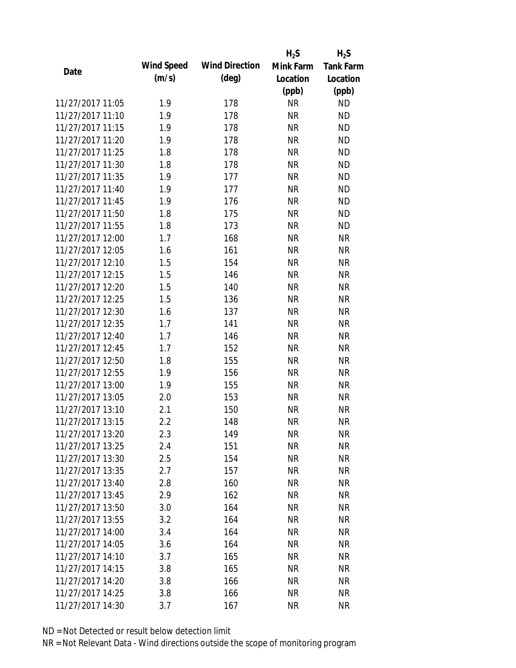|                  |            |                       | $H_2S$    | $H_2S$           |
|------------------|------------|-----------------------|-----------|------------------|
| Date             | Wind Speed | <b>Wind Direction</b> | Mink Farm | <b>Tank Farm</b> |
|                  | (m/s)      | $(\text{deg})$        | Location  | Location         |
|                  |            |                       | (ppb)     | (ppb)            |
| 11/27/2017 11:05 | 1.9        | 178                   | <b>NR</b> | <b>ND</b>        |
| 11/27/2017 11:10 | 1.9        | 178                   | <b>NR</b> | <b>ND</b>        |
| 11/27/2017 11:15 | 1.9        | 178                   | <b>NR</b> | <b>ND</b>        |
| 11/27/2017 11:20 | 1.9        | 178                   | <b>NR</b> | <b>ND</b>        |
| 11/27/2017 11:25 | 1.8        | 178                   | <b>NR</b> | <b>ND</b>        |
| 11/27/2017 11:30 | 1.8        | 178                   | <b>NR</b> | <b>ND</b>        |
| 11/27/2017 11:35 | 1.9        | 177                   | <b>NR</b> | <b>ND</b>        |
| 11/27/2017 11:40 | 1.9        | 177                   | <b>NR</b> | <b>ND</b>        |
| 11/27/2017 11:45 | 1.9        | 176                   | <b>NR</b> | <b>ND</b>        |
| 11/27/2017 11:50 | 1.8        | 175                   | <b>NR</b> | <b>ND</b>        |
| 11/27/2017 11:55 | 1.8        | 173                   | <b>NR</b> | <b>ND</b>        |
| 11/27/2017 12:00 | 1.7        | 168                   | <b>NR</b> | <b>NR</b>        |
| 11/27/2017 12:05 | 1.6        | 161                   | <b>NR</b> | <b>NR</b>        |
| 11/27/2017 12:10 | 1.5        | 154                   | <b>NR</b> | <b>NR</b>        |
| 11/27/2017 12:15 | 1.5        | 146                   | <b>NR</b> | <b>NR</b>        |
| 11/27/2017 12:20 | 1.5        | 140                   | <b>NR</b> | <b>NR</b>        |
| 11/27/2017 12:25 | 1.5        | 136                   | <b>NR</b> | <b>NR</b>        |
| 11/27/2017 12:30 | 1.6        | 137                   | <b>NR</b> | <b>NR</b>        |
| 11/27/2017 12:35 | 1.7        | 141                   | <b>NR</b> | <b>NR</b>        |
| 11/27/2017 12:40 | 1.7        | 146                   | <b>NR</b> | <b>NR</b>        |
| 11/27/2017 12:45 | 1.7        | 152                   | <b>NR</b> | <b>NR</b>        |
| 11/27/2017 12:50 | 1.8        | 155                   | <b>NR</b> | <b>NR</b>        |
| 11/27/2017 12:55 | 1.9        | 156                   | <b>NR</b> | <b>NR</b>        |
| 11/27/2017 13:00 | 1.9        | 155                   | <b>NR</b> | <b>NR</b>        |
| 11/27/2017 13:05 | 2.0        | 153                   | <b>NR</b> | <b>NR</b>        |
| 11/27/2017 13:10 | 2.1        | 150                   | <b>NR</b> | <b>NR</b>        |
| 11/27/2017 13:15 | 2.2        | 148                   | <b>NR</b> | <b>NR</b>        |
| 11/27/2017 13:20 | 2.3        | 149                   | <b>NR</b> | <b>NR</b>        |
| 11/27/2017 13:25 | 2.4        | 151                   | <b>NR</b> | <b>NR</b>        |
| 11/27/2017 13:30 | 2.5        | 154                   | NR        | <b>NR</b>        |
| 11/27/2017 13:35 | 2.7        | 157                   | <b>NR</b> | <b>NR</b>        |
| 11/27/2017 13:40 | 2.8        | 160                   | <b>NR</b> | <b>NR</b>        |
| 11/27/2017 13:45 | 2.9        | 162                   | <b>NR</b> | <b>NR</b>        |
| 11/27/2017 13:50 | 3.0        | 164                   | <b>NR</b> | <b>NR</b>        |
| 11/27/2017 13:55 | 3.2        | 164                   | <b>NR</b> | <b>NR</b>        |
| 11/27/2017 14:00 | 3.4        | 164                   | <b>NR</b> | <b>NR</b>        |
| 11/27/2017 14:05 | 3.6        | 164                   | <b>NR</b> | <b>NR</b>        |
| 11/27/2017 14:10 | 3.7        | 165                   | NR        | <b>NR</b>        |
| 11/27/2017 14:15 | 3.8        | 165                   | <b>NR</b> | <b>NR</b>        |
| 11/27/2017 14:20 | 3.8        | 166                   | <b>NR</b> | NR               |
| 11/27/2017 14:25 | 3.8        | 166                   | <b>NR</b> | <b>NR</b>        |
| 11/27/2017 14:30 | 3.7        | 167                   | <b>NR</b> | <b>NR</b>        |
|                  |            |                       |           |                  |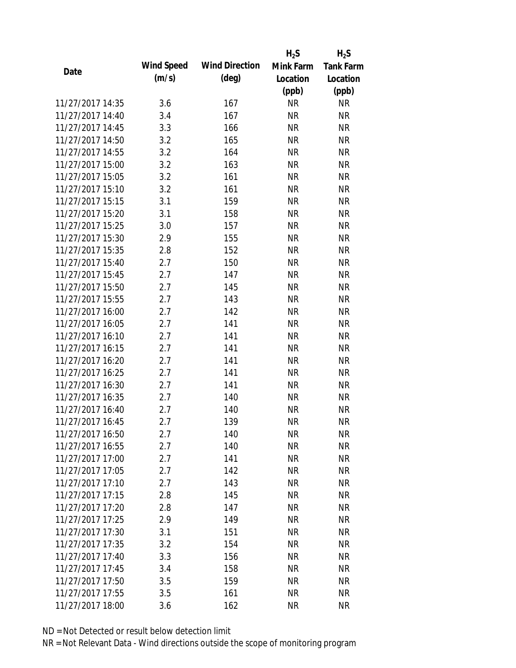|                  |            |                       | $H_2S$    | $H_2S$           |
|------------------|------------|-----------------------|-----------|------------------|
| Date             | Wind Speed | <b>Wind Direction</b> | Mink Farm | <b>Tank Farm</b> |
|                  | (m/s)      | $(\text{deg})$        | Location  | Location         |
|                  |            |                       | (ppb)     | (ppb)            |
| 11/27/2017 14:35 | 3.6        | 167                   | <b>NR</b> | <b>NR</b>        |
| 11/27/2017 14:40 | 3.4        | 167                   | <b>NR</b> | <b>NR</b>        |
| 11/27/2017 14:45 | 3.3        | 166                   | <b>NR</b> | <b>NR</b>        |
| 11/27/2017 14:50 | 3.2        | 165                   | <b>NR</b> | <b>NR</b>        |
| 11/27/2017 14:55 | 3.2        | 164                   | <b>NR</b> | <b>NR</b>        |
| 11/27/2017 15:00 | 3.2        | 163                   | <b>NR</b> | <b>NR</b>        |
| 11/27/2017 15:05 | 3.2        | 161                   | <b>NR</b> | <b>NR</b>        |
| 11/27/2017 15:10 | 3.2        | 161                   | <b>NR</b> | <b>NR</b>        |
| 11/27/2017 15:15 | 3.1        | 159                   | <b>NR</b> | <b>NR</b>        |
| 11/27/2017 15:20 | 3.1        | 158                   | <b>NR</b> | <b>NR</b>        |
| 11/27/2017 15:25 | 3.0        | 157                   | <b>NR</b> | <b>NR</b>        |
| 11/27/2017 15:30 | 2.9        | 155                   | <b>NR</b> | <b>NR</b>        |
| 11/27/2017 15:35 | 2.8        | 152                   | <b>NR</b> | <b>NR</b>        |
| 11/27/2017 15:40 | 2.7        | 150                   | <b>NR</b> | <b>NR</b>        |
| 11/27/2017 15:45 | 2.7        | 147                   | <b>NR</b> | <b>NR</b>        |
| 11/27/2017 15:50 | 2.7        | 145                   | <b>NR</b> | <b>NR</b>        |
| 11/27/2017 15:55 | 2.7        | 143                   | <b>NR</b> | <b>NR</b>        |
| 11/27/2017 16:00 | 2.7        | 142                   | <b>NR</b> | <b>NR</b>        |
| 11/27/2017 16:05 | 2.7        | 141                   | <b>NR</b> | <b>NR</b>        |
| 11/27/2017 16:10 | 2.7        | 141                   | <b>NR</b> | <b>NR</b>        |
| 11/27/2017 16:15 | 2.7        | 141                   | <b>NR</b> | <b>NR</b>        |
| 11/27/2017 16:20 | 2.7        | 141                   | <b>NR</b> | <b>NR</b>        |
| 11/27/2017 16:25 | 2.7        | 141                   | <b>NR</b> | <b>NR</b>        |
| 11/27/2017 16:30 | 2.7        | 141                   | <b>NR</b> | <b>NR</b>        |
| 11/27/2017 16:35 | 2.7        | 140                   | <b>NR</b> | <b>NR</b>        |
| 11/27/2017 16:40 | 2.7        | 140                   | <b>NR</b> | <b>NR</b>        |
| 11/27/2017 16:45 | 2.7        | 139                   | <b>NR</b> | <b>NR</b>        |
| 11/27/2017 16:50 | 2.7        | 140                   | <b>NR</b> | <b>NR</b>        |
| 11/27/2017 16:55 | 2.7        | 140                   | <b>NR</b> | <b>NR</b>        |
| 11/27/2017 17:00 | 2.7        | 141                   | <b>NR</b> | <b>NR</b>        |
| 11/27/2017 17:05 | 2.7        | 142                   | <b>NR</b> | <b>NR</b>        |
| 11/27/2017 17:10 | 2.7        | 143                   | <b>NR</b> | <b>NR</b>        |
| 11/27/2017 17:15 | 2.8        | 145                   | <b>NR</b> | <b>NR</b>        |
| 11/27/2017 17:20 | 2.8        | 147                   | <b>NR</b> | <b>NR</b>        |
| 11/27/2017 17:25 | 2.9        | 149                   | <b>NR</b> | <b>NR</b>        |
| 11/27/2017 17:30 | 3.1        | 151                   | <b>NR</b> | <b>NR</b>        |
| 11/27/2017 17:35 | 3.2        | 154                   | <b>NR</b> | <b>NR</b>        |
| 11/27/2017 17:40 | 3.3        | 156                   | NR        | <b>NR</b>        |
| 11/27/2017 17:45 | 3.4        | 158                   | <b>NR</b> | <b>NR</b>        |
| 11/27/2017 17:50 | 3.5        | 159                   | <b>NR</b> | <b>NR</b>        |
| 11/27/2017 17:55 | 3.5        | 161                   | <b>NR</b> | <b>NR</b>        |
| 11/27/2017 18:00 | 3.6        | 162                   | <b>NR</b> | <b>NR</b>        |
|                  |            |                       |           |                  |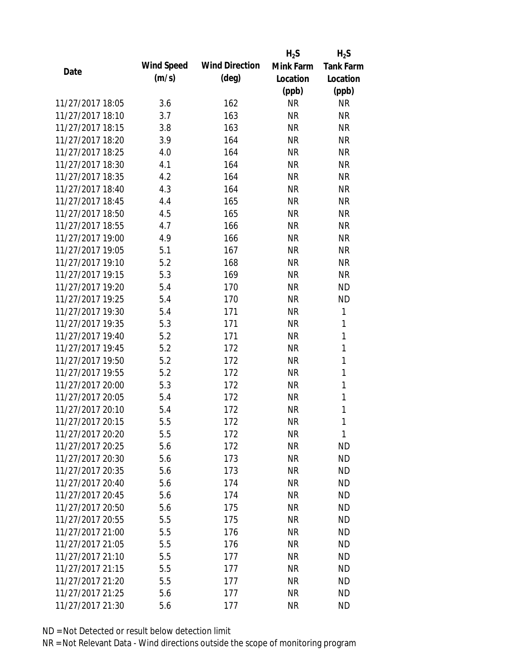|                  |            |                       | $H_2S$    | $H_2S$           |
|------------------|------------|-----------------------|-----------|------------------|
| Date             | Wind Speed | <b>Wind Direction</b> | Mink Farm | <b>Tank Farm</b> |
|                  | (m/s)      | $(\text{deg})$        | Location  | Location         |
|                  |            |                       | (ppb)     | (ppb)            |
| 11/27/2017 18:05 | 3.6        | 162                   | <b>NR</b> | <b>NR</b>        |
| 11/27/2017 18:10 | 3.7        | 163                   | <b>NR</b> | <b>NR</b>        |
| 11/27/2017 18:15 | 3.8        | 163                   | <b>NR</b> | <b>NR</b>        |
| 11/27/2017 18:20 | 3.9        | 164                   | <b>NR</b> | <b>NR</b>        |
| 11/27/2017 18:25 | 4.0        | 164                   | <b>NR</b> | <b>NR</b>        |
| 11/27/2017 18:30 | 4.1        | 164                   | <b>NR</b> | <b>NR</b>        |
| 11/27/2017 18:35 | 4.2        | 164                   | <b>NR</b> | <b>NR</b>        |
| 11/27/2017 18:40 | 4.3        | 164                   | <b>NR</b> | <b>NR</b>        |
| 11/27/2017 18:45 | 4.4        | 165                   | <b>NR</b> | <b>NR</b>        |
| 11/27/2017 18:50 | 4.5        | 165                   | <b>NR</b> | <b>NR</b>        |
| 11/27/2017 18:55 | 4.7        | 166                   | <b>NR</b> | <b>NR</b>        |
| 11/27/2017 19:00 | 4.9        | 166                   | <b>NR</b> | <b>NR</b>        |
| 11/27/2017 19:05 | 5.1        | 167                   | <b>NR</b> | <b>NR</b>        |
| 11/27/2017 19:10 | 5.2        | 168                   | <b>NR</b> | <b>NR</b>        |
| 11/27/2017 19:15 | 5.3        | 169                   | <b>NR</b> | <b>NR</b>        |
| 11/27/2017 19:20 | 5.4        | 170                   | <b>NR</b> | <b>ND</b>        |
| 11/27/2017 19:25 | 5.4        | 170                   | <b>NR</b> | <b>ND</b>        |
| 11/27/2017 19:30 | 5.4        | 171                   | <b>NR</b> | 1                |
| 11/27/2017 19:35 | 5.3        | 171                   | <b>NR</b> | 1                |
| 11/27/2017 19:40 | 5.2        | 171                   | <b>NR</b> | 1                |
| 11/27/2017 19:45 | 5.2        | 172                   | <b>NR</b> | $\mathbf{1}$     |
| 11/27/2017 19:50 | 5.2        | 172                   | <b>NR</b> | $\mathbf{1}$     |
| 11/27/2017 19:55 | 5.2        | 172                   | <b>NR</b> | 1                |
| 11/27/2017 20:00 | 5.3        | 172                   | <b>NR</b> | $\mathbf{1}$     |
| 11/27/2017 20:05 | 5.4        | 172                   | <b>NR</b> | 1                |
| 11/27/2017 20:10 | 5.4        | 172                   | <b>NR</b> | 1                |
| 11/27/2017 20:15 | 5.5        | 172                   | <b>NR</b> | 1                |
| 11/27/2017 20:20 | 5.5        | 172                   | <b>NR</b> | 1                |
| 11/27/2017 20:25 | 5.6        | 172                   | <b>NR</b> | <b>ND</b>        |
| 11/27/2017 20:30 | 5.6        | 173                   | NR        | <b>ND</b>        |
| 11/27/2017 20:35 | 5.6        | 173                   | <b>NR</b> | <b>ND</b>        |
| 11/27/2017 20:40 | 5.6        | 174                   | <b>NR</b> | <b>ND</b>        |
| 11/27/2017 20:45 | 5.6        | 174                   | <b>NR</b> | <b>ND</b>        |
| 11/27/2017 20:50 | 5.6        | 175                   | <b>NR</b> | <b>ND</b>        |
| 11/27/2017 20:55 | 5.5        | 175                   | <b>NR</b> | <b>ND</b>        |
| 11/27/2017 21:00 | 5.5        | 176                   | <b>NR</b> | <b>ND</b>        |
| 11/27/2017 21:05 | 5.5        | 176                   | NR        | <b>ND</b>        |
| 11/27/2017 21:10 | 5.5        | 177                   | NR        | <b>ND</b>        |
| 11/27/2017 21:15 | 5.5        | 177                   | <b>NR</b> | <b>ND</b>        |
| 11/27/2017 21:20 | 5.5        | 177                   | <b>NR</b> | <b>ND</b>        |
| 11/27/2017 21:25 | 5.6        | 177                   | <b>NR</b> | <b>ND</b>        |
| 11/27/2017 21:30 | 5.6        | 177                   | <b>NR</b> | <b>ND</b>        |
|                  |            |                       |           |                  |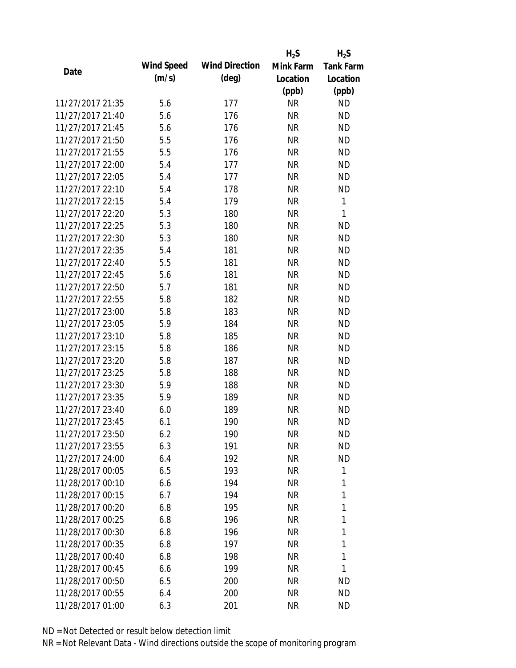|                  |            |                       | $H_2S$    | $H_2S$           |
|------------------|------------|-----------------------|-----------|------------------|
| Date             | Wind Speed | <b>Wind Direction</b> | Mink Farm | <b>Tank Farm</b> |
|                  | (m/s)      | $(\text{deg})$        | Location  | Location         |
|                  |            |                       | (ppb)     | (ppb)            |
| 11/27/2017 21:35 | 5.6        | 177                   | <b>NR</b> | <b>ND</b>        |
| 11/27/2017 21:40 | 5.6        | 176                   | <b>NR</b> | <b>ND</b>        |
| 11/27/2017 21:45 | 5.6        | 176                   | <b>NR</b> | <b>ND</b>        |
| 11/27/2017 21:50 | 5.5        | 176                   | <b>NR</b> | <b>ND</b>        |
| 11/27/2017 21:55 | 5.5        | 176                   | <b>NR</b> | <b>ND</b>        |
| 11/27/2017 22:00 | 5.4        | 177                   | <b>NR</b> | <b>ND</b>        |
| 11/27/2017 22:05 | 5.4        | 177                   | <b>NR</b> | <b>ND</b>        |
| 11/27/2017 22:10 | 5.4        | 178                   | <b>NR</b> | <b>ND</b>        |
| 11/27/2017 22:15 | 5.4        | 179                   | <b>NR</b> | 1                |
| 11/27/2017 22:20 | 5.3        | 180                   | <b>NR</b> | $\mathbf{1}$     |
| 11/27/2017 22:25 | 5.3        | 180                   | <b>NR</b> | <b>ND</b>        |
| 11/27/2017 22:30 | 5.3        | 180                   | <b>NR</b> | <b>ND</b>        |
| 11/27/2017 22:35 | 5.4        | 181                   | <b>NR</b> | <b>ND</b>        |
| 11/27/2017 22:40 | 5.5        | 181                   | <b>NR</b> | <b>ND</b>        |
| 11/27/2017 22:45 | 5.6        | 181                   | <b>NR</b> | <b>ND</b>        |
| 11/27/2017 22:50 | 5.7        | 181                   | <b>NR</b> | <b>ND</b>        |
| 11/27/2017 22:55 | 5.8        | 182                   | <b>NR</b> | <b>ND</b>        |
| 11/27/2017 23:00 | 5.8        | 183                   | <b>NR</b> | <b>ND</b>        |
| 11/27/2017 23:05 | 5.9        | 184                   | <b>NR</b> | <b>ND</b>        |
| 11/27/2017 23:10 | 5.8        | 185                   | <b>NR</b> | <b>ND</b>        |
| 11/27/2017 23:15 | 5.8        | 186                   | <b>NR</b> | <b>ND</b>        |
| 11/27/2017 23:20 | 5.8        | 187                   | <b>NR</b> | <b>ND</b>        |
| 11/27/2017 23:25 | 5.8        | 188                   | <b>NR</b> | <b>ND</b>        |
| 11/27/2017 23:30 | 5.9        | 188                   | <b>NR</b> | <b>ND</b>        |
| 11/27/2017 23:35 | 5.9        | 189                   | <b>NR</b> | <b>ND</b>        |
| 11/27/2017 23:40 | 6.0        | 189                   | <b>NR</b> | <b>ND</b>        |
| 11/27/2017 23:45 | 6.1        | 190                   | <b>NR</b> | <b>ND</b>        |
| 11/27/2017 23:50 | 6.2        | 190                   | <b>NR</b> | <b>ND</b>        |
| 11/27/2017 23:55 | 6.3        | 191                   | <b>NR</b> | <b>ND</b>        |
| 11/27/2017 24:00 | 6.4        | 192                   | NR        | <b>ND</b>        |
| 11/28/2017 00:05 | 6.5        | 193                   | <b>NR</b> | 1                |
| 11/28/2017 00:10 | 6.6        | 194                   | <b>NR</b> | 1                |
| 11/28/2017 00:15 | 6.7        | 194                   | <b>NR</b> | 1                |
| 11/28/2017 00:20 | 6.8        | 195                   | <b>NR</b> | 1                |
| 11/28/2017 00:25 | 6.8        | 196                   | <b>NR</b> | 1                |
| 11/28/2017 00:30 | 6.8        | 196                   | <b>NR</b> | 1                |
| 11/28/2017 00:35 | 6.8        | 197                   | NR        | 1                |
| 11/28/2017 00:40 | 6.8        | 198                   | NR        | 1                |
| 11/28/2017 00:45 | 6.6        | 199                   | <b>NR</b> | 1                |
| 11/28/2017 00:50 | 6.5        | 200                   | <b>NR</b> | ND               |
| 11/28/2017 00:55 | 6.4        | 200                   | <b>NR</b> | <b>ND</b>        |
| 11/28/2017 01:00 | 6.3        | 201                   | <b>NR</b> | ND               |
|                  |            |                       |           |                  |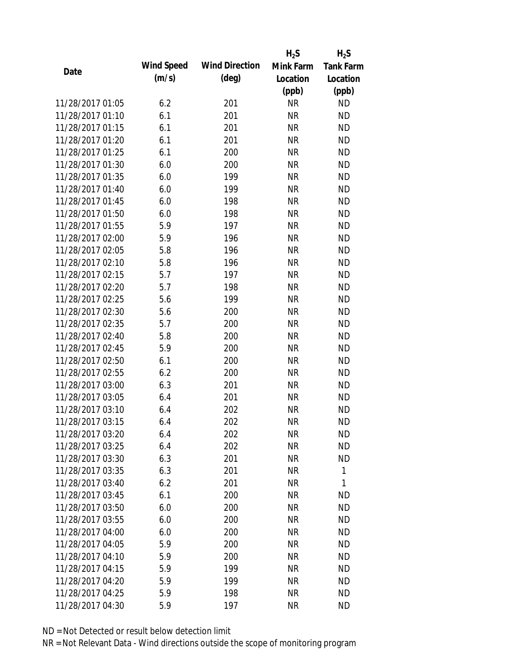|                  |            |                       | $H_2S$    | $H_2S$           |
|------------------|------------|-----------------------|-----------|------------------|
| Date             | Wind Speed | <b>Wind Direction</b> | Mink Farm | <b>Tank Farm</b> |
|                  | (m/s)      | $(\text{deg})$        | Location  | Location         |
|                  |            |                       | (ppb)     | (ppb)            |
| 11/28/2017 01:05 | 6.2        | 201                   | <b>NR</b> | <b>ND</b>        |
| 11/28/2017 01:10 | 6.1        | 201                   | <b>NR</b> | <b>ND</b>        |
| 11/28/2017 01:15 | 6.1        | 201                   | <b>NR</b> | <b>ND</b>        |
| 11/28/2017 01:20 | 6.1        | 201                   | <b>NR</b> | <b>ND</b>        |
| 11/28/2017 01:25 | 6.1        | 200                   | <b>NR</b> | <b>ND</b>        |
| 11/28/2017 01:30 | 6.0        | 200                   | <b>NR</b> | <b>ND</b>        |
| 11/28/2017 01:35 | 6.0        | 199                   | <b>NR</b> | <b>ND</b>        |
| 11/28/2017 01:40 | 6.0        | 199                   | <b>NR</b> | <b>ND</b>        |
| 11/28/2017 01:45 | 6.0        | 198                   | <b>NR</b> | <b>ND</b>        |
| 11/28/2017 01:50 | 6.0        | 198                   | <b>NR</b> | <b>ND</b>        |
| 11/28/2017 01:55 | 5.9        | 197                   | <b>NR</b> | <b>ND</b>        |
| 11/28/2017 02:00 | 5.9        | 196                   | <b>NR</b> | <b>ND</b>        |
| 11/28/2017 02:05 | 5.8        | 196                   | <b>NR</b> | <b>ND</b>        |
| 11/28/2017 02:10 | 5.8        | 196                   | <b>NR</b> | <b>ND</b>        |
| 11/28/2017 02:15 | 5.7        | 197                   | <b>NR</b> | <b>ND</b>        |
| 11/28/2017 02:20 | 5.7        | 198                   | <b>NR</b> | <b>ND</b>        |
| 11/28/2017 02:25 | 5.6        | 199                   | <b>NR</b> | <b>ND</b>        |
| 11/28/2017 02:30 | 5.6        | 200                   | <b>NR</b> | <b>ND</b>        |
| 11/28/2017 02:35 | 5.7        | 200                   | <b>NR</b> | <b>ND</b>        |
| 11/28/2017 02:40 | 5.8        | 200                   | <b>NR</b> | <b>ND</b>        |
| 11/28/2017 02:45 | 5.9        | 200                   | <b>NR</b> | <b>ND</b>        |
| 11/28/2017 02:50 | 6.1        | 200                   | <b>NR</b> | <b>ND</b>        |
| 11/28/2017 02:55 | 6.2        | 200                   | <b>NR</b> | <b>ND</b>        |
| 11/28/2017 03:00 | 6.3        | 201                   | <b>NR</b> | <b>ND</b>        |
| 11/28/2017 03:05 | 6.4        | 201                   | <b>NR</b> | <b>ND</b>        |
| 11/28/2017 03:10 | 6.4        | 202                   | <b>NR</b> | <b>ND</b>        |
| 11/28/2017 03:15 | 6.4        | 202                   | <b>NR</b> | <b>ND</b>        |
| 11/28/2017 03:20 | 6.4        | 202                   | <b>NR</b> | <b>ND</b>        |
| 11/28/2017 03:25 | 6.4        | 202                   | <b>NR</b> | <b>ND</b>        |
| 11/28/2017 03:30 | 6.3        | 201                   | NR        | <b>ND</b>        |
| 11/28/2017 03:35 | 6.3        | 201                   | <b>NR</b> | 1                |
| 11/28/2017 03:40 | 6.2        | 201                   | <b>NR</b> | 1                |
| 11/28/2017 03:45 | 6.1        | 200                   | <b>NR</b> | <b>ND</b>        |
| 11/28/2017 03:50 | 6.0        | 200                   | <b>NR</b> | <b>ND</b>        |
| 11/28/2017 03:55 | 6.0        | 200                   | <b>NR</b> | <b>ND</b>        |
| 11/28/2017 04:00 | 6.0        | 200                   | <b>NR</b> | <b>ND</b>        |
| 11/28/2017 04:05 | 5.9        | 200                   | <b>NR</b> | <b>ND</b>        |
| 11/28/2017 04:10 | 5.9        | 200                   | NR        | <b>ND</b>        |
| 11/28/2017 04:15 | 5.9        | 199                   | <b>NR</b> | <b>ND</b>        |
| 11/28/2017 04:20 | 5.9        | 199                   | <b>NR</b> | <b>ND</b>        |
| 11/28/2017 04:25 | 5.9        | 198                   | <b>NR</b> | <b>ND</b>        |
| 11/28/2017 04:30 | 5.9        | 197                   | <b>NR</b> | <b>ND</b>        |
|                  |            |                       |           |                  |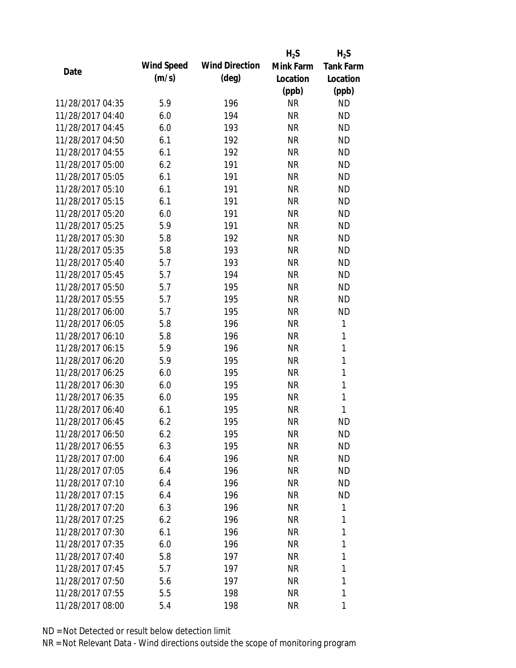|                  |                   |                       | $H_2S$    | $H_2S$           |
|------------------|-------------------|-----------------------|-----------|------------------|
| Date             | <b>Wind Speed</b> | <b>Wind Direction</b> | Mink Farm | <b>Tank Farm</b> |
|                  | (m/s)             | $(\text{deg})$        | Location  | Location         |
|                  |                   |                       | (ppb)     | (ppb)            |
| 11/28/2017 04:35 | 5.9               | 196                   | <b>NR</b> | <b>ND</b>        |
| 11/28/2017 04:40 | 6.0               | 194                   | <b>NR</b> | <b>ND</b>        |
| 11/28/2017 04:45 | 6.0               | 193                   | <b>NR</b> | <b>ND</b>        |
| 11/28/2017 04:50 | 6.1               | 192                   | <b>NR</b> | <b>ND</b>        |
| 11/28/2017 04:55 | 6.1               | 192                   | <b>NR</b> | <b>ND</b>        |
| 11/28/2017 05:00 | 6.2               | 191                   | <b>NR</b> | <b>ND</b>        |
| 11/28/2017 05:05 | 6.1               | 191                   | <b>NR</b> | <b>ND</b>        |
| 11/28/2017 05:10 | 6.1               | 191                   | <b>NR</b> | <b>ND</b>        |
| 11/28/2017 05:15 | 6.1               | 191                   | <b>NR</b> | <b>ND</b>        |
| 11/28/2017 05:20 | 6.0               | 191                   | <b>NR</b> | <b>ND</b>        |
| 11/28/2017 05:25 | 5.9               | 191                   | <b>NR</b> | <b>ND</b>        |
| 11/28/2017 05:30 | 5.8               | 192                   | <b>NR</b> | <b>ND</b>        |
| 11/28/2017 05:35 | 5.8               | 193                   | <b>NR</b> | <b>ND</b>        |
| 11/28/2017 05:40 | 5.7               | 193                   | <b>NR</b> | <b>ND</b>        |
| 11/28/2017 05:45 | 5.7               | 194                   | <b>NR</b> | <b>ND</b>        |
| 11/28/2017 05:50 | 5.7               | 195                   | <b>NR</b> | <b>ND</b>        |
| 11/28/2017 05:55 | 5.7               | 195                   | <b>NR</b> | <b>ND</b>        |
| 11/28/2017 06:00 | 5.7               | 195                   | <b>NR</b> | <b>ND</b>        |
| 11/28/2017 06:05 | 5.8               | 196                   | <b>NR</b> | 1                |
| 11/28/2017 06:10 | 5.8               | 196                   | <b>NR</b> | 1                |
| 11/28/2017 06:15 | 5.9               | 196                   | <b>NR</b> | $\mathbf{1}$     |
| 11/28/2017 06:20 | 5.9               | 195                   | <b>NR</b> | $\mathbf{1}$     |
| 11/28/2017 06:25 | 6.0               | 195                   | <b>NR</b> | 1                |
| 11/28/2017 06:30 | 6.0               | 195                   | <b>NR</b> | $\mathbf{1}$     |
| 11/28/2017 06:35 | 6.0               | 195                   | <b>NR</b> | 1                |
| 11/28/2017 06:40 | 6.1               | 195                   | <b>NR</b> | 1                |
| 11/28/2017 06:45 | 6.2               | 195                   | <b>NR</b> | <b>ND</b>        |
| 11/28/2017 06:50 | 6.2               | 195                   | <b>NR</b> | ND               |
| 11/28/2017 06:55 | 6.3               | 195                   | <b>NR</b> | <b>ND</b>        |
| 11/28/2017 07:00 | 6.4               | 196                   | NR        | ND               |
| 11/28/2017 07:05 | 6.4               | 196                   | <b>NR</b> | <b>ND</b>        |
| 11/28/2017 07:10 | 6.4               | 196                   | <b>NR</b> | <b>ND</b>        |
| 11/28/2017 07:15 | 6.4               | 196                   | <b>NR</b> | <b>ND</b>        |
| 11/28/2017 07:20 | 6.3               | 196                   | <b>NR</b> | 1                |
| 11/28/2017 07:25 | 6.2               | 196                   | NR        | 1                |
| 11/28/2017 07:30 | 6.1               | 196                   | <b>NR</b> | 1                |
| 11/28/2017 07:35 | 6.0               | 196                   | <b>NR</b> | 1                |
| 11/28/2017 07:40 | 5.8               | 197                   | <b>NR</b> | 1                |
| 11/28/2017 07:45 | 5.7               | 197                   | <b>NR</b> | 1                |
| 11/28/2017 07:50 | 5.6               | 197                   | <b>NR</b> | 1                |
| 11/28/2017 07:55 | 5.5               | 198                   | <b>NR</b> | 1                |
| 11/28/2017 08:00 | 5.4               | 198                   | <b>NR</b> | 1                |
|                  |                   |                       |           |                  |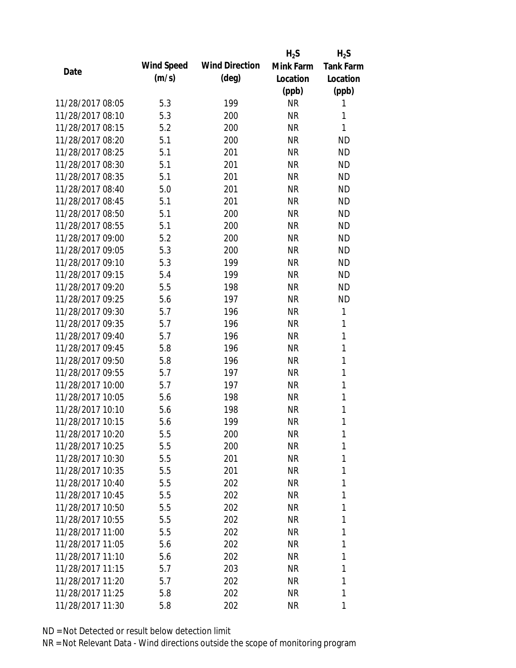|                  |            |                       | $H_2S$    | $H_2S$           |
|------------------|------------|-----------------------|-----------|------------------|
| Date             | Wind Speed | <b>Wind Direction</b> | Mink Farm | <b>Tank Farm</b> |
|                  | (m/s)      | $(\text{deg})$        | Location  | Location         |
|                  |            |                       | (ppb)     | (ppb)            |
| 11/28/2017 08:05 | 5.3        | 199                   | <b>NR</b> | 1                |
| 11/28/2017 08:10 | 5.3        | 200                   | <b>NR</b> | 1                |
| 11/28/2017 08:15 | 5.2        | 200                   | <b>NR</b> | 1                |
| 11/28/2017 08:20 | 5.1        | 200                   | <b>NR</b> | <b>ND</b>        |
| 11/28/2017 08:25 | 5.1        | 201                   | <b>NR</b> | <b>ND</b>        |
| 11/28/2017 08:30 | 5.1        | 201                   | <b>NR</b> | <b>ND</b>        |
| 11/28/2017 08:35 | 5.1        | 201                   | <b>NR</b> | <b>ND</b>        |
| 11/28/2017 08:40 | 5.0        | 201                   | <b>NR</b> | <b>ND</b>        |
| 11/28/2017 08:45 | 5.1        | 201                   | <b>NR</b> | <b>ND</b>        |
| 11/28/2017 08:50 | 5.1        | 200                   | <b>NR</b> | <b>ND</b>        |
| 11/28/2017 08:55 | 5.1        | 200                   | <b>NR</b> | <b>ND</b>        |
| 11/28/2017 09:00 | 5.2        | 200                   | <b>NR</b> | <b>ND</b>        |
| 11/28/2017 09:05 | 5.3        | 200                   | <b>NR</b> | <b>ND</b>        |
| 11/28/2017 09:10 | 5.3        | 199                   | <b>NR</b> | <b>ND</b>        |
| 11/28/2017 09:15 | 5.4        | 199                   | <b>NR</b> | <b>ND</b>        |
| 11/28/2017 09:20 | 5.5        | 198                   | <b>NR</b> | <b>ND</b>        |
| 11/28/2017 09:25 | 5.6        | 197                   | <b>NR</b> | <b>ND</b>        |
| 11/28/2017 09:30 | 5.7        | 196                   | <b>NR</b> | 1                |
| 11/28/2017 09:35 | 5.7        | 196                   | <b>NR</b> | 1                |
| 11/28/2017 09:40 | 5.7        | 196                   | <b>NR</b> | 1                |
| 11/28/2017 09:45 | 5.8        | 196                   | <b>NR</b> | 1                |
| 11/28/2017 09:50 | 5.8        | 196                   | <b>NR</b> | 1                |
| 11/28/2017 09:55 | 5.7        | 197                   | <b>NR</b> | 1                |
| 11/28/2017 10:00 | 5.7        | 197                   | <b>NR</b> | $\mathbf{1}$     |
| 11/28/2017 10:05 | 5.6        | 198                   | <b>NR</b> | 1                |
| 11/28/2017 10:10 | 5.6        | 198                   | <b>NR</b> | 1                |
| 11/28/2017 10:15 | 5.6        | 199                   | <b>NR</b> | 1                |
| 11/28/2017 10:20 | 5.5        | 200                   | NR        | 1                |
| 11/28/2017 10:25 | 5.5        | 200                   | <b>NR</b> | 1                |
| 11/28/2017 10:30 | 5.5        | 201                   | NR        | 1                |
| 11/28/2017 10:35 | 5.5        | 201                   | NR        | 1                |
| 11/28/2017 10:40 | 5.5        | 202                   | <b>NR</b> | 1                |
| 11/28/2017 10:45 | 5.5        | 202                   | NR        | 1                |
| 11/28/2017 10:50 | 5.5        | 202                   | <b>NR</b> | 1                |
| 11/28/2017 10:55 | 5.5        | 202                   | NR        | 1                |
| 11/28/2017 11:00 | 5.5        | 202                   | NR        | 1                |
| 11/28/2017 11:05 | 5.6        | 202                   | NR        | 1                |
| 11/28/2017 11:10 | 5.6        | 202                   | NR        | 1                |
| 11/28/2017 11:15 | 5.7        | 203                   | NR        | 1                |
| 11/28/2017 11:20 | 5.7        | 202                   | NR        | 1                |
| 11/28/2017 11:25 | 5.8        | 202                   | <b>NR</b> | 1                |
| 11/28/2017 11:30 | 5.8        | 202                   | NR        | 1                |
|                  |            |                       |           |                  |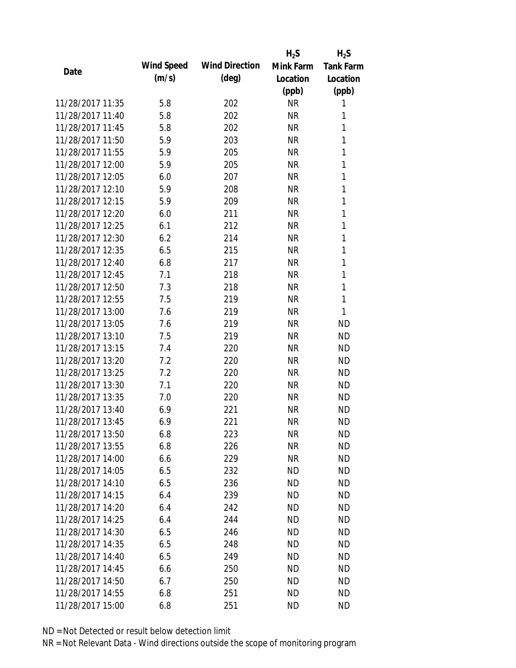|                  |            |                       | $H_2S$    | $H_2S$           |
|------------------|------------|-----------------------|-----------|------------------|
| Date             | Wind Speed | <b>Wind Direction</b> | Mink Farm | <b>Tank Farm</b> |
|                  | (m/s)      | $(\text{deg})$        | Location  | Location         |
|                  |            |                       | (ppb)     | (ppb)            |
| 11/28/2017 11:35 | 5.8        | 202                   | <b>NR</b> | 1                |
| 11/28/2017 11:40 | 5.8        | 202                   | <b>NR</b> | 1                |
| 11/28/2017 11:45 | 5.8        | 202                   | <b>NR</b> | 1                |
| 11/28/2017 11:50 | 5.9        | 203                   | <b>NR</b> | 1                |
| 11/28/2017 11:55 | 5.9        | 205                   | <b>NR</b> | 1                |
| 11/28/2017 12:00 | 5.9        | 205                   | <b>NR</b> | 1                |
| 11/28/2017 12:05 | 6.0        | 207                   | <b>NR</b> | 1                |
| 11/28/2017 12:10 | 5.9        | 208                   | <b>NR</b> | 1                |
| 11/28/2017 12:15 | 5.9        | 209                   | <b>NR</b> | 1                |
| 11/28/2017 12:20 | 6.0        | 211                   | <b>NR</b> | 1                |
| 11/28/2017 12:25 | 6.1        | 212                   | <b>NR</b> | 1                |
| 11/28/2017 12:30 | 6.2        | 214                   | <b>NR</b> | 1                |
| 11/28/2017 12:35 | 6.5        | 215                   | <b>NR</b> | 1                |
| 11/28/2017 12:40 | 6.8        | 217                   | <b>NR</b> | 1                |
| 11/28/2017 12:45 | 7.1        | 218                   | <b>NR</b> | 1                |
| 11/28/2017 12:50 | 7.3        | 218                   | <b>NR</b> | 1                |
| 11/28/2017 12:55 | 7.5        | 219                   | <b>NR</b> | 1                |
| 11/28/2017 13:00 | 7.6        | 219                   | <b>NR</b> | 1                |
| 11/28/2017 13:05 | 7.6        | 219                   | <b>NR</b> | <b>ND</b>        |
| 11/28/2017 13:10 | 7.5        | 219                   | <b>NR</b> | <b>ND</b>        |
| 11/28/2017 13:15 | 7.4        | 220                   | <b>NR</b> | <b>ND</b>        |
| 11/28/2017 13:20 | 7.2        | 220                   | <b>NR</b> | <b>ND</b>        |
| 11/28/2017 13:25 | 7.2        | 220                   | <b>NR</b> | <b>ND</b>        |
| 11/28/2017 13:30 | 7.1        | 220                   | <b>NR</b> | <b>ND</b>        |
| 11/28/2017 13:35 | 7.0        | 220                   | <b>NR</b> | <b>ND</b>        |
| 11/28/2017 13:40 | 6.9        | 221                   | <b>NR</b> | <b>ND</b>        |
| 11/28/2017 13:45 | 6.9        | 221                   | <b>NR</b> | <b>ND</b>        |
| 11/28/2017 13:50 | 6.8        | 223                   | <b>NR</b> | <b>ND</b>        |
| 11/28/2017 13:55 | 6.8        | 226                   | <b>NR</b> | <b>ND</b>        |
| 11/28/2017 14:00 | 6.6        | 229                   | <b>NR</b> | <b>ND</b>        |
| 11/28/2017 14:05 | 6.5        | 232                   | ND        | <b>ND</b>        |
| 11/28/2017 14:10 | 6.5        | 236                   | <b>ND</b> | <b>ND</b>        |
| 11/28/2017 14:15 | 6.4        | 239                   | <b>ND</b> | <b>ND</b>        |
| 11/28/2017 14:20 | 6.4        | 242                   | <b>ND</b> | <b>ND</b>        |
| 11/28/2017 14:25 | 6.4        | 244                   | ND        | <b>ND</b>        |
| 11/28/2017 14:30 | 6.5        | 246                   | <b>ND</b> | <b>ND</b>        |
| 11/28/2017 14:35 | 6.5        | 248                   | ND        | <b>ND</b>        |
| 11/28/2017 14:40 | 6.5        | 249                   | <b>ND</b> | <b>ND</b>        |
| 11/28/2017 14:45 | 6.6        | 250                   | <b>ND</b> | <b>ND</b>        |
| 11/28/2017 14:50 | 6.7        | 250                   | <b>ND</b> | <b>ND</b>        |
| 11/28/2017 14:55 | 6.8        | 251                   | <b>ND</b> | <b>ND</b>        |
| 11/28/2017 15:00 | 6.8        | 251                   | <b>ND</b> | <b>ND</b>        |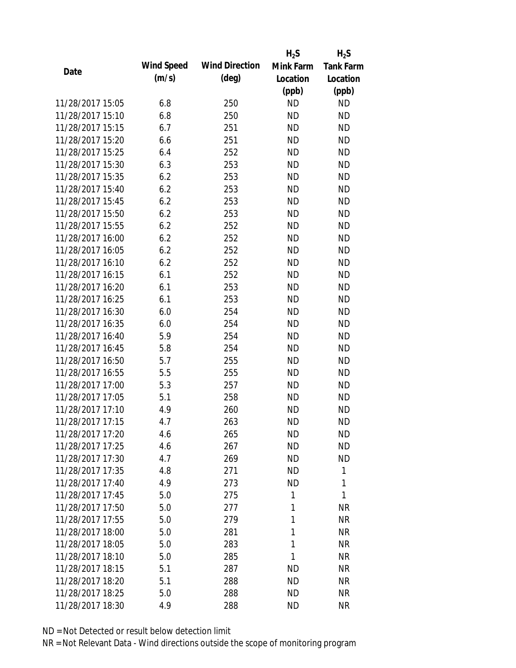|                  |            |                       | $H_2S$    | $H_2S$           |
|------------------|------------|-----------------------|-----------|------------------|
| Date             | Wind Speed | <b>Wind Direction</b> | Mink Farm | <b>Tank Farm</b> |
|                  | (m/s)      | $(\text{deg})$        | Location  | Location         |
|                  |            |                       | (ppb)     | (ppb)            |
| 11/28/2017 15:05 | 6.8        | 250                   | <b>ND</b> | <b>ND</b>        |
| 11/28/2017 15:10 | 6.8        | 250                   | <b>ND</b> | <b>ND</b>        |
| 11/28/2017 15:15 | 6.7        | 251                   | <b>ND</b> | <b>ND</b>        |
| 11/28/2017 15:20 | 6.6        | 251                   | <b>ND</b> | <b>ND</b>        |
| 11/28/2017 15:25 | 6.4        | 252                   | <b>ND</b> | <b>ND</b>        |
| 11/28/2017 15:30 | 6.3        | 253                   | <b>ND</b> | <b>ND</b>        |
| 11/28/2017 15:35 | 6.2        | 253                   | <b>ND</b> | <b>ND</b>        |
| 11/28/2017 15:40 | 6.2        | 253                   | <b>ND</b> | <b>ND</b>        |
| 11/28/2017 15:45 | 6.2        | 253                   | <b>ND</b> | <b>ND</b>        |
| 11/28/2017 15:50 | 6.2        | 253                   | <b>ND</b> | <b>ND</b>        |
| 11/28/2017 15:55 | 6.2        | 252                   | <b>ND</b> | <b>ND</b>        |
| 11/28/2017 16:00 | 6.2        | 252                   | <b>ND</b> | <b>ND</b>        |
| 11/28/2017 16:05 | 6.2        | 252                   | <b>ND</b> | <b>ND</b>        |
| 11/28/2017 16:10 | 6.2        | 252                   | <b>ND</b> | <b>ND</b>        |
| 11/28/2017 16:15 | 6.1        | 252                   | <b>ND</b> | <b>ND</b>        |
| 11/28/2017 16:20 | 6.1        | 253                   | <b>ND</b> | <b>ND</b>        |
| 11/28/2017 16:25 | 6.1        | 253                   | <b>ND</b> | <b>ND</b>        |
| 11/28/2017 16:30 | 6.0        | 254                   | <b>ND</b> | <b>ND</b>        |
| 11/28/2017 16:35 | 6.0        | 254                   | <b>ND</b> | <b>ND</b>        |
| 11/28/2017 16:40 | 5.9        | 254                   | <b>ND</b> | <b>ND</b>        |
| 11/28/2017 16:45 | 5.8        | 254                   | <b>ND</b> | <b>ND</b>        |
| 11/28/2017 16:50 | 5.7        | 255                   | <b>ND</b> | <b>ND</b>        |
| 11/28/2017 16:55 | 5.5        | 255                   | <b>ND</b> | <b>ND</b>        |
| 11/28/2017 17:00 | 5.3        | 257                   | <b>ND</b> | <b>ND</b>        |
| 11/28/2017 17:05 | 5.1        | 258                   | <b>ND</b> | <b>ND</b>        |
| 11/28/2017 17:10 | 4.9        | 260                   | <b>ND</b> | <b>ND</b>        |
| 11/28/2017 17:15 | 4.7        | 263                   | <b>ND</b> | <b>ND</b>        |
| 11/28/2017 17:20 | 4.6        | 265                   | <b>ND</b> | <b>ND</b>        |
| 11/28/2017 17:25 | 4.6        | 267                   | <b>ND</b> | <b>ND</b>        |
| 11/28/2017 17:30 | 4.7        | 269                   | ND        | <b>ND</b>        |
| 11/28/2017 17:35 | 4.8        | 271                   | <b>ND</b> | 1                |
| 11/28/2017 17:40 | 4.9        | 273                   | <b>ND</b> | 1                |
| 11/28/2017 17:45 | 5.0        | 275                   | 1         | 1                |
| 11/28/2017 17:50 | 5.0        | 277                   | 1         | <b>NR</b>        |
| 11/28/2017 17:55 | 5.0        | 279                   | 1         | <b>NR</b>        |
| 11/28/2017 18:00 | 5.0        | 281                   | 1         | <b>NR</b>        |
| 11/28/2017 18:05 | 5.0        | 283                   | 1         | <b>NR</b>        |
| 11/28/2017 18:10 | 5.0        | 285                   | 1         | <b>NR</b>        |
| 11/28/2017 18:15 | 5.1        | 287                   | <b>ND</b> | <b>NR</b>        |
| 11/28/2017 18:20 | 5.1        | 288                   | <b>ND</b> | NR               |
| 11/28/2017 18:25 | 5.0        | 288                   | <b>ND</b> | <b>NR</b>        |
|                  |            |                       | <b>ND</b> | <b>NR</b>        |
| 11/28/2017 18:30 | 4.9        | 288                   |           |                  |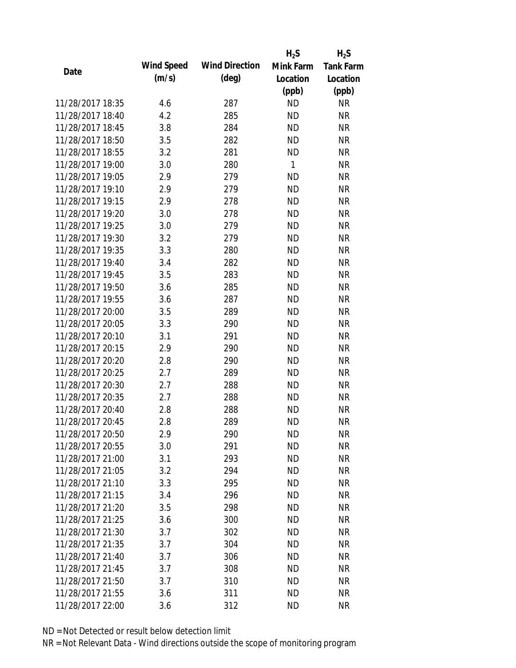|                  |            |                       | $H_2S$       | $H_2S$           |
|------------------|------------|-----------------------|--------------|------------------|
| Date             | Wind Speed | <b>Wind Direction</b> | Mink Farm    | <b>Tank Farm</b> |
|                  | (m/s)      | $(\text{deg})$        | Location     | Location         |
|                  |            |                       | (ppb)        | (ppb)            |
| 11/28/2017 18:35 | 4.6        | 287                   | <b>ND</b>    | <b>NR</b>        |
| 11/28/2017 18:40 | 4.2        | 285                   | <b>ND</b>    | <b>NR</b>        |
| 11/28/2017 18:45 | 3.8        | 284                   | <b>ND</b>    | <b>NR</b>        |
| 11/28/2017 18:50 | 3.5        | 282                   | <b>ND</b>    | <b>NR</b>        |
| 11/28/2017 18:55 | 3.2        | 281                   | <b>ND</b>    | <b>NR</b>        |
| 11/28/2017 19:00 | 3.0        | 280                   | $\mathbf{1}$ | <b>NR</b>        |
| 11/28/2017 19:05 | 2.9        | 279                   | <b>ND</b>    | <b>NR</b>        |
| 11/28/2017 19:10 | 2.9        | 279                   | <b>ND</b>    | <b>NR</b>        |
| 11/28/2017 19:15 | 2.9        | 278                   | <b>ND</b>    | <b>NR</b>        |
| 11/28/2017 19:20 | 3.0        | 278                   | <b>ND</b>    | <b>NR</b>        |
| 11/28/2017 19:25 | 3.0        | 279                   | <b>ND</b>    | <b>NR</b>        |
| 11/28/2017 19:30 | 3.2        | 279                   | <b>ND</b>    | <b>NR</b>        |
| 11/28/2017 19:35 | 3.3        | 280                   | <b>ND</b>    | <b>NR</b>        |
| 11/28/2017 19:40 | 3.4        | 282                   | <b>ND</b>    | <b>NR</b>        |
| 11/28/2017 19:45 | 3.5        | 283                   | <b>ND</b>    | <b>NR</b>        |
| 11/28/2017 19:50 | 3.6        | 285                   | <b>ND</b>    | <b>NR</b>        |
| 11/28/2017 19:55 | 3.6        | 287                   | <b>ND</b>    | <b>NR</b>        |
| 11/28/2017 20:00 | 3.5        | 289                   | <b>ND</b>    | <b>NR</b>        |
| 11/28/2017 20:05 | 3.3        | 290                   | <b>ND</b>    | <b>NR</b>        |
| 11/28/2017 20:10 | 3.1        | 291                   | <b>ND</b>    | <b>NR</b>        |
| 11/28/2017 20:15 | 2.9        | 290                   | <b>ND</b>    | <b>NR</b>        |
| 11/28/2017 20:20 | 2.8        | 290                   | <b>ND</b>    | <b>NR</b>        |
| 11/28/2017 20:25 | 2.7        | 289                   | <b>ND</b>    | <b>NR</b>        |
| 11/28/2017 20:30 | 2.7        | 288                   | <b>ND</b>    | <b>NR</b>        |
| 11/28/2017 20:35 | 2.7        | 288                   | <b>ND</b>    | <b>NR</b>        |
| 11/28/2017 20:40 | 2.8        | 288                   | <b>ND</b>    | <b>NR</b>        |
| 11/28/2017 20:45 | 2.8        | 289                   | <b>ND</b>    | <b>NR</b>        |
| 11/28/2017 20:50 | 2.9        | 290                   | <b>ND</b>    | <b>NR</b>        |
| 11/28/2017 20:55 | 3.0        | 291                   | <b>ND</b>    | <b>NR</b>        |
| 11/28/2017 21:00 | 3.1        | 293                   | ND           | <b>NR</b>        |
| 11/28/2017 21:05 | 3.2        | 294                   | <b>ND</b>    | <b>NR</b>        |
| 11/28/2017 21:10 | 3.3        | 295                   | <b>ND</b>    | <b>NR</b>        |
| 11/28/2017 21:15 | 3.4        | 296                   | <b>ND</b>    | <b>NR</b>        |
| 11/28/2017 21:20 | 3.5        | 298                   | <b>ND</b>    | <b>NR</b>        |
| 11/28/2017 21:25 | 3.6        | 300                   | <b>ND</b>    | <b>NR</b>        |
| 11/28/2017 21:30 | 3.7        | 302                   | <b>ND</b>    | <b>NR</b>        |
| 11/28/2017 21:35 | 3.7        | 304                   | ND.          | <b>NR</b>        |
| 11/28/2017 21:40 | 3.7        | 306                   | <b>ND</b>    | <b>NR</b>        |
| 11/28/2017 21:45 | 3.7        | 308                   | <b>ND</b>    | <b>NR</b>        |
| 11/28/2017 21:50 | 3.7        | 310                   | <b>ND</b>    | <b>NR</b>        |
| 11/28/2017 21:55 | 3.6        | 311                   | <b>ND</b>    | <b>NR</b>        |
| 11/28/2017 22:00 | 3.6        | 312                   | <b>ND</b>    | <b>NR</b>        |
|                  |            |                       |              |                  |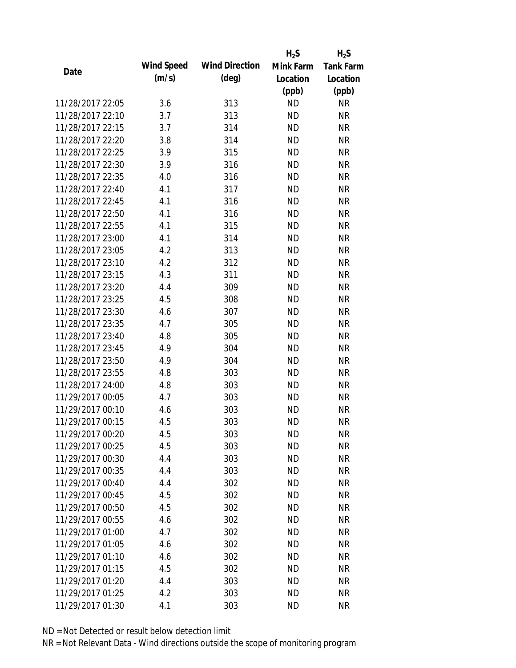|                  |            |                       | $H_2S$    | $H_2S$           |
|------------------|------------|-----------------------|-----------|------------------|
|                  | Wind Speed | <b>Wind Direction</b> | Mink Farm | <b>Tank Farm</b> |
| Date             | (m/s)      | $(\text{deg})$        | Location  | Location         |
|                  |            |                       | (ppb)     | (ppb)            |
| 11/28/2017 22:05 | 3.6        | 313                   | <b>ND</b> | <b>NR</b>        |
| 11/28/2017 22:10 | 3.7        | 313                   | <b>ND</b> | <b>NR</b>        |
| 11/28/2017 22:15 | 3.7        | 314                   | <b>ND</b> | <b>NR</b>        |
| 11/28/2017 22:20 | 3.8        | 314                   | <b>ND</b> | <b>NR</b>        |
| 11/28/2017 22:25 | 3.9        | 315                   | <b>ND</b> | <b>NR</b>        |
| 11/28/2017 22:30 | 3.9        | 316                   | <b>ND</b> | <b>NR</b>        |
| 11/28/2017 22:35 | 4.0        | 316                   | <b>ND</b> | <b>NR</b>        |
| 11/28/2017 22:40 | 4.1        | 317                   | <b>ND</b> | <b>NR</b>        |
| 11/28/2017 22:45 | 4.1        | 316                   | <b>ND</b> | <b>NR</b>        |
| 11/28/2017 22:50 | 4.1        | 316                   | <b>ND</b> | <b>NR</b>        |
| 11/28/2017 22:55 | 4.1        | 315                   | <b>ND</b> | <b>NR</b>        |
| 11/28/2017 23:00 | 4.1        | 314                   | <b>ND</b> | <b>NR</b>        |
| 11/28/2017 23:05 | 4.2        | 313                   | <b>ND</b> | <b>NR</b>        |
| 11/28/2017 23:10 | 4.2        | 312                   | <b>ND</b> | <b>NR</b>        |
| 11/28/2017 23:15 | 4.3        | 311                   | <b>ND</b> | <b>NR</b>        |
| 11/28/2017 23:20 | 4.4        | 309                   | <b>ND</b> | <b>NR</b>        |
| 11/28/2017 23:25 | 4.5        | 308                   | <b>ND</b> | <b>NR</b>        |
| 11/28/2017 23:30 | 4.6        | 307                   | <b>ND</b> | <b>NR</b>        |
| 11/28/2017 23:35 | 4.7        | 305                   | <b>ND</b> | <b>NR</b>        |
| 11/28/2017 23:40 | 4.8        | 305                   | <b>ND</b> | <b>NR</b>        |
| 11/28/2017 23:45 | 4.9        | 304                   | <b>ND</b> | <b>NR</b>        |
| 11/28/2017 23:50 | 4.9        | 304                   | <b>ND</b> | <b>NR</b>        |
| 11/28/2017 23:55 | 4.8        | 303                   | <b>ND</b> | <b>NR</b>        |
| 11/28/2017 24:00 | 4.8        | 303                   | <b>ND</b> | <b>NR</b>        |
| 11/29/2017 00:05 | 4.7        | 303                   | <b>ND</b> | <b>NR</b>        |
| 11/29/2017 00:10 | 4.6        | 303                   | <b>ND</b> | <b>NR</b>        |
| 11/29/2017 00:15 | 4.5        | 303                   | <b>ND</b> | <b>NR</b>        |
| 11/29/2017 00:20 | 4.5        | 303                   | <b>ND</b> | <b>NR</b>        |
| 11/29/2017 00:25 | 4.5        | 303                   | <b>ND</b> | <b>NR</b>        |
| 11/29/2017 00:30 | 4.4        | 303                   | <b>ND</b> | <b>NR</b>        |
| 11/29/2017 00:35 | 4.4        | 303                   | <b>ND</b> | <b>NR</b>        |
| 11/29/2017 00:40 | 4.4        | 302                   | <b>ND</b> | <b>NR</b>        |
| 11/29/2017 00:45 | 4.5        | 302                   | <b>ND</b> | <b>NR</b>        |
| 11/29/2017 00:50 | 4.5        | 302                   | <b>ND</b> | <b>NR</b>        |
| 11/29/2017 00:55 | 4.6        | 302                   | ND        | <b>NR</b>        |
| 11/29/2017 01:00 | 4.7        | 302                   | <b>ND</b> | <b>NR</b>        |
| 11/29/2017 01:05 | 4.6        | 302                   | <b>ND</b> | <b>NR</b>        |
| 11/29/2017 01:10 | 4.6        | 302                   | <b>ND</b> | <b>NR</b>        |
| 11/29/2017 01:15 | 4.5        | 302                   | <b>ND</b> | <b>NR</b>        |
| 11/29/2017 01:20 | 4.4        | 303                   | <b>ND</b> | NR               |
| 11/29/2017 01:25 | 4.2        | 303                   | <b>ND</b> | <b>NR</b>        |
| 11/29/2017 01:30 | 4.1        | 303                   | <b>ND</b> | <b>NR</b>        |
|                  |            |                       |           |                  |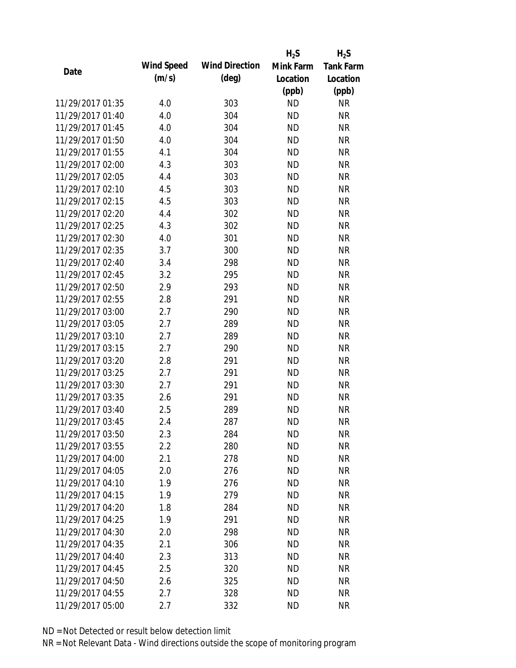|                  |            |                       | $H_2S$    | $H_2S$           |
|------------------|------------|-----------------------|-----------|------------------|
| Date             | Wind Speed | <b>Wind Direction</b> | Mink Farm | <b>Tank Farm</b> |
|                  | (m/s)      | $(\text{deg})$        | Location  | Location         |
|                  |            |                       | (ppb)     | (ppb)            |
| 11/29/2017 01:35 | 4.0        | 303                   | <b>ND</b> | <b>NR</b>        |
| 11/29/2017 01:40 | 4.0        | 304                   | <b>ND</b> | <b>NR</b>        |
| 11/29/2017 01:45 | 4.0        | 304                   | <b>ND</b> | <b>NR</b>        |
| 11/29/2017 01:50 | 4.0        | 304                   | <b>ND</b> | <b>NR</b>        |
| 11/29/2017 01:55 | 4.1        | 304                   | <b>ND</b> | <b>NR</b>        |
| 11/29/2017 02:00 | 4.3        | 303                   | <b>ND</b> | <b>NR</b>        |
| 11/29/2017 02:05 | 4.4        | 303                   | <b>ND</b> | <b>NR</b>        |
| 11/29/2017 02:10 | 4.5        | 303                   | <b>ND</b> | <b>NR</b>        |
| 11/29/2017 02:15 | 4.5        | 303                   | <b>ND</b> | <b>NR</b>        |
| 11/29/2017 02:20 | 4.4        | 302                   | <b>ND</b> | <b>NR</b>        |
| 11/29/2017 02:25 | 4.3        | 302                   | <b>ND</b> | <b>NR</b>        |
| 11/29/2017 02:30 | 4.0        | 301                   | <b>ND</b> | <b>NR</b>        |
| 11/29/2017 02:35 | 3.7        | 300                   | <b>ND</b> | <b>NR</b>        |
| 11/29/2017 02:40 | 3.4        | 298                   | <b>ND</b> | <b>NR</b>        |
| 11/29/2017 02:45 | 3.2        | 295                   | <b>ND</b> | <b>NR</b>        |
| 11/29/2017 02:50 | 2.9        | 293                   | <b>ND</b> | <b>NR</b>        |
| 11/29/2017 02:55 | 2.8        | 291                   | <b>ND</b> | <b>NR</b>        |
| 11/29/2017 03:00 | 2.7        | 290                   | <b>ND</b> | <b>NR</b>        |
| 11/29/2017 03:05 | 2.7        | 289                   | <b>ND</b> | <b>NR</b>        |
| 11/29/2017 03:10 | 2.7        | 289                   | <b>ND</b> | <b>NR</b>        |
| 11/29/2017 03:15 | 2.7        | 290                   | <b>ND</b> | <b>NR</b>        |
| 11/29/2017 03:20 | 2.8        | 291                   | <b>ND</b> | <b>NR</b>        |
| 11/29/2017 03:25 | 2.7        | 291                   | <b>ND</b> | <b>NR</b>        |
| 11/29/2017 03:30 | 2.7        | 291                   | <b>ND</b> | <b>NR</b>        |
| 11/29/2017 03:35 | 2.6        | 291                   | <b>ND</b> | <b>NR</b>        |
| 11/29/2017 03:40 | 2.5        | 289                   | <b>ND</b> | <b>NR</b>        |
| 11/29/2017 03:45 | 2.4        | 287                   | <b>ND</b> | <b>NR</b>        |
| 11/29/2017 03:50 | 2.3        | 284                   | <b>ND</b> | <b>NR</b>        |
| 11/29/2017 03:55 | 2.2        | 280                   | <b>ND</b> | <b>NR</b>        |
| 11/29/2017 04:00 | 2.1        | 278                   | ND        | <b>NR</b>        |
| 11/29/2017 04:05 | 2.0        | 276                   | <b>ND</b> | <b>NR</b>        |
| 11/29/2017 04:10 | 1.9        | 276                   | <b>ND</b> | <b>NR</b>        |
| 11/29/2017 04:15 | 1.9        | 279                   | <b>ND</b> | <b>NR</b>        |
| 11/29/2017 04:20 | 1.8        | 284                   | <b>ND</b> | <b>NR</b>        |
| 11/29/2017 04:25 | 1.9        | 291                   | <b>ND</b> | <b>NR</b>        |
| 11/29/2017 04:30 | 2.0        | 298                   | <b>ND</b> | <b>NR</b>        |
| 11/29/2017 04:35 | 2.1        | 306                   | ND.       | <b>NR</b>        |
| 11/29/2017 04:40 | 2.3        | 313                   | <b>ND</b> | <b>NR</b>        |
| 11/29/2017 04:45 | 2.5        | 320                   | <b>ND</b> | <b>NR</b>        |
| 11/29/2017 04:50 | 2.6        | 325                   | <b>ND</b> | <b>NR</b>        |
| 11/29/2017 04:55 | 2.7        | 328                   | <b>ND</b> | <b>NR</b>        |
| 11/29/2017 05:00 | 2.7        | 332                   | <b>ND</b> | <b>NR</b>        |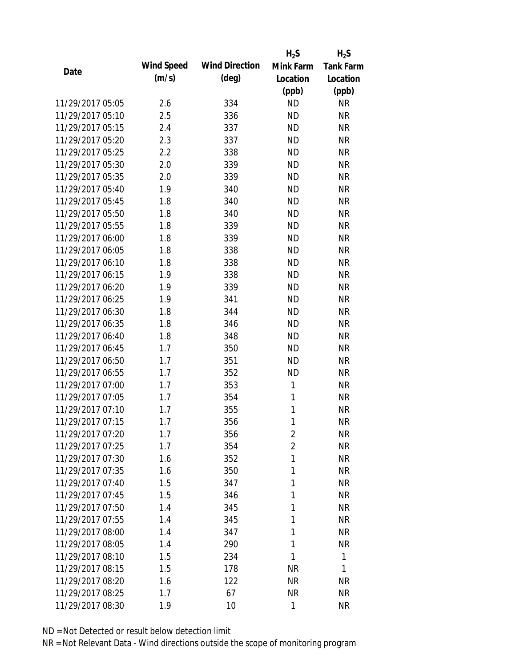|                  |            |                       | $H_2S$         | $H_2S$           |
|------------------|------------|-----------------------|----------------|------------------|
| Date             | Wind Speed | <b>Wind Direction</b> | Mink Farm      | <b>Tank Farm</b> |
|                  | (m/s)      | $(\text{deg})$        | Location       | Location         |
|                  |            |                       | (ppb)          | (ppb)            |
| 11/29/2017 05:05 | 2.6        | 334                   | <b>ND</b>      | <b>NR</b>        |
| 11/29/2017 05:10 | 2.5        | 336                   | <b>ND</b>      | <b>NR</b>        |
| 11/29/2017 05:15 | 2.4        | 337                   | <b>ND</b>      | <b>NR</b>        |
| 11/29/2017 05:20 | 2.3        | 337                   | <b>ND</b>      | <b>NR</b>        |
| 11/29/2017 05:25 | 2.2        | 338                   | <b>ND</b>      | <b>NR</b>        |
| 11/29/2017 05:30 | 2.0        | 339                   | <b>ND</b>      | <b>NR</b>        |
| 11/29/2017 05:35 | 2.0        | 339                   | <b>ND</b>      | <b>NR</b>        |
| 11/29/2017 05:40 | 1.9        | 340                   | <b>ND</b>      | <b>NR</b>        |
| 11/29/2017 05:45 | 1.8        | 340                   | <b>ND</b>      | <b>NR</b>        |
| 11/29/2017 05:50 | 1.8        | 340                   | <b>ND</b>      | <b>NR</b>        |
| 11/29/2017 05:55 | 1.8        | 339                   | <b>ND</b>      | <b>NR</b>        |
| 11/29/2017 06:00 | 1.8        | 339                   | <b>ND</b>      | <b>NR</b>        |
| 11/29/2017 06:05 | 1.8        | 338                   | <b>ND</b>      | <b>NR</b>        |
| 11/29/2017 06:10 | 1.8        | 338                   | <b>ND</b>      | <b>NR</b>        |
| 11/29/2017 06:15 | 1.9        | 338                   | <b>ND</b>      | <b>NR</b>        |
| 11/29/2017 06:20 | 1.9        | 339                   | <b>ND</b>      | <b>NR</b>        |
| 11/29/2017 06:25 | 1.9        | 341                   | <b>ND</b>      | <b>NR</b>        |
| 11/29/2017 06:30 | 1.8        | 344                   | <b>ND</b>      | <b>NR</b>        |
| 11/29/2017 06:35 | 1.8        | 346                   | <b>ND</b>      | <b>NR</b>        |
| 11/29/2017 06:40 | 1.8        | 348                   | <b>ND</b>      | <b>NR</b>        |
| 11/29/2017 06:45 | 1.7        | 350                   | <b>ND</b>      | <b>NR</b>        |
| 11/29/2017 06:50 | 1.7        | 351                   | <b>ND</b>      | <b>NR</b>        |
| 11/29/2017 06:55 | 1.7        | 352                   | <b>ND</b>      | <b>NR</b>        |
| 11/29/2017 07:00 | 1.7        | 353                   | 1              | <b>NR</b>        |
| 11/29/2017 07:05 | 1.7        | 354                   | 1              | <b>NR</b>        |
| 11/29/2017 07:10 | 1.7        | 355                   | 1              | <b>NR</b>        |
| 11/29/2017 07:15 | 1.7        | 356                   | 1              | <b>NR</b>        |
| 11/29/2017 07:20 | 1.7        | 356                   | $\overline{2}$ | <b>NR</b>        |
| 11/29/2017 07:25 | 1.7        | 354                   | $\overline{2}$ | <b>NR</b>        |
| 11/29/2017 07:30 | 1.6        | 352                   | 1              | <b>NR</b>        |
| 11/29/2017 07:35 | 1.6        | 350                   | 1              | <b>NR</b>        |
| 11/29/2017 07:40 | 1.5        | 347                   | 1              | <b>NR</b>        |
| 11/29/2017 07:45 | 1.5        | 346                   | 1              | <b>NR</b>        |
| 11/29/2017 07:50 | 1.4        | 345                   | 1              | <b>NR</b>        |
| 11/29/2017 07:55 | 1.4        | 345                   | 1              | <b>NR</b>        |
| 11/29/2017 08:00 | 1.4        | 347                   | 1              | <b>NR</b>        |
| 11/29/2017 08:05 | 1.4        | 290                   | 1              | <b>NR</b>        |
| 11/29/2017 08:10 | 1.5        | 234                   | 1              | 1                |
| 11/29/2017 08:15 | 1.5        | 178                   | <b>NR</b>      | 1                |
| 11/29/2017 08:20 | 1.6        | 122                   | <b>NR</b>      | NR               |
| 11/29/2017 08:25 | 1.7        | 67                    | <b>NR</b>      | <b>NR</b>        |
| 11/29/2017 08:30 | 1.9        | 10                    | 1              | <b>NR</b>        |
|                  |            |                       |                |                  |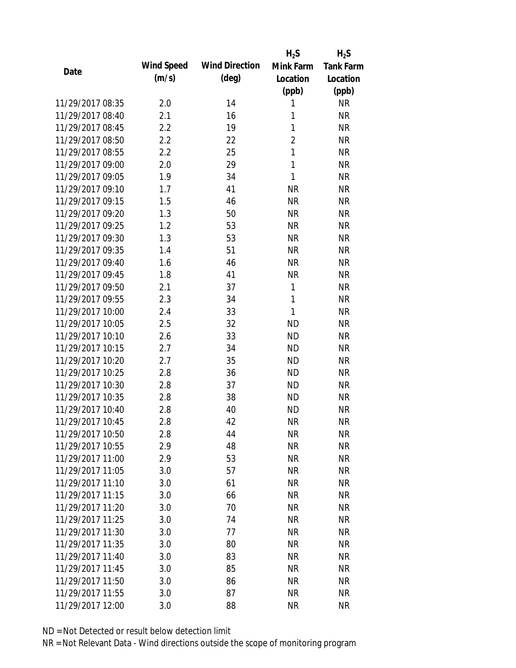|                  |            |                       | $H_2S$         | $H_2S$           |
|------------------|------------|-----------------------|----------------|------------------|
| Date             | Wind Speed | <b>Wind Direction</b> | Mink Farm      | <b>Tank Farm</b> |
|                  | (m/s)      | (deg)                 | Location       | Location         |
|                  |            |                       | (ppb)          | (ppb)            |
| 11/29/2017 08:35 | 2.0        | 14                    | 1              | <b>NR</b>        |
| 11/29/2017 08:40 | 2.1        | 16                    | 1              | <b>NR</b>        |
| 11/29/2017 08:45 | 2.2        | 19                    | 1              | <b>NR</b>        |
| 11/29/2017 08:50 | 2.2        | 22                    | $\overline{2}$ | <b>NR</b>        |
| 11/29/2017 08:55 | 2.2        | 25                    | $\mathbf{1}$   | <b>NR</b>        |
| 11/29/2017 09:00 | 2.0        | 29                    | $\mathbf{1}$   | <b>NR</b>        |
| 11/29/2017 09:05 | 1.9        | 34                    | 1              | <b>NR</b>        |
| 11/29/2017 09:10 | 1.7        | 41                    | <b>NR</b>      | <b>NR</b>        |
| 11/29/2017 09:15 | 1.5        | 46                    | <b>NR</b>      | <b>NR</b>        |
| 11/29/2017 09:20 | 1.3        | 50                    | <b>NR</b>      | <b>NR</b>        |
| 11/29/2017 09:25 | 1.2        | 53                    | <b>NR</b>      | <b>NR</b>        |
| 11/29/2017 09:30 | 1.3        | 53                    | <b>NR</b>      | <b>NR</b>        |
| 11/29/2017 09:35 | 1.4        | 51                    | <b>NR</b>      | <b>NR</b>        |
| 11/29/2017 09:40 | 1.6        | 46                    | <b>NR</b>      | <b>NR</b>        |
| 11/29/2017 09:45 | 1.8        | 41                    | <b>NR</b>      | <b>NR</b>        |
| 11/29/2017 09:50 | 2.1        | 37                    | 1              | <b>NR</b>        |
| 11/29/2017 09:55 | 2.3        | 34                    | 1              | <b>NR</b>        |
| 11/29/2017 10:00 | 2.4        | 33                    | $\mathbf{1}$   | <b>NR</b>        |
| 11/29/2017 10:05 | 2.5        | 32                    | <b>ND</b>      | <b>NR</b>        |
| 11/29/2017 10:10 | 2.6        | 33                    | <b>ND</b>      | <b>NR</b>        |
| 11/29/2017 10:15 | 2.7        | 34                    | <b>ND</b>      | <b>NR</b>        |
| 11/29/2017 10:20 | 2.7        | 35                    | <b>ND</b>      | <b>NR</b>        |
| 11/29/2017 10:25 | 2.8        | 36                    | <b>ND</b>      | <b>NR</b>        |
| 11/29/2017 10:30 | 2.8        | 37                    | <b>ND</b>      | <b>NR</b>        |
| 11/29/2017 10:35 | 2.8        | 38                    | <b>ND</b>      | <b>NR</b>        |
| 11/29/2017 10:40 | 2.8        | 40                    | <b>ND</b>      | <b>NR</b>        |
| 11/29/2017 10:45 | 2.8        | 42                    | <b>NR</b>      | <b>NR</b>        |
| 11/29/2017 10:50 | 2.8        | 44                    | <b>NR</b>      | <b>NR</b>        |
| 11/29/2017 10:55 | 2.9        | 48                    | <b>NR</b>      | <b>NR</b>        |
| 11/29/2017 11:00 | 2.9        | 53                    | NR             | <b>NR</b>        |
| 11/29/2017 11:05 | 3.0        | 57                    | <b>NR</b>      | <b>NR</b>        |
| 11/29/2017 11:10 | 3.0        | 61                    | <b>NR</b>      | <b>NR</b>        |
| 11/29/2017 11:15 | 3.0        | 66                    | <b>NR</b>      | <b>NR</b>        |
| 11/29/2017 11:20 | 3.0        | 70                    | <b>NR</b>      | <b>NR</b>        |
| 11/29/2017 11:25 | 3.0        | 74                    | <b>NR</b>      | <b>NR</b>        |
| 11/29/2017 11:30 | 3.0        | 77                    | <b>NR</b>      | <b>NR</b>        |
| 11/29/2017 11:35 | 3.0        | 80                    | <b>NR</b>      | <b>NR</b>        |
| 11/29/2017 11:40 | 3.0        | 83                    | NR             | <b>NR</b>        |
| 11/29/2017 11:45 | 3.0        | 85                    | <b>NR</b>      | <b>NR</b>        |
| 11/29/2017 11:50 | 3.0        | 86                    | <b>NR</b>      | NR               |
| 11/29/2017 11:55 | 3.0        | 87                    | <b>NR</b>      | <b>NR</b>        |
|                  |            |                       |                |                  |
| 11/29/2017 12:00 | 3.0        | 88                    | <b>NR</b>      | <b>NR</b>        |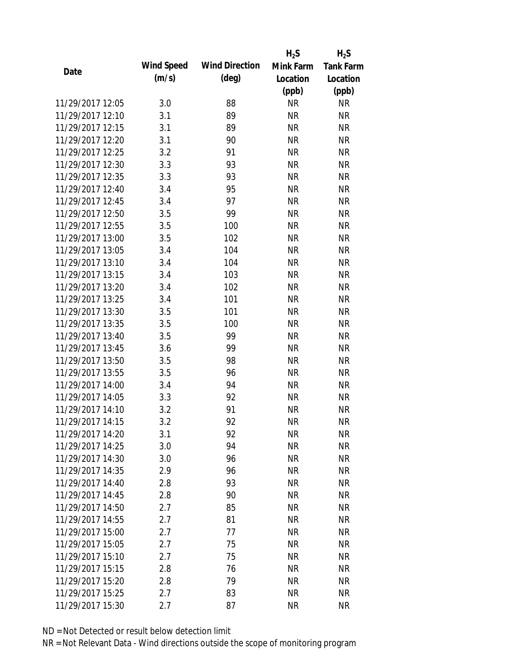|                  |            |                       | $H_2S$    | $H_2S$           |
|------------------|------------|-----------------------|-----------|------------------|
| Date             | Wind Speed | <b>Wind Direction</b> | Mink Farm | <b>Tank Farm</b> |
|                  | (m/s)      | $(\text{deg})$        | Location  | Location         |
|                  |            |                       | (ppb)     | (ppb)            |
| 11/29/2017 12:05 | 3.0        | 88                    | <b>NR</b> | <b>NR</b>        |
| 11/29/2017 12:10 | 3.1        | 89                    | <b>NR</b> | <b>NR</b>        |
| 11/29/2017 12:15 | 3.1        | 89                    | <b>NR</b> | <b>NR</b>        |
| 11/29/2017 12:20 | 3.1        | 90                    | <b>NR</b> | <b>NR</b>        |
| 11/29/2017 12:25 | 3.2        | 91                    | <b>NR</b> | <b>NR</b>        |
| 11/29/2017 12:30 | 3.3        | 93                    | <b>NR</b> | <b>NR</b>        |
| 11/29/2017 12:35 | 3.3        | 93                    | <b>NR</b> | <b>NR</b>        |
| 11/29/2017 12:40 | 3.4        | 95                    | <b>NR</b> | <b>NR</b>        |
| 11/29/2017 12:45 | 3.4        | 97                    | <b>NR</b> | <b>NR</b>        |
| 11/29/2017 12:50 | 3.5        | 99                    | <b>NR</b> | <b>NR</b>        |
| 11/29/2017 12:55 | 3.5        | 100                   | <b>NR</b> | <b>NR</b>        |
| 11/29/2017 13:00 | 3.5        | 102                   | <b>NR</b> | <b>NR</b>        |
| 11/29/2017 13:05 | 3.4        | 104                   | <b>NR</b> | <b>NR</b>        |
| 11/29/2017 13:10 | 3.4        | 104                   | <b>NR</b> | <b>NR</b>        |
| 11/29/2017 13:15 | 3.4        | 103                   | <b>NR</b> | <b>NR</b>        |
| 11/29/2017 13:20 | 3.4        | 102                   | <b>NR</b> | <b>NR</b>        |
| 11/29/2017 13:25 | 3.4        | 101                   | <b>NR</b> | <b>NR</b>        |
| 11/29/2017 13:30 | 3.5        | 101                   | <b>NR</b> | <b>NR</b>        |
| 11/29/2017 13:35 | 3.5        | 100                   | <b>NR</b> | <b>NR</b>        |
| 11/29/2017 13:40 | 3.5        | 99                    | <b>NR</b> | <b>NR</b>        |
| 11/29/2017 13:45 | 3.6        | 99                    | <b>NR</b> | <b>NR</b>        |
| 11/29/2017 13:50 | 3.5        | 98                    | <b>NR</b> | <b>NR</b>        |
| 11/29/2017 13:55 | 3.5        | 96                    | <b>NR</b> | <b>NR</b>        |
| 11/29/2017 14:00 | 3.4        | 94                    | <b>NR</b> | <b>NR</b>        |
| 11/29/2017 14:05 | 3.3        | 92                    | <b>NR</b> | <b>NR</b>        |
| 11/29/2017 14:10 | 3.2        | 91                    | <b>NR</b> | <b>NR</b>        |
| 11/29/2017 14:15 | 3.2        | 92                    | <b>NR</b> | <b>NR</b>        |
| 11/29/2017 14:20 | 3.1        | 92                    | <b>NR</b> | <b>NR</b>        |
| 11/29/2017 14:25 | 3.0        | 94                    | <b>NR</b> | <b>NR</b>        |
| 11/29/2017 14:30 | 3.0        | 96                    | <b>NR</b> | <b>NR</b>        |
| 11/29/2017 14:35 | 2.9        | 96                    | <b>NR</b> | <b>NR</b>        |
| 11/29/2017 14:40 | 2.8        | 93                    | <b>NR</b> | <b>NR</b>        |
| 11/29/2017 14:45 | 2.8        | 90                    | <b>NR</b> | <b>NR</b>        |
| 11/29/2017 14:50 | 2.7        | 85                    | <b>NR</b> | <b>NR</b>        |
| 11/29/2017 14:55 | 2.7        | 81                    | <b>NR</b> | <b>NR</b>        |
| 11/29/2017 15:00 | 2.7        | 77                    | <b>NR</b> | <b>NR</b>        |
| 11/29/2017 15:05 | 2.7        | 75                    | <b>NR</b> | <b>NR</b>        |
| 11/29/2017 15:10 | 2.7        | 75                    | NR        | <b>NR</b>        |
| 11/29/2017 15:15 | 2.8        | 76                    | <b>NR</b> | <b>NR</b>        |
| 11/29/2017 15:20 | 2.8        | 79                    | <b>NR</b> | <b>NR</b>        |
| 11/29/2017 15:25 | 2.7        | 83                    | <b>NR</b> | <b>NR</b>        |
| 11/29/2017 15:30 | 2.7        | 87                    | <b>NR</b> | <b>NR</b>        |
|                  |            |                       |           |                  |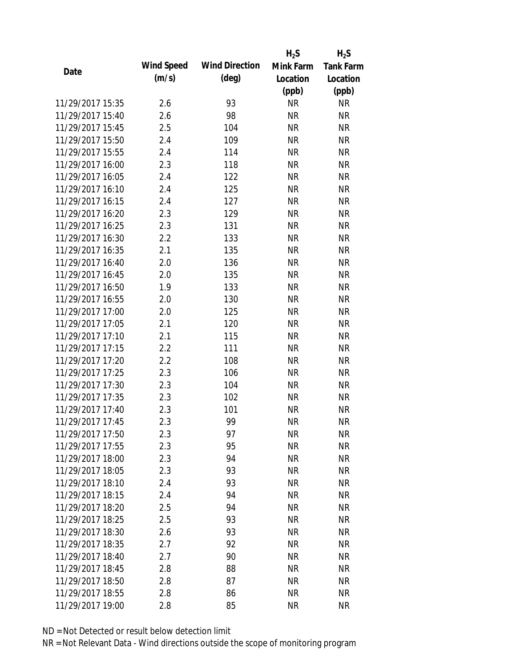|                  |            |                       | $H_2S$    | $H_2S$           |
|------------------|------------|-----------------------|-----------|------------------|
| Date             | Wind Speed | <b>Wind Direction</b> | Mink Farm | <b>Tank Farm</b> |
|                  | (m/s)      | $(\text{deg})$        | Location  | Location         |
|                  |            |                       | (ppb)     | (ppb)            |
| 11/29/2017 15:35 | 2.6        | 93                    | <b>NR</b> | <b>NR</b>        |
| 11/29/2017 15:40 | 2.6        | 98                    | <b>NR</b> | <b>NR</b>        |
| 11/29/2017 15:45 | 2.5        | 104                   | <b>NR</b> | <b>NR</b>        |
| 11/29/2017 15:50 | 2.4        | 109                   | <b>NR</b> | <b>NR</b>        |
| 11/29/2017 15:55 | 2.4        | 114                   | <b>NR</b> | <b>NR</b>        |
| 11/29/2017 16:00 | 2.3        | 118                   | <b>NR</b> | <b>NR</b>        |
| 11/29/2017 16:05 | 2.4        | 122                   | <b>NR</b> | <b>NR</b>        |
| 11/29/2017 16:10 | 2.4        | 125                   | <b>NR</b> | <b>NR</b>        |
| 11/29/2017 16:15 | 2.4        | 127                   | <b>NR</b> | <b>NR</b>        |
| 11/29/2017 16:20 | 2.3        | 129                   | <b>NR</b> | <b>NR</b>        |
| 11/29/2017 16:25 | 2.3        | 131                   | <b>NR</b> | <b>NR</b>        |
| 11/29/2017 16:30 | 2.2        | 133                   | <b>NR</b> | <b>NR</b>        |
| 11/29/2017 16:35 | 2.1        | 135                   | <b>NR</b> | <b>NR</b>        |
| 11/29/2017 16:40 | 2.0        | 136                   | <b>NR</b> | <b>NR</b>        |
| 11/29/2017 16:45 | 2.0        | 135                   | <b>NR</b> | <b>NR</b>        |
| 11/29/2017 16:50 | 1.9        | 133                   | <b>NR</b> | <b>NR</b>        |
| 11/29/2017 16:55 | 2.0        | 130                   | <b>NR</b> | <b>NR</b>        |
| 11/29/2017 17:00 | 2.0        | 125                   | <b>NR</b> | <b>NR</b>        |
| 11/29/2017 17:05 | 2.1        | 120                   | <b>NR</b> | <b>NR</b>        |
| 11/29/2017 17:10 | 2.1        | 115                   | <b>NR</b> | <b>NR</b>        |
| 11/29/2017 17:15 | 2.2        | 111                   | <b>NR</b> | <b>NR</b>        |
| 11/29/2017 17:20 | 2.2        | 108                   | <b>NR</b> | <b>NR</b>        |
| 11/29/2017 17:25 | 2.3        | 106                   | <b>NR</b> | <b>NR</b>        |
| 11/29/2017 17:30 | 2.3        | 104                   | <b>NR</b> | <b>NR</b>        |
| 11/29/2017 17:35 | 2.3        | 102                   | <b>NR</b> | <b>NR</b>        |
| 11/29/2017 17:40 | 2.3        | 101                   | <b>NR</b> | <b>NR</b>        |
| 11/29/2017 17:45 | 2.3        | 99                    | <b>NR</b> | <b>NR</b>        |
| 11/29/2017 17:50 | 2.3        | 97                    | <b>NR</b> | <b>NR</b>        |
| 11/29/2017 17:55 | 2.3        | 95                    | <b>NR</b> | <b>NR</b>        |
| 11/29/2017 18:00 | 2.3        | 94                    | <b>NR</b> | <b>NR</b>        |
| 11/29/2017 18:05 | 2.3        | 93                    | <b>NR</b> | <b>NR</b>        |
| 11/29/2017 18:10 | 2.4        | 93                    | <b>NR</b> | <b>NR</b>        |
| 11/29/2017 18:15 | 2.4        | 94                    | <b>NR</b> | <b>NR</b>        |
| 11/29/2017 18:20 | 2.5        | 94                    | <b>NR</b> | <b>NR</b>        |
| 11/29/2017 18:25 | 2.5        | 93                    | <b>NR</b> | <b>NR</b>        |
| 11/29/2017 18:30 | 2.6        | 93                    | <b>NR</b> | <b>NR</b>        |
| 11/29/2017 18:35 | 2.7        | 92                    | NR        | <b>NR</b>        |
|                  |            |                       |           |                  |
| 11/29/2017 18:40 | 2.7        | 90                    | NR        | <b>NR</b>        |
| 11/29/2017 18:45 | 2.8        | 88                    | <b>NR</b> | <b>NR</b>        |
| 11/29/2017 18:50 | 2.8        | 87                    | <b>NR</b> | <b>NR</b>        |
| 11/29/2017 18:55 | 2.8        | 86                    | <b>NR</b> | <b>NR</b>        |
| 11/29/2017 19:00 | 2.8        | 85                    | <b>NR</b> | <b>NR</b>        |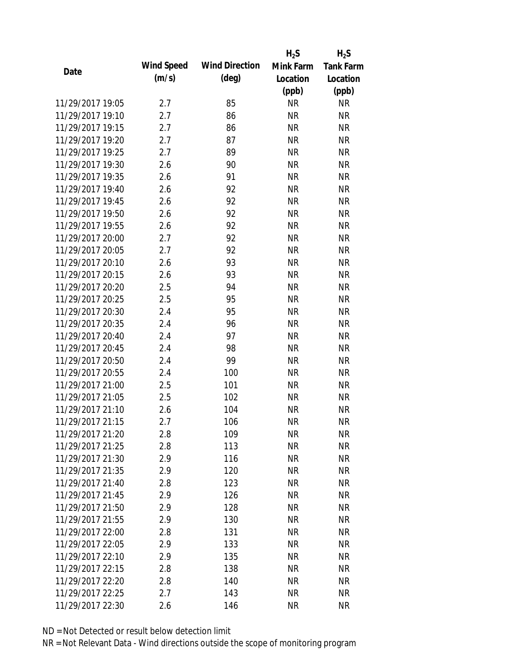|                  |            |                       | $H_2S$    | $H_2S$           |
|------------------|------------|-----------------------|-----------|------------------|
| Date             | Wind Speed | <b>Wind Direction</b> | Mink Farm | <b>Tank Farm</b> |
|                  | (m/s)      | $(\text{deg})$        | Location  | Location         |
|                  |            |                       | (ppb)     | (ppb)            |
| 11/29/2017 19:05 | 2.7        | 85                    | <b>NR</b> | <b>NR</b>        |
| 11/29/2017 19:10 | 2.7        | 86                    | <b>NR</b> | <b>NR</b>        |
| 11/29/2017 19:15 | 2.7        | 86                    | <b>NR</b> | <b>NR</b>        |
| 11/29/2017 19:20 | 2.7        | 87                    | <b>NR</b> | <b>NR</b>        |
| 11/29/2017 19:25 | 2.7        | 89                    | <b>NR</b> | <b>NR</b>        |
| 11/29/2017 19:30 | 2.6        | 90                    | <b>NR</b> | <b>NR</b>        |
| 11/29/2017 19:35 | 2.6        | 91                    | <b>NR</b> | <b>NR</b>        |
| 11/29/2017 19:40 | 2.6        | 92                    | <b>NR</b> | <b>NR</b>        |
| 11/29/2017 19:45 | 2.6        | 92                    | <b>NR</b> | <b>NR</b>        |
| 11/29/2017 19:50 | 2.6        | 92                    | <b>NR</b> | <b>NR</b>        |
| 11/29/2017 19:55 | 2.6        | 92                    | <b>NR</b> | <b>NR</b>        |
| 11/29/2017 20:00 | 2.7        | 92                    | <b>NR</b> | <b>NR</b>        |
| 11/29/2017 20:05 | 2.7        | 92                    | <b>NR</b> | <b>NR</b>        |
| 11/29/2017 20:10 | 2.6        | 93                    | <b>NR</b> | <b>NR</b>        |
| 11/29/2017 20:15 | 2.6        | 93                    | <b>NR</b> | <b>NR</b>        |
| 11/29/2017 20:20 | 2.5        | 94                    | <b>NR</b> | <b>NR</b>        |
| 11/29/2017 20:25 | 2.5        | 95                    | <b>NR</b> | <b>NR</b>        |
| 11/29/2017 20:30 | 2.4        | 95                    | <b>NR</b> | <b>NR</b>        |
| 11/29/2017 20:35 | 2.4        | 96                    | <b>NR</b> | <b>NR</b>        |
| 11/29/2017 20:40 | 2.4        | 97                    | <b>NR</b> | <b>NR</b>        |
| 11/29/2017 20:45 | 2.4        | 98                    | <b>NR</b> | <b>NR</b>        |
| 11/29/2017 20:50 | 2.4        | 99                    | <b>NR</b> | <b>NR</b>        |
| 11/29/2017 20:55 | 2.4        | 100                   | <b>NR</b> | <b>NR</b>        |
| 11/29/2017 21:00 | 2.5        | 101                   | <b>NR</b> | <b>NR</b>        |
| 11/29/2017 21:05 | 2.5        | 102                   | <b>NR</b> | <b>NR</b>        |
| 11/29/2017 21:10 | 2.6        | 104                   | <b>NR</b> | <b>NR</b>        |
| 11/29/2017 21:15 | 2.7        | 106                   | <b>NR</b> | <b>NR</b>        |
| 11/29/2017 21:20 | 2.8        | 109                   | NR        | <b>NR</b>        |
| 11/29/2017 21:25 | 2.8        | 113                   | <b>NR</b> | <b>NR</b>        |
| 11/29/2017 21:30 | 2.9        | 116                   | NR        | <b>NR</b>        |
| 11/29/2017 21:35 | 2.9        | 120                   | <b>NR</b> | <b>NR</b>        |
| 11/29/2017 21:40 | 2.8        | 123                   | <b>NR</b> | <b>NR</b>        |
| 11/29/2017 21:45 | 2.9        | 126                   | <b>NR</b> | <b>NR</b>        |
| 11/29/2017 21:50 | 2.9        | 128                   | <b>NR</b> | <b>NR</b>        |
| 11/29/2017 21:55 | 2.9        | 130                   | <b>NR</b> | <b>NR</b>        |
| 11/29/2017 22:00 | 2.8        | 131                   | <b>NR</b> | <b>NR</b>        |
| 11/29/2017 22:05 | 2.9        | 133                   | NR        | <b>NR</b>        |
| 11/29/2017 22:10 | 2.9        | 135                   | NR        | <b>NR</b>        |
| 11/29/2017 22:15 | 2.8        | 138                   | <b>NR</b> | <b>NR</b>        |
| 11/29/2017 22:20 | 2.8        | 140                   | <b>NR</b> | <b>NR</b>        |
| 11/29/2017 22:25 | 2.7        | 143                   | <b>NR</b> | <b>NR</b>        |
| 11/29/2017 22:30 | 2.6        | 146                   | <b>NR</b> | <b>NR</b>        |
|                  |            |                       |           |                  |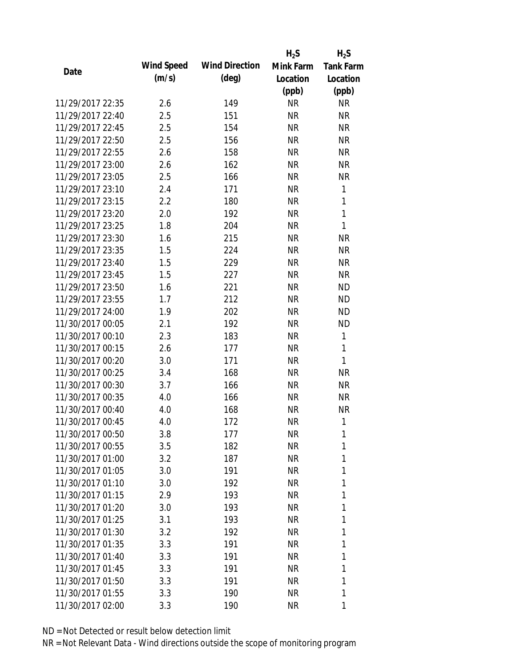|                  |            |                       | $H_2S$    | $H_2S$           |
|------------------|------------|-----------------------|-----------|------------------|
|                  | Wind Speed | <b>Wind Direction</b> | Mink Farm | <b>Tank Farm</b> |
| Date             | (m/s)      | $(\text{deg})$        | Location  | Location         |
|                  |            |                       | (ppb)     | (ppb)            |
| 11/29/2017 22:35 | 2.6        | 149                   | <b>NR</b> | <b>NR</b>        |
| 11/29/2017 22:40 | 2.5        | 151                   | <b>NR</b> | <b>NR</b>        |
| 11/29/2017 22:45 | 2.5        | 154                   | <b>NR</b> | <b>NR</b>        |
| 11/29/2017 22:50 | 2.5        | 156                   | <b>NR</b> | <b>NR</b>        |
| 11/29/2017 22:55 | 2.6        | 158                   | <b>NR</b> | <b>NR</b>        |
| 11/29/2017 23:00 | 2.6        | 162                   | <b>NR</b> | <b>NR</b>        |
| 11/29/2017 23:05 | 2.5        | 166                   | <b>NR</b> | <b>NR</b>        |
| 11/29/2017 23:10 | 2.4        | 171                   | <b>NR</b> | $\mathbf{1}$     |
| 11/29/2017 23:15 | 2.2        | 180                   | <b>NR</b> | 1                |
| 11/29/2017 23:20 | 2.0        | 192                   | <b>NR</b> | $\mathbf{1}$     |
| 11/29/2017 23:25 | 1.8        | 204                   | <b>NR</b> | 1                |
| 11/29/2017 23:30 | 1.6        | 215                   | <b>NR</b> | <b>NR</b>        |
| 11/29/2017 23:35 | 1.5        | 224                   | <b>NR</b> | <b>NR</b>        |
| 11/29/2017 23:40 | 1.5        | 229                   | <b>NR</b> | <b>NR</b>        |
| 11/29/2017 23:45 | 1.5        | 227                   | <b>NR</b> | <b>NR</b>        |
| 11/29/2017 23:50 | 1.6        | 221                   | <b>NR</b> | <b>ND</b>        |
| 11/29/2017 23:55 | 1.7        | 212                   | <b>NR</b> | <b>ND</b>        |
| 11/29/2017 24:00 | 1.9        | 202                   | <b>NR</b> | <b>ND</b>        |
| 11/30/2017 00:05 | 2.1        | 192                   | <b>NR</b> | <b>ND</b>        |
| 11/30/2017 00:10 | 2.3        | 183                   | <b>NR</b> | $\mathbf{1}$     |
| 11/30/2017 00:15 | 2.6        | 177                   | <b>NR</b> | 1                |
| 11/30/2017 00:20 | 3.0        | 171                   | <b>NR</b> | 1                |
| 11/30/2017 00:25 | 3.4        | 168                   | <b>NR</b> | <b>NR</b>        |
| 11/30/2017 00:30 | 3.7        | 166                   | <b>NR</b> | <b>NR</b>        |
| 11/30/2017 00:35 | 4.0        | 166                   | <b>NR</b> | <b>NR</b>        |
| 11/30/2017 00:40 | 4.0        | 168                   | <b>NR</b> | <b>NR</b>        |
| 11/30/2017 00:45 | 4.0        | 172                   | <b>NR</b> | 1                |
| 11/30/2017 00:50 | 3.8        | 177                   | <b>NR</b> | 1                |
| 11/30/2017 00:55 | 3.5        | 182                   | <b>NR</b> | 1                |
| 11/30/2017 01:00 | 3.2        | 187                   | <b>NR</b> | 1                |
| 11/30/2017 01:05 | 3.0        | 191                   | <b>NR</b> | 1                |
| 11/30/2017 01:10 | 3.0        | 192                   | <b>NR</b> | 1                |
| 11/30/2017 01:15 | 2.9        | 193                   | NR        | 1                |
| 11/30/2017 01:20 | 3.0        | 193                   | <b>NR</b> | 1                |
| 11/30/2017 01:25 | 3.1        | 193                   | NR        | 1                |
| 11/30/2017 01:30 | 3.2        | 192                   | NR        | 1                |
| 11/30/2017 01:35 | 3.3        | 191                   | <b>NR</b> | 1                |
| 11/30/2017 01:40 | 3.3        | 191                   | NR        | 1                |
| 11/30/2017 01:45 | 3.3        | 191                   | <b>NR</b> | 1                |
| 11/30/2017 01:50 | 3.3        | 191                   | NR        | 1                |
| 11/30/2017 01:55 | 3.3        | 190                   | <b>NR</b> | 1                |
| 11/30/2017 02:00 | 3.3        | 190                   | <b>NR</b> | 1                |
|                  |            |                       |           |                  |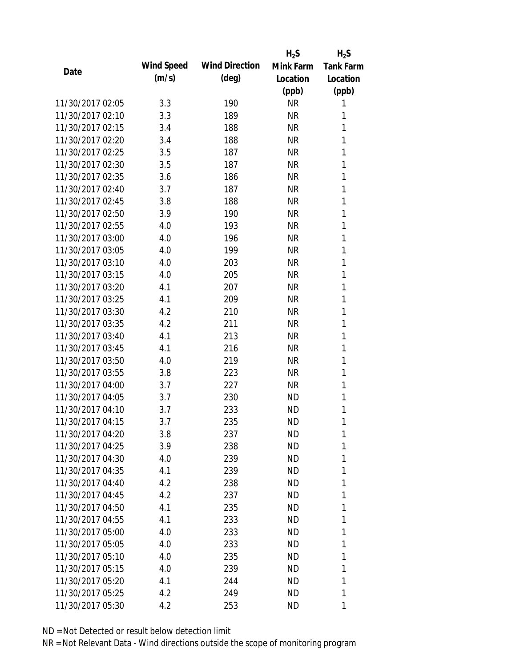|                  |            |                       | $H_2S$    | $H_2S$           |
|------------------|------------|-----------------------|-----------|------------------|
| Date             | Wind Speed | <b>Wind Direction</b> | Mink Farm | <b>Tank Farm</b> |
|                  | (m/s)      | $(\text{deg})$        | Location  | Location         |
|                  |            |                       | (ppb)     | (ppb)            |
| 11/30/2017 02:05 | 3.3        | 190                   | <b>NR</b> | 1                |
| 11/30/2017 02:10 | 3.3        | 189                   | <b>NR</b> | 1                |
| 11/30/2017 02:15 | 3.4        | 188                   | <b>NR</b> | 1                |
| 11/30/2017 02:20 | 3.4        | 188                   | <b>NR</b> | 1                |
| 11/30/2017 02:25 | 3.5        | 187                   | <b>NR</b> | 1                |
| 11/30/2017 02:30 | 3.5        | 187                   | <b>NR</b> | 1                |
| 11/30/2017 02:35 | 3.6        | 186                   | <b>NR</b> | 1                |
| 11/30/2017 02:40 | 3.7        | 187                   | <b>NR</b> | 1                |
| 11/30/2017 02:45 | 3.8        | 188                   | <b>NR</b> | 1                |
| 11/30/2017 02:50 | 3.9        | 190                   | <b>NR</b> | 1                |
| 11/30/2017 02:55 | 4.0        | 193                   | <b>NR</b> | 1                |
| 11/30/2017 03:00 | 4.0        | 196                   | <b>NR</b> | 1                |
| 11/30/2017 03:05 | 4.0        | 199                   | <b>NR</b> | 1                |
| 11/30/2017 03:10 | 4.0        | 203                   | <b>NR</b> | 1                |
| 11/30/2017 03:15 | 4.0        | 205                   | <b>NR</b> | 1                |
| 11/30/2017 03:20 | 4.1        | 207                   | <b>NR</b> | 1                |
| 11/30/2017 03:25 | 4.1        | 209                   | <b>NR</b> | 1                |
| 11/30/2017 03:30 | 4.2        | 210                   | <b>NR</b> | 1                |
| 11/30/2017 03:35 | 4.2        | 211                   | <b>NR</b> | 1                |
| 11/30/2017 03:40 | 4.1        | 213                   | <b>NR</b> | 1                |
| 11/30/2017 03:45 | 4.1        | 216                   | <b>NR</b> | 1                |
| 11/30/2017 03:50 | 4.0        | 219                   | <b>NR</b> | 1                |
| 11/30/2017 03:55 | 3.8        | 223                   | <b>NR</b> | 1                |
| 11/30/2017 04:00 | 3.7        | 227                   | <b>NR</b> | 1                |
| 11/30/2017 04:05 | 3.7        | 230                   | <b>ND</b> | 1                |
| 11/30/2017 04:10 | 3.7        | 233                   | <b>ND</b> | 1                |
| 11/30/2017 04:15 | 3.7        | 235                   | <b>ND</b> | 1                |
| 11/30/2017 04:20 | 3.8        | 237                   | ND        | 1                |
| 11/30/2017 04:25 | 3.9        | 238                   | <b>ND</b> | 1                |
| 11/30/2017 04:30 | 4.0        | 239                   | <b>ND</b> | 1                |
| 11/30/2017 04:35 | 4.1        | 239                   | ND        | 1                |
| 11/30/2017 04:40 | 4.2        | 238                   | <b>ND</b> | 1                |
| 11/30/2017 04:45 | 4.2        | 237                   | ND        | 1                |
| 11/30/2017 04:50 | 4.1        | 235                   | <b>ND</b> | 1                |
| 11/30/2017 04:55 | 4.1        | 233                   | <b>ND</b> | 1                |
| 11/30/2017 05:00 | 4.0        | 233                   | ND        | 1                |
| 11/30/2017 05:05 | 4.0        | 233                   | ND        | 1                |
| 11/30/2017 05:10 | 4.0        | 235                   | ND        | 1                |
| 11/30/2017 05:15 | 4.0        | 239                   | <b>ND</b> | 1                |
| 11/30/2017 05:20 | 4.1        | 244                   | ND        | 1                |
| 11/30/2017 05:25 | 4.2        | 249                   | ND        | 1                |
| 11/30/2017 05:30 | 4.2        | 253                   | ND        | 1                |
|                  |            |                       |           |                  |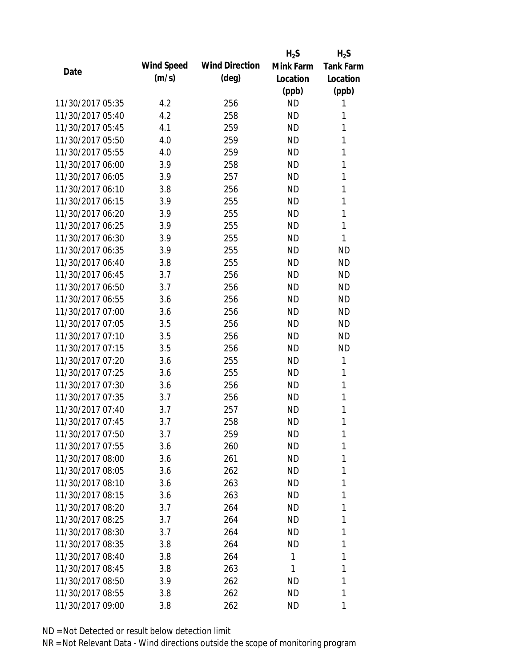|                  |            |                       | $H_2S$    | $H_2S$           |
|------------------|------------|-----------------------|-----------|------------------|
| Date             | Wind Speed | <b>Wind Direction</b> | Mink Farm | <b>Tank Farm</b> |
|                  | (m/s)      | $(\text{deg})$        | Location  | Location         |
|                  |            |                       | (ppb)     | (ppb)            |
| 11/30/2017 05:35 | 4.2        | 256                   | <b>ND</b> | 1                |
| 11/30/2017 05:40 | 4.2        | 258                   | <b>ND</b> | 1                |
| 11/30/2017 05:45 | 4.1        | 259                   | <b>ND</b> | 1                |
| 11/30/2017 05:50 | 4.0        | 259                   | <b>ND</b> | 1                |
| 11/30/2017 05:55 | 4.0        | 259                   | <b>ND</b> | 1                |
| 11/30/2017 06:00 | 3.9        | 258                   | <b>ND</b> | 1                |
| 11/30/2017 06:05 | 3.9        | 257                   | <b>ND</b> | 1                |
| 11/30/2017 06:10 | 3.8        | 256                   | <b>ND</b> | 1                |
| 11/30/2017 06:15 | 3.9        | 255                   | <b>ND</b> | 1                |
| 11/30/2017 06:20 | 3.9        | 255                   | <b>ND</b> | 1                |
| 11/30/2017 06:25 | 3.9        | 255                   | <b>ND</b> | 1                |
| 11/30/2017 06:30 | 3.9        | 255                   | <b>ND</b> | 1                |
| 11/30/2017 06:35 | 3.9        | 255                   | <b>ND</b> | <b>ND</b>        |
| 11/30/2017 06:40 | 3.8        | 255                   | <b>ND</b> | <b>ND</b>        |
| 11/30/2017 06:45 | 3.7        | 256                   | <b>ND</b> | <b>ND</b>        |
| 11/30/2017 06:50 | 3.7        | 256                   | <b>ND</b> | <b>ND</b>        |
| 11/30/2017 06:55 | 3.6        | 256                   | <b>ND</b> | <b>ND</b>        |
| 11/30/2017 07:00 | 3.6        | 256                   | <b>ND</b> | <b>ND</b>        |
| 11/30/2017 07:05 | 3.5        | 256                   | <b>ND</b> | <b>ND</b>        |
| 11/30/2017 07:10 | 3.5        | 256                   | <b>ND</b> | <b>ND</b>        |
| 11/30/2017 07:15 | 3.5        | 256                   | <b>ND</b> | <b>ND</b>        |
| 11/30/2017 07:20 | 3.6        | 255                   | <b>ND</b> | 1                |
| 11/30/2017 07:25 | 3.6        | 255                   | <b>ND</b> | 1                |
| 11/30/2017 07:30 | 3.6        | 256                   | <b>ND</b> | 1                |
| 11/30/2017 07:35 | 3.7        | 256                   | <b>ND</b> | 1                |
| 11/30/2017 07:40 | 3.7        | 257                   | <b>ND</b> | 1                |
| 11/30/2017 07:45 | 3.7        | 258                   | <b>ND</b> | 1                |
| 11/30/2017 07:50 | 3.7        | 259                   | ND        | 1                |
| 11/30/2017 07:55 | 3.6        | 260                   | <b>ND</b> | 1                |
| 11/30/2017 08:00 | 3.6        | 261                   | <b>ND</b> | 1                |
| 11/30/2017 08:05 | 3.6        | 262                   | ND        | 1                |
| 11/30/2017 08:10 | 3.6        | 263                   | <b>ND</b> | 1                |
| 11/30/2017 08:15 | 3.6        | 263                   | ND        | 1                |
| 11/30/2017 08:20 | 3.7        | 264                   | <b>ND</b> | 1                |
| 11/30/2017 08:25 | 3.7        | 264                   | <b>ND</b> | 1                |
| 11/30/2017 08:30 | 3.7        | 264                   | ND        | 1                |
| 11/30/2017 08:35 | 3.8        | 264                   | ΝD        | 1                |
| 11/30/2017 08:40 | 3.8        | 264                   | 1         | 1                |
| 11/30/2017 08:45 | 3.8        | 263                   | 1         | 1                |
| 11/30/2017 08:50 | 3.9        | 262                   | ND        | 1                |
| 11/30/2017 08:55 | 3.8        | 262                   | <b>ND</b> | 1                |
| 11/30/2017 09:00 | 3.8        | 262                   | ND        | 1                |
|                  |            |                       |           |                  |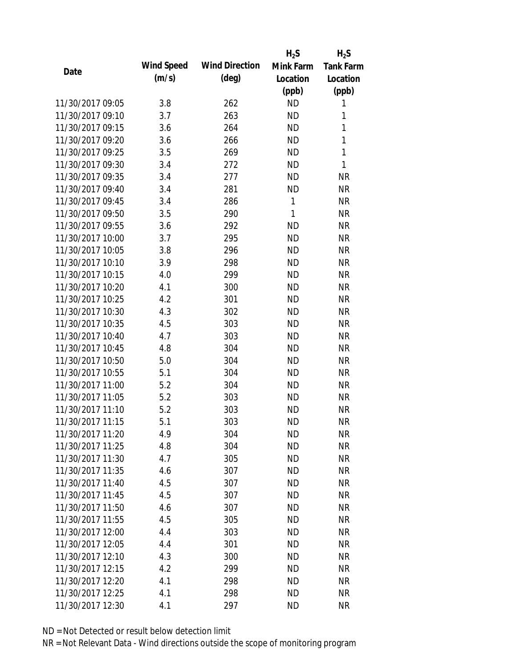|                  |            |                       | $H_2S$       | $H_2S$           |
|------------------|------------|-----------------------|--------------|------------------|
| Date             | Wind Speed | <b>Wind Direction</b> | Mink Farm    | <b>Tank Farm</b> |
|                  | (m/s)      | $(\text{deg})$        | Location     | Location         |
|                  |            |                       | (ppb)        | (ppb)            |
| 11/30/2017 09:05 | 3.8        | 262                   | <b>ND</b>    | 1                |
| 11/30/2017 09:10 | 3.7        | 263                   | <b>ND</b>    | 1                |
| 11/30/2017 09:15 | 3.6        | 264                   | <b>ND</b>    | $\mathbf{1}$     |
| 11/30/2017 09:20 | 3.6        | 266                   | <b>ND</b>    | 1                |
| 11/30/2017 09:25 | 3.5        | 269                   | <b>ND</b>    | $\mathbf{1}$     |
| 11/30/2017 09:30 | 3.4        | 272                   | <b>ND</b>    | 1                |
| 11/30/2017 09:35 | 3.4        | 277                   | <b>ND</b>    | <b>NR</b>        |
| 11/30/2017 09:40 | 3.4        | 281                   | <b>ND</b>    | <b>NR</b>        |
| 11/30/2017 09:45 | 3.4        | 286                   | 1            | <b>NR</b>        |
| 11/30/2017 09:50 | 3.5        | 290                   | $\mathbf{1}$ | <b>NR</b>        |
| 11/30/2017 09:55 | 3.6        | 292                   | <b>ND</b>    | <b>NR</b>        |
| 11/30/2017 10:00 | 3.7        | 295                   | <b>ND</b>    | <b>NR</b>        |
| 11/30/2017 10:05 | 3.8        | 296                   | <b>ND</b>    | <b>NR</b>        |
| 11/30/2017 10:10 | 3.9        | 298                   | <b>ND</b>    | <b>NR</b>        |
| 11/30/2017 10:15 | 4.0        | 299                   | <b>ND</b>    | <b>NR</b>        |
| 11/30/2017 10:20 | 4.1        | 300                   | <b>ND</b>    | <b>NR</b>        |
| 11/30/2017 10:25 | 4.2        | 301                   | <b>ND</b>    | <b>NR</b>        |
| 11/30/2017 10:30 | 4.3        | 302                   | <b>ND</b>    | <b>NR</b>        |
| 11/30/2017 10:35 | 4.5        | 303                   | <b>ND</b>    | <b>NR</b>        |
| 11/30/2017 10:40 | 4.7        | 303                   | <b>ND</b>    | <b>NR</b>        |
| 11/30/2017 10:45 | 4.8        | 304                   | <b>ND</b>    | <b>NR</b>        |
| 11/30/2017 10:50 | 5.0        | 304                   | <b>ND</b>    | <b>NR</b>        |
| 11/30/2017 10:55 | 5.1        | 304                   | <b>ND</b>    | <b>NR</b>        |
| 11/30/2017 11:00 | 5.2        | 304                   | <b>ND</b>    | <b>NR</b>        |
| 11/30/2017 11:05 | 5.2        | 303                   | <b>ND</b>    | <b>NR</b>        |
| 11/30/2017 11:10 | 5.2        | 303                   | <b>ND</b>    | <b>NR</b>        |
| 11/30/2017 11:15 | 5.1        | 303                   | <b>ND</b>    | <b>NR</b>        |
| 11/30/2017 11:20 | 4.9        | 304                   | <b>ND</b>    | <b>NR</b>        |
| 11/30/2017 11:25 | 4.8        | 304                   | <b>ND</b>    | <b>NR</b>        |
| 11/30/2017 11:30 | 4.7        | 305                   | ND           | <b>NR</b>        |
| 11/30/2017 11:35 | 4.6        | 307                   | <b>ND</b>    | <b>NR</b>        |
| 11/30/2017 11:40 | 4.5        | 307                   | <b>ND</b>    | <b>NR</b>        |
| 11/30/2017 11:45 | 4.5        | 307                   | <b>ND</b>    | <b>NR</b>        |
| 11/30/2017 11:50 | 4.6        | 307                   | <b>ND</b>    | <b>NR</b>        |
| 11/30/2017 11:55 | 4.5        | 305                   | <b>ND</b>    | <b>NR</b>        |
| 11/30/2017 12:00 | 4.4        | 303                   | <b>ND</b>    | <b>NR</b>        |
| 11/30/2017 12:05 | 4.4        | 301                   | <b>ND</b>    | <b>NR</b>        |
| 11/30/2017 12:10 | 4.3        | 300                   | <b>ND</b>    | <b>NR</b>        |
| 11/30/2017 12:15 | 4.2        | 299                   | <b>ND</b>    | <b>NR</b>        |
| 11/30/2017 12:20 | 4.1        | 298                   | <b>ND</b>    | <b>NR</b>        |
| 11/30/2017 12:25 | 4.1        | 298                   | <b>ND</b>    | <b>NR</b>        |
| 11/30/2017 12:30 | 4.1        | 297                   | <b>ND</b>    | <b>NR</b>        |
|                  |            |                       |              |                  |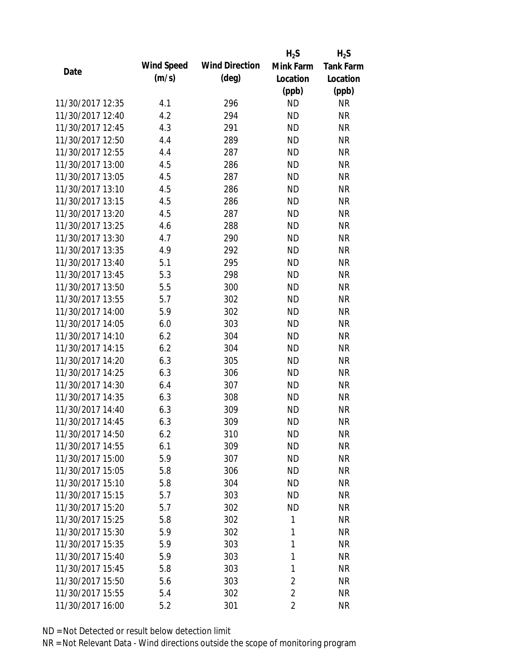|                  |            |                       | $H_2S$         | $H_2S$           |
|------------------|------------|-----------------------|----------------|------------------|
| Date             | Wind Speed | <b>Wind Direction</b> | Mink Farm      | <b>Tank Farm</b> |
|                  | (m/s)      | $(\text{deg})$        | Location       | Location         |
|                  |            |                       | (ppb)          | (ppb)            |
| 11/30/2017 12:35 | 4.1        | 296                   | <b>ND</b>      | <b>NR</b>        |
| 11/30/2017 12:40 | 4.2        | 294                   | <b>ND</b>      | <b>NR</b>        |
| 11/30/2017 12:45 | 4.3        | 291                   | <b>ND</b>      | <b>NR</b>        |
| 11/30/2017 12:50 | 4.4        | 289                   | <b>ND</b>      | <b>NR</b>        |
| 11/30/2017 12:55 | 4.4        | 287                   | <b>ND</b>      | <b>NR</b>        |
| 11/30/2017 13:00 | 4.5        | 286                   | <b>ND</b>      | <b>NR</b>        |
| 11/30/2017 13:05 | 4.5        | 287                   | <b>ND</b>      | <b>NR</b>        |
| 11/30/2017 13:10 | 4.5        | 286                   | <b>ND</b>      | <b>NR</b>        |
| 11/30/2017 13:15 | 4.5        | 286                   | <b>ND</b>      | <b>NR</b>        |
| 11/30/2017 13:20 | 4.5        | 287                   | <b>ND</b>      | <b>NR</b>        |
| 11/30/2017 13:25 | 4.6        | 288                   | <b>ND</b>      | <b>NR</b>        |
| 11/30/2017 13:30 | 4.7        | 290                   | <b>ND</b>      | <b>NR</b>        |
| 11/30/2017 13:35 | 4.9        | 292                   | <b>ND</b>      | <b>NR</b>        |
| 11/30/2017 13:40 | 5.1        | 295                   | <b>ND</b>      | <b>NR</b>        |
| 11/30/2017 13:45 | 5.3        | 298                   | <b>ND</b>      | <b>NR</b>        |
| 11/30/2017 13:50 | 5.5        | 300                   | <b>ND</b>      | <b>NR</b>        |
| 11/30/2017 13:55 | 5.7        | 302                   | <b>ND</b>      | <b>NR</b>        |
| 11/30/2017 14:00 | 5.9        | 302                   | <b>ND</b>      | <b>NR</b>        |
| 11/30/2017 14:05 | 6.0        | 303                   | <b>ND</b>      | <b>NR</b>        |
| 11/30/2017 14:10 | 6.2        | 304                   | <b>ND</b>      | <b>NR</b>        |
| 11/30/2017 14:15 | 6.2        | 304                   | <b>ND</b>      | <b>NR</b>        |
| 11/30/2017 14:20 | 6.3        | 305                   | <b>ND</b>      | <b>NR</b>        |
| 11/30/2017 14:25 | 6.3        | 306                   | <b>ND</b>      | <b>NR</b>        |
| 11/30/2017 14:30 | 6.4        | 307                   | <b>ND</b>      | <b>NR</b>        |
| 11/30/2017 14:35 | 6.3        | 308                   | <b>ND</b>      | <b>NR</b>        |
| 11/30/2017 14:40 | 6.3        | 309                   | <b>ND</b>      | <b>NR</b>        |
| 11/30/2017 14:45 | 6.3        | 309                   | <b>ND</b>      | <b>NR</b>        |
| 11/30/2017 14:50 | 6.2        | 310                   | <b>ND</b>      | <b>NR</b>        |
| 11/30/2017 14:55 | 6.1        | 309                   | <b>ND</b>      | <b>NR</b>        |
| 11/30/2017 15:00 | 5.9        | 307                   | <b>ND</b>      | <b>NR</b>        |
| 11/30/2017 15:05 | 5.8        | 306                   | <b>ND</b>      | <b>NR</b>        |
| 11/30/2017 15:10 | 5.8        | 304                   | <b>ND</b>      | <b>NR</b>        |
| 11/30/2017 15:15 | 5.7        | 303                   | <b>ND</b>      | <b>NR</b>        |
| 11/30/2017 15:20 | 5.7        | 302                   | <b>ND</b>      | <b>NR</b>        |
| 11/30/2017 15:25 | 5.8        | 302                   | 1              | <b>NR</b>        |
| 11/30/2017 15:30 | 5.9        | 302                   | 1              | <b>NR</b>        |
| 11/30/2017 15:35 | 5.9        | 303                   | 1              | <b>NR</b>        |
| 11/30/2017 15:40 | 5.9        | 303                   | 1              | <b>NR</b>        |
| 11/30/2017 15:45 | 5.8        | 303                   | 1              | <b>NR</b>        |
| 11/30/2017 15:50 | 5.6        |                       | $\overline{2}$ | <b>NR</b>        |
|                  |            | 303                   |                |                  |
| 11/30/2017 15:55 | 5.4        | 302                   | $\overline{2}$ | <b>NR</b>        |
| 11/30/2017 16:00 | 5.2        | 301                   | $\overline{2}$ | <b>NR</b>        |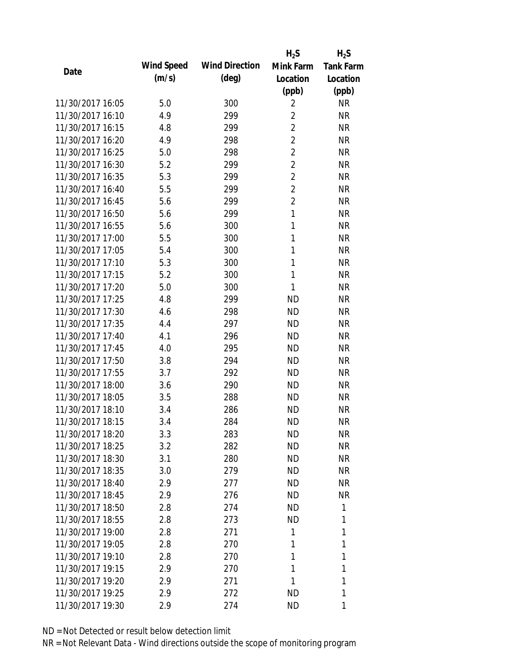|                  |                   |                       | $H_2S$         | $H_2S$           |
|------------------|-------------------|-----------------------|----------------|------------------|
| Date             | <b>Wind Speed</b> | <b>Wind Direction</b> | Mink Farm      | <b>Tank Farm</b> |
|                  | (m/s)             | $(\text{deg})$        | Location       | Location         |
|                  |                   |                       | (ppb)          | (ppb)            |
| 11/30/2017 16:05 | 5.0               | 300                   | $\overline{2}$ | <b>NR</b>        |
| 11/30/2017 16:10 | 4.9               | 299                   | $\overline{2}$ | <b>NR</b>        |
| 11/30/2017 16:15 | 4.8               | 299                   | $\overline{2}$ | <b>NR</b>        |
| 11/30/2017 16:20 | 4.9               | 298                   | $\overline{2}$ | <b>NR</b>        |
| 11/30/2017 16:25 | 5.0               | 298                   | $\overline{2}$ | <b>NR</b>        |
| 11/30/2017 16:30 | 5.2               | 299                   | $\overline{2}$ | <b>NR</b>        |
| 11/30/2017 16:35 | 5.3               | 299                   | $\overline{2}$ | <b>NR</b>        |
| 11/30/2017 16:40 | 5.5               | 299                   | $\overline{2}$ | <b>NR</b>        |
| 11/30/2017 16:45 | 5.6               | 299                   | $\overline{2}$ | <b>NR</b>        |
| 11/30/2017 16:50 | 5.6               | 299                   | $\mathbf{1}$   | <b>NR</b>        |
| 11/30/2017 16:55 | 5.6               | 300                   | 1              | <b>NR</b>        |
| 11/30/2017 17:00 | 5.5               | 300                   | 1              | <b>NR</b>        |
| 11/30/2017 17:05 | 5.4               | 300                   | 1              | <b>NR</b>        |
| 11/30/2017 17:10 | 5.3               | 300                   | 1              | <b>NR</b>        |
| 11/30/2017 17:15 | 5.2               | 300                   | 1              | <b>NR</b>        |
| 11/30/2017 17:20 | 5.0               | 300                   | 1              | <b>NR</b>        |
| 11/30/2017 17:25 | 4.8               | 299                   | <b>ND</b>      | <b>NR</b>        |
| 11/30/2017 17:30 | 4.6               | 298                   | <b>ND</b>      | <b>NR</b>        |
| 11/30/2017 17:35 | 4.4               | 297                   | <b>ND</b>      | <b>NR</b>        |
| 11/30/2017 17:40 | 4.1               | 296                   | <b>ND</b>      | <b>NR</b>        |
| 11/30/2017 17:45 | 4.0               | 295                   | <b>ND</b>      | <b>NR</b>        |
| 11/30/2017 17:50 | 3.8               | 294                   | <b>ND</b>      | <b>NR</b>        |
| 11/30/2017 17:55 | 3.7               | 292                   | <b>ND</b>      | <b>NR</b>        |
| 11/30/2017 18:00 | 3.6               | 290                   | <b>ND</b>      | <b>NR</b>        |
| 11/30/2017 18:05 | 3.5               | 288                   | <b>ND</b>      | <b>NR</b>        |
| 11/30/2017 18:10 | 3.4               | 286                   | <b>ND</b>      | <b>NR</b>        |
| 11/30/2017 18:15 | 3.4               | 284                   | <b>ND</b>      | <b>NR</b>        |
| 11/30/2017 18:20 | 3.3               | 283                   | ND             | <b>NR</b>        |
| 11/30/2017 18:25 | 3.2               | 282                   | <b>ND</b>      | <b>NR</b>        |
| 11/30/2017 18:30 | 3.1               | 280                   | <b>ND</b>      | <b>NR</b>        |
| 11/30/2017 18:35 | 3.0               | 279                   | <b>ND</b>      | <b>NR</b>        |
| 11/30/2017 18:40 | 2.9               | 277                   | <b>ND</b>      | <b>NR</b>        |
| 11/30/2017 18:45 | 2.9               | 276                   | <b>ND</b>      | <b>NR</b>        |
| 11/30/2017 18:50 | 2.8               | 274                   | <b>ND</b>      | 1                |
| 11/30/2017 18:55 | 2.8               | 273                   | <b>ND</b>      | 1                |
| 11/30/2017 19:00 | 2.8               | 271                   | 1              | 1                |
| 11/30/2017 19:05 | 2.8               | 270                   | 1              | 1                |
| 11/30/2017 19:10 | 2.8               | 270                   | 1              | 1                |
| 11/30/2017 19:15 | 2.9               | 270                   | 1              | 1                |
| 11/30/2017 19:20 | 2.9               | 271                   | 1              | 1                |
| 11/30/2017 19:25 | 2.9               | 272                   | <b>ND</b>      | 1                |
| 11/30/2017 19:30 | 2.9               | 274                   | <b>ND</b>      | 1                |
|                  |                   |                       |                |                  |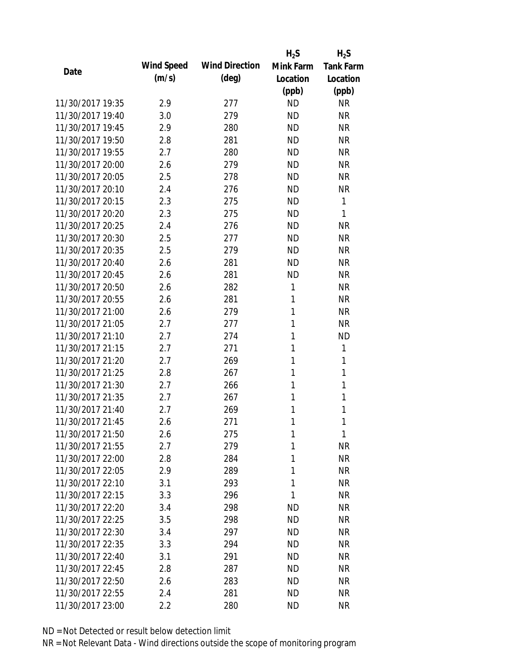|                  |            |                       | $H_2S$    | $H_2S$           |
|------------------|------------|-----------------------|-----------|------------------|
| Date             | Wind Speed | <b>Wind Direction</b> | Mink Farm | <b>Tank Farm</b> |
|                  | (m/s)      | $(\text{deg})$        | Location  | Location         |
|                  |            |                       | (ppb)     | (ppb)            |
| 11/30/2017 19:35 | 2.9        | 277                   | <b>ND</b> | <b>NR</b>        |
| 11/30/2017 19:40 | 3.0        | 279                   | <b>ND</b> | <b>NR</b>        |
| 11/30/2017 19:45 | 2.9        | 280                   | <b>ND</b> | <b>NR</b>        |
| 11/30/2017 19:50 | 2.8        | 281                   | <b>ND</b> | <b>NR</b>        |
| 11/30/2017 19:55 | 2.7        | 280                   | <b>ND</b> | <b>NR</b>        |
| 11/30/2017 20:00 | 2.6        | 279                   | <b>ND</b> | <b>NR</b>        |
| 11/30/2017 20:05 | 2.5        | 278                   | <b>ND</b> | <b>NR</b>        |
| 11/30/2017 20:10 | 2.4        | 276                   | <b>ND</b> | <b>NR</b>        |
| 11/30/2017 20:15 | 2.3        | 275                   | <b>ND</b> | 1                |
| 11/30/2017 20:20 | 2.3        | 275                   | <b>ND</b> | 1                |
| 11/30/2017 20:25 | 2.4        | 276                   | <b>ND</b> | <b>NR</b>        |
| 11/30/2017 20:30 | 2.5        | 277                   | <b>ND</b> | <b>NR</b>        |
| 11/30/2017 20:35 | 2.5        | 279                   | <b>ND</b> | <b>NR</b>        |
| 11/30/2017 20:40 | 2.6        | 281                   | <b>ND</b> | <b>NR</b>        |
| 11/30/2017 20:45 | 2.6        | 281                   | <b>ND</b> | <b>NR</b>        |
| 11/30/2017 20:50 | 2.6        | 282                   | 1         | <b>NR</b>        |
| 11/30/2017 20:55 | 2.6        | 281                   | 1         | <b>NR</b>        |
| 11/30/2017 21:00 | 2.6        | 279                   | 1         | <b>NR</b>        |
| 11/30/2017 21:05 | 2.7        | 277                   | 1         | <b>NR</b>        |
| 11/30/2017 21:10 | 2.7        | 274                   | 1         | <b>ND</b>        |
| 11/30/2017 21:15 | 2.7        | 271                   | 1         | 1                |
| 11/30/2017 21:20 | 2.7        | 269                   | 1         | 1                |
| 11/30/2017 21:25 | 2.8        | 267                   | 1         | 1                |
| 11/30/2017 21:30 | 2.7        | 266                   | 1         | 1                |
| 11/30/2017 21:35 | 2.7        | 267                   | 1         | 1                |
| 11/30/2017 21:40 | 2.7        | 269                   | 1         | 1                |
| 11/30/2017 21:45 | 2.6        | 271                   | 1         | 1                |
| 11/30/2017 21:50 | 2.6        | 275                   | 1         | 1                |
| 11/30/2017 21:55 | 2.7        | 279                   | 1         | <b>NR</b>        |
| 11/30/2017 22:00 | 2.8        | 284                   | 1         | <b>NR</b>        |
| 11/30/2017 22:05 | 2.9        | 289                   | 1         | <b>NR</b>        |
| 11/30/2017 22:10 | 3.1        | 293                   | 1         | <b>NR</b>        |
| 11/30/2017 22:15 | 3.3        | 296                   | 1         | <b>NR</b>        |
| 11/30/2017 22:20 | 3.4        | 298                   | <b>ND</b> | <b>NR</b>        |
| 11/30/2017 22:25 | 3.5        | 298                   | <b>ND</b> | NR               |
| 11/30/2017 22:30 | 3.4        | 297                   | <b>ND</b> | <b>NR</b>        |
| 11/30/2017 22:35 | 3.3        | 294                   | ND.       | <b>NR</b>        |
| 11/30/2017 22:40 | 3.1        | 291                   | <b>ND</b> | <b>NR</b>        |
| 11/30/2017 22:45 | 2.8        | 287                   | <b>ND</b> | <b>NR</b>        |
| 11/30/2017 22:50 | 2.6        | 283                   | <b>ND</b> | NR               |
| 11/30/2017 22:55 | 2.4        | 281                   | <b>ND</b> | <b>NR</b>        |
|                  |            |                       |           |                  |
| 11/30/2017 23:00 | 2.2        | 280                   | <b>ND</b> | <b>NR</b>        |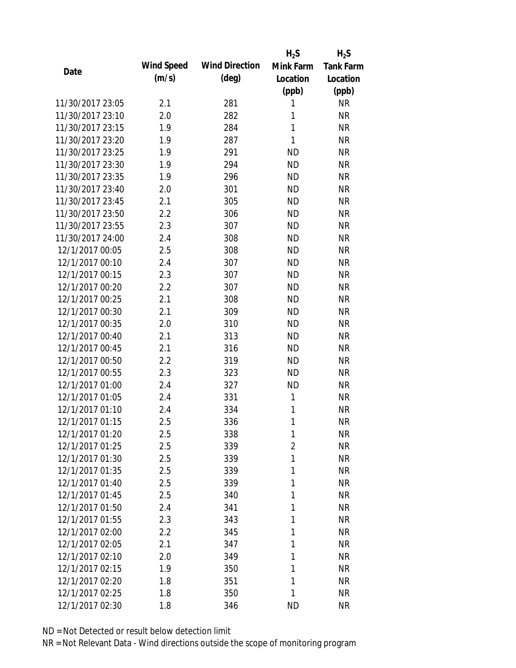|                  |            |                       | $H_2S$         | $H_2S$           |
|------------------|------------|-----------------------|----------------|------------------|
| Date             | Wind Speed | <b>Wind Direction</b> | Mink Farm      | <b>Tank Farm</b> |
|                  | (m/s)      | $(\text{deg})$        | Location       | Location         |
|                  |            |                       | (ppb)          | (ppb)            |
| 11/30/2017 23:05 | 2.1        | 281                   | 1              | <b>NR</b>        |
| 11/30/2017 23:10 | 2.0        | 282                   | 1              | <b>NR</b>        |
| 11/30/2017 23:15 | 1.9        | 284                   | $\mathbf{1}$   | <b>NR</b>        |
| 11/30/2017 23:20 | 1.9        | 287                   | 1              | <b>NR</b>        |
| 11/30/2017 23:25 | 1.9        | 291                   | <b>ND</b>      | <b>NR</b>        |
| 11/30/2017 23:30 | 1.9        | 294                   | <b>ND</b>      | <b>NR</b>        |
| 11/30/2017 23:35 | 1.9        | 296                   | <b>ND</b>      | <b>NR</b>        |
| 11/30/2017 23:40 | 2.0        | 301                   | <b>ND</b>      | <b>NR</b>        |
| 11/30/2017 23:45 | 2.1        | 305                   | <b>ND</b>      | <b>NR</b>        |
| 11/30/2017 23:50 | 2.2        | 306                   | <b>ND</b>      | <b>NR</b>        |
| 11/30/2017 23:55 | 2.3        | 307                   | <b>ND</b>      | <b>NR</b>        |
| 11/30/2017 24:00 | 2.4        | 308                   | <b>ND</b>      | <b>NR</b>        |
| 12/1/2017 00:05  | 2.5        | 308                   | <b>ND</b>      | <b>NR</b>        |
| 12/1/2017 00:10  | 2.4        | 307                   | <b>ND</b>      | <b>NR</b>        |
| 12/1/2017 00:15  | 2.3        | 307                   | <b>ND</b>      | <b>NR</b>        |
| 12/1/2017 00:20  | 2.2        | 307                   | <b>ND</b>      | <b>NR</b>        |
| 12/1/2017 00:25  | 2.1        | 308                   | <b>ND</b>      | <b>NR</b>        |
| 12/1/2017 00:30  | 2.1        | 309                   | <b>ND</b>      | <b>NR</b>        |
| 12/1/2017 00:35  | 2.0        | 310                   | <b>ND</b>      | <b>NR</b>        |
| 12/1/2017 00:40  | 2.1        | 313                   | <b>ND</b>      | <b>NR</b>        |
| 12/1/2017 00:45  | 2.1        | 316                   | <b>ND</b>      | <b>NR</b>        |
| 12/1/2017 00:50  | 2.2        | 319                   | <b>ND</b>      | <b>NR</b>        |
| 12/1/2017 00:55  | 2.3        | 323                   | <b>ND</b>      | <b>NR</b>        |
| 12/1/2017 01:00  | 2.4        | 327                   | <b>ND</b>      | <b>NR</b>        |
| 12/1/2017 01:05  | 2.4        | 331                   | 1              | <b>NR</b>        |
| 12/1/2017 01:10  | 2.4        | 334                   | 1              | <b>NR</b>        |
| 12/1/2017 01:15  | 2.5        | 336                   | 1              | <b>NR</b>        |
| 12/1/2017 01:20  | 2.5        | 338                   | 1              | <b>NR</b>        |
| 12/1/2017 01:25  | 2.5        | 339                   | $\overline{2}$ | <b>NR</b>        |
| 12/1/2017 01:30  | 2.5        | 339                   | 1              | <b>NR</b>        |
| 12/1/2017 01:35  | 2.5        | 339                   | 1              | <b>NR</b>        |
| 12/1/2017 01:40  | 2.5        | 339                   | 1              | <b>NR</b>        |
| 12/1/2017 01:45  | 2.5        | 340                   | 1              | <b>NR</b>        |
| 12/1/2017 01:50  | 2.4        | 341                   | 1              | <b>NR</b>        |
| 12/1/2017 01:55  | 2.3        | 343                   | 1              | <b>NR</b>        |
| 12/1/2017 02:00  | 2.2        | 345                   | 1              | <b>NR</b>        |
| 12/1/2017 02:05  | 2.1        | 347                   | 1              | <b>NR</b>        |
| 12/1/2017 02:10  | 2.0        | 349                   | 1              | <b>NR</b>        |
| 12/1/2017 02:15  | 1.9        | 350                   | 1              | <b>NR</b>        |
| 12/1/2017 02:20  | 1.8        | 351                   | 1              | <b>NR</b>        |
| 12/1/2017 02:25  | 1.8        | 350                   | 1              | <b>NR</b>        |
| 12/1/2017 02:30  | 1.8        | 346                   | <b>ND</b>      | <b>NR</b>        |
|                  |            |                       |                |                  |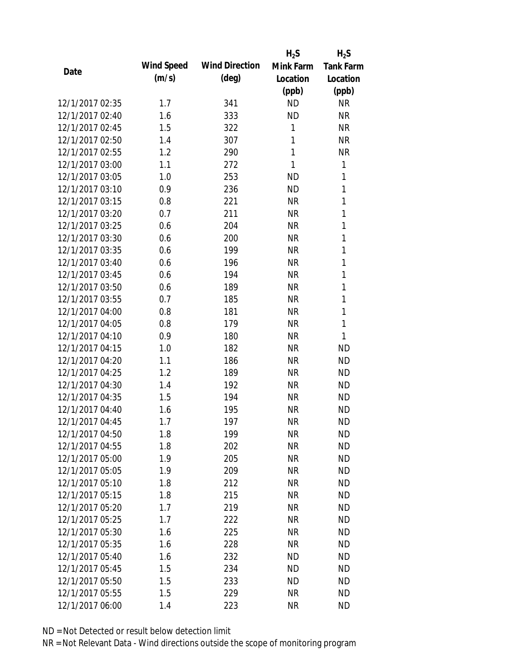|                 |            |                       | $H_2S$    | $H_2S$           |
|-----------------|------------|-----------------------|-----------|------------------|
| Date            | Wind Speed | <b>Wind Direction</b> | Mink Farm | <b>Tank Farm</b> |
|                 | (m/s)      | $(\text{deg})$        | Location  | Location         |
|                 |            |                       | (ppb)     | (ppb)            |
| 12/1/2017 02:35 | 1.7        | 341                   | <b>ND</b> | <b>NR</b>        |
| 12/1/2017 02:40 | 1.6        | 333                   | <b>ND</b> | <b>NR</b>        |
| 12/1/2017 02:45 | 1.5        | 322                   | 1         | <b>NR</b>        |
| 12/1/2017 02:50 | 1.4        | 307                   | 1         | <b>NR</b>        |
| 12/1/2017 02:55 | 1.2        | 290                   | 1         | <b>NR</b>        |
| 12/1/2017 03:00 | 1.1        | 272                   | 1         | 1                |
| 12/1/2017 03:05 | 1.0        | 253                   | <b>ND</b> | 1                |
| 12/1/2017 03:10 | 0.9        | 236                   | <b>ND</b> | 1                |
| 12/1/2017 03:15 | 0.8        | 221                   | <b>NR</b> | $\mathbf{1}$     |
| 12/1/2017 03:20 | 0.7        | 211                   | <b>NR</b> | $\mathbf{1}$     |
| 12/1/2017 03:25 | 0.6        | 204                   | <b>NR</b> | 1                |
| 12/1/2017 03:30 | 0.6        | 200                   | <b>NR</b> | 1                |
| 12/1/2017 03:35 | 0.6        | 199                   | <b>NR</b> | 1                |
| 12/1/2017 03:40 | 0.6        | 196                   | <b>NR</b> | 1                |
| 12/1/2017 03:45 | 0.6        | 194                   | <b>NR</b> | $\mathbf{1}$     |
| 12/1/2017 03:50 | 0.6        | 189                   | <b>NR</b> | 1                |
| 12/1/2017 03:55 | 0.7        | 185                   | <b>NR</b> | 1                |
| 12/1/2017 04:00 | 0.8        | 181                   | <b>NR</b> | 1                |
| 12/1/2017 04:05 | 0.8        | 179                   | <b>NR</b> | $\mathbf{1}$     |
| 12/1/2017 04:10 | 0.9        | 180                   | <b>NR</b> | 1                |
| 12/1/2017 04:15 | 1.0        | 182                   | <b>NR</b> | <b>ND</b>        |
| 12/1/2017 04:20 | 1.1        | 186                   | <b>NR</b> | <b>ND</b>        |
| 12/1/2017 04:25 | 1.2        | 189                   | <b>NR</b> | <b>ND</b>        |
| 12/1/2017 04:30 | 1.4        | 192                   | <b>NR</b> | <b>ND</b>        |
| 12/1/2017 04:35 | 1.5        | 194                   | <b>NR</b> | <b>ND</b>        |
| 12/1/2017 04:40 | 1.6        | 195                   | <b>NR</b> | <b>ND</b>        |
| 12/1/2017 04:45 | 1.7        | 197                   | <b>NR</b> | <b>ND</b>        |
| 12/1/2017 04:50 | 1.8        | 199                   | <b>NR</b> | <b>ND</b>        |
| 12/1/2017 04:55 | 1.8        | 202                   | <b>NR</b> | <b>ND</b>        |
| 12/1/2017 05:00 | 1.9        | 205                   | <b>NR</b> | <b>ND</b>        |
| 12/1/2017 05:05 | 1.9        | 209                   | <b>NR</b> | <b>ND</b>        |
| 12/1/2017 05:10 | 1.8        | 212                   | <b>NR</b> | <b>ND</b>        |
| 12/1/2017 05:15 | 1.8        | 215                   | <b>NR</b> | <b>ND</b>        |
| 12/1/2017 05:20 | 1.7        | 219                   | <b>NR</b> | <b>ND</b>        |
| 12/1/2017 05:25 | 1.7        | 222                   | <b>NR</b> | <b>ND</b>        |
| 12/1/2017 05:30 | 1.6        | 225                   | <b>NR</b> | <b>ND</b>        |
| 12/1/2017 05:35 | 1.6        | 228                   | <b>NR</b> | <b>ND</b>        |
| 12/1/2017 05:40 | 1.6        | 232                   | <b>ND</b> | <b>ND</b>        |
| 12/1/2017 05:45 | 1.5        | 234                   | <b>ND</b> | <b>ND</b>        |
| 12/1/2017 05:50 | 1.5        | 233                   | <b>ND</b> | <b>ND</b>        |
| 12/1/2017 05:55 | 1.5        | 229                   | <b>NR</b> | <b>ND</b>        |
| 12/1/2017 06:00 | 1.4        | 223                   | <b>NR</b> | <b>ND</b>        |
|                 |            |                       |           |                  |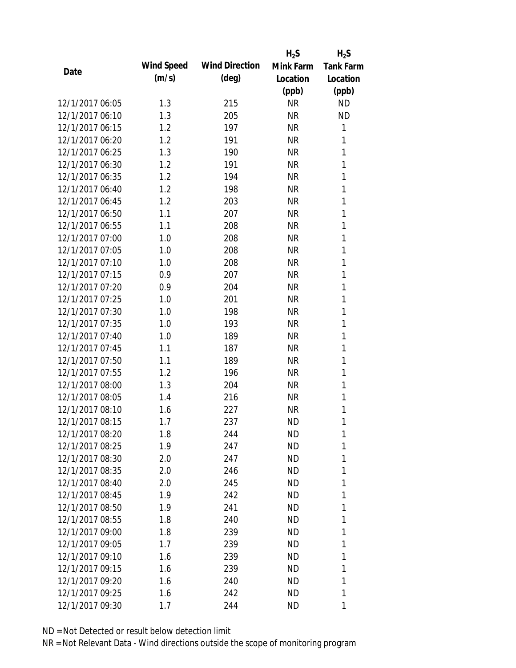|                 |            |                       | $H_2S$    | $H_2S$           |
|-----------------|------------|-----------------------|-----------|------------------|
| Date            | Wind Speed | <b>Wind Direction</b> | Mink Farm | <b>Tank Farm</b> |
|                 | (m/s)      | $(\text{deg})$        | Location  | Location         |
|                 |            |                       | (ppb)     | (ppb)            |
| 12/1/2017 06:05 | 1.3        | 215                   | <b>NR</b> | <b>ND</b>        |
| 12/1/2017 06:10 | 1.3        | 205                   | NR        | <b>ND</b>        |
| 12/1/2017 06:15 | 1.2        | 197                   | <b>NR</b> | 1                |
| 12/1/2017 06:20 | 1.2        | 191                   | <b>NR</b> | 1                |
| 12/1/2017 06:25 | 1.3        | 190                   | <b>NR</b> | 1                |
| 12/1/2017 06:30 | 1.2        | 191                   | <b>NR</b> | 1                |
| 12/1/2017 06:35 | 1.2        | 194                   | <b>NR</b> | 1                |
| 12/1/2017 06:40 | 1.2        | 198                   | <b>NR</b> | 1                |
| 12/1/2017 06:45 | 1.2        | 203                   | <b>NR</b> | 1                |
| 12/1/2017 06:50 | 1.1        | 207                   | <b>NR</b> | 1                |
| 12/1/2017 06:55 | 1.1        | 208                   | <b>NR</b> | 1                |
| 12/1/2017 07:00 | 1.0        | 208                   | <b>NR</b> | 1                |
| 12/1/2017 07:05 | 1.0        | 208                   | <b>NR</b> | 1                |
| 12/1/2017 07:10 | 1.0        | 208                   | <b>NR</b> | 1                |
| 12/1/2017 07:15 | 0.9        | 207                   | <b>NR</b> | 1                |
| 12/1/2017 07:20 | 0.9        | 204                   | <b>NR</b> | 1                |
| 12/1/2017 07:25 | 1.0        | 201                   | <b>NR</b> | 1                |
| 12/1/2017 07:30 | 1.0        | 198                   | <b>NR</b> | 1                |
| 12/1/2017 07:35 | 1.0        | 193                   | <b>NR</b> | 1                |
| 12/1/2017 07:40 | 1.0        | 189                   | <b>NR</b> | 1                |
| 12/1/2017 07:45 | 1.1        | 187                   | <b>NR</b> | 1                |
| 12/1/2017 07:50 | 1.1        | 189                   | <b>NR</b> | 1                |
| 12/1/2017 07:55 | 1.2        | 196                   | <b>NR</b> | 1                |
| 12/1/2017 08:00 | 1.3        | 204                   | <b>NR</b> | 1                |
| 12/1/2017 08:05 | 1.4        | 216                   | <b>NR</b> | 1                |
| 12/1/2017 08:10 | 1.6        | 227                   | <b>NR</b> | 1                |
| 12/1/2017 08:15 | 1.7        | 237                   | <b>ND</b> | 1                |
| 12/1/2017 08:20 | 1.8        | 244                   | ND        | 1                |
| 12/1/2017 08:25 | 1.9        | 247                   | <b>ND</b> | 1                |
| 12/1/2017 08:30 | 2.0        | 247                   | <b>ND</b> | 1                |
| 12/1/2017 08:35 | 2.0        | 246                   | ND        | 1                |
| 12/1/2017 08:40 | 2.0        | 245                   | <b>ND</b> | 1                |
| 12/1/2017 08:45 | 1.9        | 242                   | ND        | 1                |
| 12/1/2017 08:50 | 1.9        | 241                   | <b>ND</b> | 1                |
| 12/1/2017 08:55 | 1.8        | 240                   | ND        | 1                |
| 12/1/2017 09:00 | 1.8        | 239                   | <b>ND</b> | 1                |
| 12/1/2017 09:05 | 1.7        | 239                   | <b>ND</b> | 1                |
| 12/1/2017 09:10 | 1.6        | 239                   | <b>ND</b> | 1                |
| 12/1/2017 09:15 | 1.6        | 239                   | <b>ND</b> | 1                |
| 12/1/2017 09:20 | 1.6        | 240                   | ND        | 1                |
| 12/1/2017 09:25 | 1.6        | 242                   | ND        | 1                |
| 12/1/2017 09:30 | 1.7        | 244                   | ND        | 1                |
|                 |            |                       |           |                  |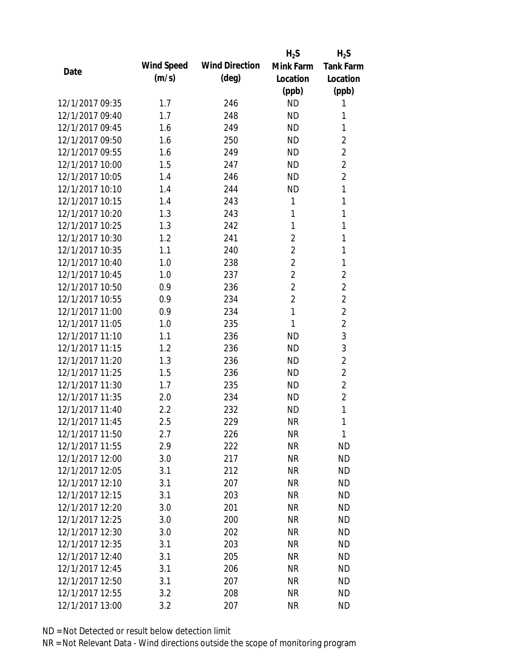|                 |            |                       | $H_2S$         | $H_2S$           |
|-----------------|------------|-----------------------|----------------|------------------|
| Date            | Wind Speed | <b>Wind Direction</b> | Mink Farm      | <b>Tank Farm</b> |
|                 | (m/s)      | $(\text{deg})$        | Location       | Location         |
|                 |            |                       | (ppb)          | (ppb)            |
| 12/1/2017 09:35 | 1.7        | 246                   | <b>ND</b>      | 1                |
| 12/1/2017 09:40 | 1.7        | 248                   | <b>ND</b>      | 1                |
| 12/1/2017 09:45 | 1.6        | 249                   | <b>ND</b>      | 1                |
| 12/1/2017 09:50 | 1.6        | 250                   | <b>ND</b>      | $\overline{2}$   |
| 12/1/2017 09:55 | 1.6        | 249                   | <b>ND</b>      | $\overline{2}$   |
| 12/1/2017 10:00 | 1.5        | 247                   | <b>ND</b>      | $\overline{2}$   |
| 12/1/2017 10:05 | 1.4        | 246                   | <b>ND</b>      | $\overline{2}$   |
| 12/1/2017 10:10 | 1.4        | 244                   | <b>ND</b>      | 1                |
| 12/1/2017 10:15 | 1.4        | 243                   | 1              | $\mathbf{1}$     |
| 12/1/2017 10:20 | 1.3        | 243                   | 1              | 1                |
| 12/1/2017 10:25 | 1.3        | 242                   | 1              | 1                |
| 12/1/2017 10:30 | 1.2        | 241                   | $\overline{2}$ | 1                |
| 12/1/2017 10:35 | 1.1        | 240                   | $\overline{2}$ | 1                |
| 12/1/2017 10:40 | 1.0        | 238                   | $\overline{2}$ | 1                |
| 12/1/2017 10:45 | 1.0        | 237                   | $\overline{2}$ | $\overline{2}$   |
| 12/1/2017 10:50 | 0.9        | 236                   | $\overline{2}$ | $\overline{2}$   |
| 12/1/2017 10:55 | 0.9        | 234                   | $\overline{2}$ | $\overline{2}$   |
| 12/1/2017 11:00 | 0.9        | 234                   | $\mathbf{1}$   | $\overline{2}$   |
| 12/1/2017 11:05 | 1.0        | 235                   | 1              | $\overline{2}$   |
| 12/1/2017 11:10 | 1.1        | 236                   | <b>ND</b>      | 3                |
| 12/1/2017 11:15 | 1.2        | 236                   | <b>ND</b>      | 3                |
| 12/1/2017 11:20 | 1.3        | 236                   | <b>ND</b>      | $\overline{2}$   |
| 12/1/2017 11:25 | 1.5        | 236                   | <b>ND</b>      | $\overline{2}$   |
| 12/1/2017 11:30 | 1.7        | 235                   | <b>ND</b>      | $\overline{2}$   |
| 12/1/2017 11:35 | 2.0        | 234                   | <b>ND</b>      | $\overline{2}$   |
| 12/1/2017 11:40 | 2.2        | 232                   | <b>ND</b>      | 1                |
| 12/1/2017 11:45 | 2.5        | 229                   | <b>NR</b>      | 1                |
| 12/1/2017 11:50 | 2.7        | 226                   | <b>NR</b>      | 1                |
| 12/1/2017 11:55 | 2.9        | 222                   | <b>NR</b>      | <b>ND</b>        |
| 12/1/2017 12:00 | 3.0        | 217                   | <b>NR</b>      | <b>ND</b>        |
| 12/1/2017 12:05 | 3.1        | 212                   | <b>NR</b>      | <b>ND</b>        |
| 12/1/2017 12:10 | 3.1        | 207                   | <b>NR</b>      | <b>ND</b>        |
| 12/1/2017 12:15 | 3.1        | 203                   | <b>NR</b>      | <b>ND</b>        |
| 12/1/2017 12:20 | 3.0        | 201                   | <b>NR</b>      | <b>ND</b>        |
| 12/1/2017 12:25 | 3.0        | 200                   | <b>NR</b>      | <b>ND</b>        |
| 12/1/2017 12:30 | 3.0        | 202                   | <b>NR</b>      | <b>ND</b>        |
| 12/1/2017 12:35 | 3.1        | 203                   | <b>NR</b>      | <b>ND</b>        |
| 12/1/2017 12:40 | 3.1        | 205                   | NR             | <b>ND</b>        |
| 12/1/2017 12:45 | 3.1        | 206                   | <b>NR</b>      | <b>ND</b>        |
| 12/1/2017 12:50 | 3.1        | 207                   | NR             | <b>ND</b>        |
| 12/1/2017 12:55 | 3.2        | 208                   | <b>NR</b>      | <b>ND</b>        |
| 12/1/2017 13:00 | 3.2        | 207                   | <b>NR</b>      | <b>ND</b>        |
|                 |            |                       |                |                  |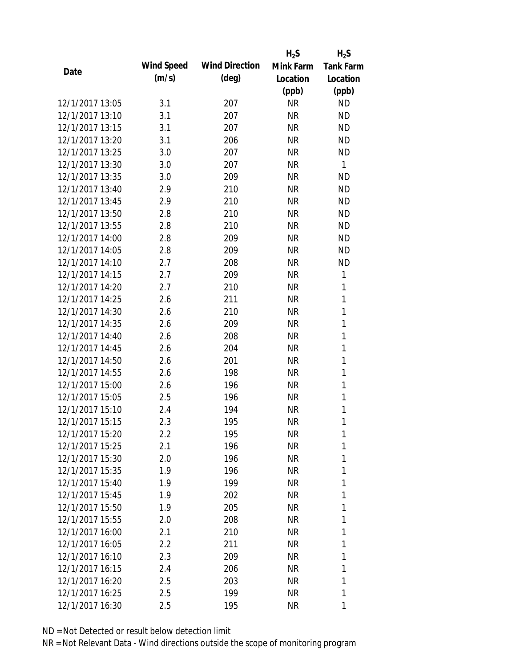|                 |            |                       | $H_2S$    | $H_2S$           |
|-----------------|------------|-----------------------|-----------|------------------|
| Date            | Wind Speed | <b>Wind Direction</b> | Mink Farm | <b>Tank Farm</b> |
|                 | (m/s)      | $(\text{deg})$        | Location  | Location         |
|                 |            |                       | (ppb)     | (ppb)            |
| 12/1/2017 13:05 | 3.1        | 207                   | <b>NR</b> | <b>ND</b>        |
| 12/1/2017 13:10 | 3.1        | 207                   | <b>NR</b> | <b>ND</b>        |
| 12/1/2017 13:15 | 3.1        | 207                   | <b>NR</b> | <b>ND</b>        |
| 12/1/2017 13:20 | 3.1        | 206                   | <b>NR</b> | <b>ND</b>        |
| 12/1/2017 13:25 | 3.0        | 207                   | <b>NR</b> | <b>ND</b>        |
| 12/1/2017 13:30 | 3.0        | 207                   | <b>NR</b> | 1                |
| 12/1/2017 13:35 | 3.0        | 209                   | <b>NR</b> | <b>ND</b>        |
| 12/1/2017 13:40 | 2.9        | 210                   | <b>NR</b> | <b>ND</b>        |
| 12/1/2017 13:45 | 2.9        | 210                   | <b>NR</b> | <b>ND</b>        |
| 12/1/2017 13:50 | 2.8        | 210                   | <b>NR</b> | <b>ND</b>        |
| 12/1/2017 13:55 | 2.8        | 210                   | <b>NR</b> | <b>ND</b>        |
| 12/1/2017 14:00 | 2.8        | 209                   | <b>NR</b> | <b>ND</b>        |
| 12/1/2017 14:05 | 2.8        | 209                   | <b>NR</b> | <b>ND</b>        |
| 12/1/2017 14:10 | 2.7        | 208                   | <b>NR</b> | <b>ND</b>        |
| 12/1/2017 14:15 | 2.7        | 209                   | <b>NR</b> | 1                |
| 12/1/2017 14:20 | 2.7        | 210                   | <b>NR</b> | 1                |
| 12/1/2017 14:25 | 2.6        | 211                   | <b>NR</b> | 1                |
| 12/1/2017 14:30 | 2.6        | 210                   | <b>NR</b> | 1                |
| 12/1/2017 14:35 | 2.6        | 209                   | <b>NR</b> | $\mathbf{1}$     |
| 12/1/2017 14:40 | 2.6        | 208                   | <b>NR</b> | 1                |
| 12/1/2017 14:45 | 2.6        | 204                   | <b>NR</b> | 1                |
| 12/1/2017 14:50 | 2.6        | 201                   | <b>NR</b> | 1                |
| 12/1/2017 14:55 | 2.6        | 198                   | <b>NR</b> | 1                |
| 12/1/2017 15:00 | 2.6        | 196                   | <b>NR</b> | 1                |
| 12/1/2017 15:05 | 2.5        | 196                   | <b>NR</b> | 1                |
| 12/1/2017 15:10 | 2.4        | 194                   | <b>NR</b> | 1                |
| 12/1/2017 15:15 | 2.3        | 195                   | <b>NR</b> | 1                |
| 12/1/2017 15:20 | $2.2\,$    | 195                   | NR        | 1                |
| 12/1/2017 15:25 | 2.1        | 196                   | NR        | 1                |
| 12/1/2017 15:30 | 2.0        | 196                   | NR        | 1                |
| 12/1/2017 15:35 | 1.9        | 196                   | NR        | 1                |
| 12/1/2017 15:40 | 1.9        | 199                   | NR        | 1                |
| 12/1/2017 15:45 | 1.9        | 202                   | NR        | 1                |
| 12/1/2017 15:50 | 1.9        | 205                   | NR        | 1                |
| 12/1/2017 15:55 | 2.0        | 208                   | NR        | 1                |
| 12/1/2017 16:00 | 2.1        | 210                   | NR        | 1                |
| 12/1/2017 16:05 | 2.2        | 211                   | NR        | 1                |
| 12/1/2017 16:10 | 2.3        | 209                   | NR        | 1                |
| 12/1/2017 16:15 | 2.4        | 206                   | NR        | 1                |
| 12/1/2017 16:20 | 2.5        | 203                   | NR        | 1                |
| 12/1/2017 16:25 | 2.5        | 199                   | <b>NR</b> | 1                |
| 12/1/2017 16:30 | 2.5        | 195                   | <b>NR</b> | 1                |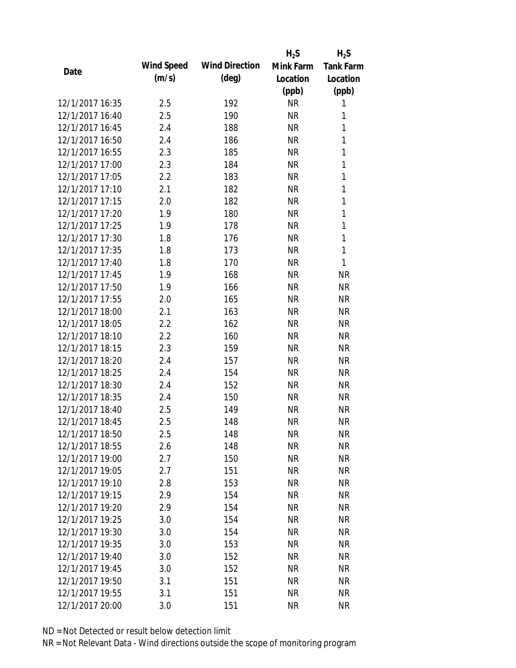|                 |            |                       | $H_2S$    | $H_2S$           |
|-----------------|------------|-----------------------|-----------|------------------|
|                 | Wind Speed | <b>Wind Direction</b> | Mink Farm | <b>Tank Farm</b> |
| Date            | (m/s)      | $(\text{deg})$        | Location  | Location         |
|                 |            |                       | (ppb)     | (ppb)            |
| 12/1/2017 16:35 | 2.5        | 192                   | <b>NR</b> | 1                |
| 12/1/2017 16:40 | 2.5        | 190                   | <b>NR</b> | 1                |
| 12/1/2017 16:45 | 2.4        | 188                   | <b>NR</b> | 1                |
| 12/1/2017 16:50 | 2.4        | 186                   | <b>NR</b> | 1                |
| 12/1/2017 16:55 | 2.3        | 185                   | <b>NR</b> | $\mathbf{1}$     |
| 12/1/2017 17:00 | 2.3        | 184                   | <b>NR</b> | 1                |
| 12/1/2017 17:05 | 2.2        | 183                   | <b>NR</b> | 1                |
| 12/1/2017 17:10 | 2.1        | 182                   | <b>NR</b> | $\mathbf{1}$     |
| 12/1/2017 17:15 | 2.0        | 182                   | <b>NR</b> | 1                |
| 12/1/2017 17:20 | 1.9        | 180                   | <b>NR</b> | 1                |
| 12/1/2017 17:25 | 1.9        | 178                   | <b>NR</b> | 1                |
| 12/1/2017 17:30 | 1.8        | 176                   | <b>NR</b> | $\mathbf{1}$     |
| 12/1/2017 17:35 | 1.8        | 173                   | <b>NR</b> | 1                |
| 12/1/2017 17:40 | 1.8        | 170                   | <b>NR</b> | $\mathbf{1}$     |
| 12/1/2017 17:45 | 1.9        | 168                   | <b>NR</b> | <b>NR</b>        |
| 12/1/2017 17:50 | 1.9        | 166                   | <b>NR</b> | <b>NR</b>        |
| 12/1/2017 17:55 | 2.0        | 165                   | <b>NR</b> | <b>NR</b>        |
| 12/1/2017 18:00 | 2.1        | 163                   | <b>NR</b> | <b>NR</b>        |
| 12/1/2017 18:05 | 2.2        | 162                   | <b>NR</b> | <b>NR</b>        |
| 12/1/2017 18:10 | 2.2        | 160                   | <b>NR</b> | <b>NR</b>        |
| 12/1/2017 18:15 | 2.3        | 159                   | <b>NR</b> | <b>NR</b>        |
| 12/1/2017 18:20 | 2.4        | 157                   | <b>NR</b> | <b>NR</b>        |
| 12/1/2017 18:25 | 2.4        | 154                   | <b>NR</b> | <b>NR</b>        |
| 12/1/2017 18:30 | 2.4        | 152                   | <b>NR</b> | <b>NR</b>        |
| 12/1/2017 18:35 | 2.4        | 150                   | <b>NR</b> | <b>NR</b>        |
| 12/1/2017 18:40 | 2.5        | 149                   | <b>NR</b> | <b>NR</b>        |
| 12/1/2017 18:45 | 2.5        | 148                   | <b>NR</b> | <b>NR</b>        |
| 12/1/2017 18:50 | 2.5        | 148                   | <b>NR</b> | <b>NR</b>        |
| 12/1/2017 18:55 | 2.6        | 148                   | <b>NR</b> | <b>NR</b>        |
| 12/1/2017 19:00 | 2.7        | 150                   | <b>NR</b> | <b>NR</b>        |
| 12/1/2017 19:05 | 2.7        | 151                   | <b>NR</b> | <b>NR</b>        |
| 12/1/2017 19:10 | 2.8        | 153                   | <b>NR</b> | <b>NR</b>        |
| 12/1/2017 19:15 | 2.9        | 154                   | <b>NR</b> | <b>NR</b>        |
| 12/1/2017 19:20 | 2.9        | 154                   | <b>NR</b> | <b>NR</b>        |
| 12/1/2017 19:25 | 3.0        | 154                   | <b>NR</b> | <b>NR</b>        |
| 12/1/2017 19:30 | 3.0        | 154                   | <b>NR</b> | <b>NR</b>        |
| 12/1/2017 19:35 | 3.0        | 153                   | <b>NR</b> | <b>NR</b>        |
| 12/1/2017 19:40 | 3.0        | 152                   | <b>NR</b> | <b>NR</b>        |
| 12/1/2017 19:45 | 3.0        | 152                   | <b>NR</b> | <b>NR</b>        |
| 12/1/2017 19:50 | 3.1        | 151                   | <b>NR</b> | <b>NR</b>        |
| 12/1/2017 19:55 | 3.1        | 151                   | <b>NR</b> | <b>NR</b>        |
| 12/1/2017 20:00 | 3.0        | 151                   | <b>NR</b> | <b>NR</b>        |
|                 |            |                       |           |                  |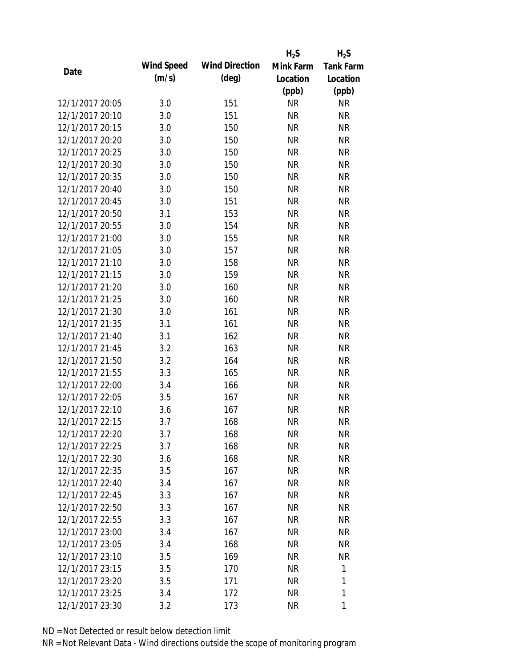|                 |            |                       | $H_2S$    | $H_2S$           |
|-----------------|------------|-----------------------|-----------|------------------|
| Date            | Wind Speed | <b>Wind Direction</b> | Mink Farm | <b>Tank Farm</b> |
|                 | (m/s)      | $(\text{deg})$        | Location  | Location         |
|                 |            |                       | (ppb)     | (ppb)            |
| 12/1/2017 20:05 | 3.0        | 151                   | <b>NR</b> | <b>NR</b>        |
| 12/1/2017 20:10 | 3.0        | 151                   | <b>NR</b> | <b>NR</b>        |
| 12/1/2017 20:15 | 3.0        | 150                   | <b>NR</b> | <b>NR</b>        |
| 12/1/2017 20:20 | 3.0        | 150                   | <b>NR</b> | <b>NR</b>        |
| 12/1/2017 20:25 | 3.0        | 150                   | <b>NR</b> | <b>NR</b>        |
| 12/1/2017 20:30 | 3.0        | 150                   | <b>NR</b> | <b>NR</b>        |
| 12/1/2017 20:35 | 3.0        | 150                   | <b>NR</b> | <b>NR</b>        |
| 12/1/2017 20:40 | 3.0        | 150                   | <b>NR</b> | <b>NR</b>        |
| 12/1/2017 20:45 | 3.0        | 151                   | <b>NR</b> | <b>NR</b>        |
| 12/1/2017 20:50 | 3.1        | 153                   | <b>NR</b> | <b>NR</b>        |
| 12/1/2017 20:55 | 3.0        | 154                   | <b>NR</b> | <b>NR</b>        |
| 12/1/2017 21:00 | 3.0        | 155                   | <b>NR</b> | <b>NR</b>        |
| 12/1/2017 21:05 | 3.0        | 157                   | <b>NR</b> | <b>NR</b>        |
| 12/1/2017 21:10 | 3.0        | 158                   | <b>NR</b> | <b>NR</b>        |
| 12/1/2017 21:15 | 3.0        | 159                   | <b>NR</b> | <b>NR</b>        |
| 12/1/2017 21:20 | 3.0        | 160                   | <b>NR</b> | <b>NR</b>        |
| 12/1/2017 21:25 | 3.0        | 160                   | <b>NR</b> | <b>NR</b>        |
| 12/1/2017 21:30 | 3.0        | 161                   | <b>NR</b> | <b>NR</b>        |
| 12/1/2017 21:35 | 3.1        | 161                   | <b>NR</b> | <b>NR</b>        |
| 12/1/2017 21:40 | 3.1        | 162                   | <b>NR</b> | <b>NR</b>        |
| 12/1/2017 21:45 | 3.2        | 163                   | <b>NR</b> | <b>NR</b>        |
| 12/1/2017 21:50 | 3.2        | 164                   | <b>NR</b> | <b>NR</b>        |
| 12/1/2017 21:55 | 3.3        | 165                   | <b>NR</b> | <b>NR</b>        |
| 12/1/2017 22:00 | 3.4        | 166                   | <b>NR</b> | <b>NR</b>        |
| 12/1/2017 22:05 | 3.5        | 167                   | <b>NR</b> | <b>NR</b>        |
| 12/1/2017 22:10 | 3.6        | 167                   | <b>NR</b> | <b>NR</b>        |
| 12/1/2017 22:15 | 3.7        | 168                   | <b>NR</b> | <b>NR</b>        |
| 12/1/2017 22:20 | 3.7        | 168                   | <b>NR</b> | NR               |
| 12/1/2017 22:25 | 3.7        | 168                   | <b>NR</b> | <b>NR</b>        |
| 12/1/2017 22:30 | 3.6        | 168                   | NR        | NR               |
| 12/1/2017 22:35 | 3.5        | 167                   | <b>NR</b> | <b>NR</b>        |
| 12/1/2017 22:40 | 3.4        | 167                   | <b>NR</b> | NR               |
| 12/1/2017 22:45 | 3.3        | 167                   | <b>NR</b> | <b>NR</b>        |
| 12/1/2017 22:50 | 3.3        | 167                   | <b>NR</b> | <b>NR</b>        |
| 12/1/2017 22:55 | 3.3        | 167                   | <b>NR</b> | <b>NR</b>        |
| 12/1/2017 23:00 | 3.4        | 167                   | <b>NR</b> | <b>NR</b>        |
| 12/1/2017 23:05 | 3.4        | 168                   | NR        | <b>NR</b>        |
| 12/1/2017 23:10 | 3.5        | 169                   | NR        | <b>NR</b>        |
| 12/1/2017 23:15 | 3.5        | 170                   | <b>NR</b> | 1                |
| 12/1/2017 23:20 | 3.5        | 171                   | <b>NR</b> | 1                |
| 12/1/2017 23:25 | 3.4        | 172                   | <b>NR</b> | 1                |
| 12/1/2017 23:30 | 3.2        | 173                   | <b>NR</b> | 1                |
|                 |            |                       |           |                  |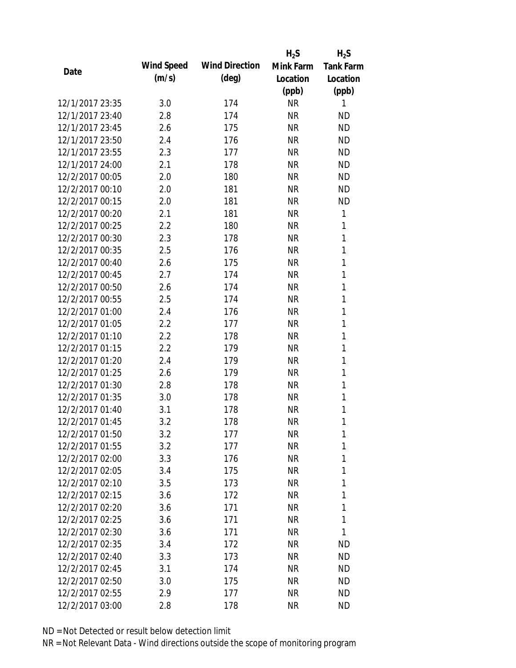|                 |            |                       | $H_2S$    | $H_2S$           |
|-----------------|------------|-----------------------|-----------|------------------|
| Date            | Wind Speed | <b>Wind Direction</b> | Mink Farm | <b>Tank Farm</b> |
|                 | (m/s)      | $(\text{deg})$        | Location  | Location         |
|                 |            |                       | (ppb)     | (ppb)            |
| 12/1/2017 23:35 | 3.0        | 174                   | <b>NR</b> | 1                |
| 12/1/2017 23:40 | 2.8        | 174                   | <b>NR</b> | ND               |
| 12/1/2017 23:45 | 2.6        | 175                   | <b>NR</b> | <b>ND</b>        |
| 12/1/2017 23:50 | 2.4        | 176                   | <b>NR</b> | <b>ND</b>        |
| 12/1/2017 23:55 | 2.3        | 177                   | <b>NR</b> | <b>ND</b>        |
| 12/1/2017 24:00 | 2.1        | 178                   | <b>NR</b> | <b>ND</b>        |
| 12/2/2017 00:05 | 2.0        | 180                   | <b>NR</b> | <b>ND</b>        |
| 12/2/2017 00:10 | 2.0        | 181                   | <b>NR</b> | <b>ND</b>        |
| 12/2/2017 00:15 | 2.0        | 181                   | <b>NR</b> | <b>ND</b>        |
| 12/2/2017 00:20 | 2.1        | 181                   | <b>NR</b> | 1                |
| 12/2/2017 00:25 | 2.2        | 180                   | <b>NR</b> | 1                |
| 12/2/2017 00:30 | 2.3        | 178                   | <b>NR</b> | 1                |
| 12/2/2017 00:35 | 2.5        | 176                   | <b>NR</b> | 1                |
| 12/2/2017 00:40 | 2.6        | 175                   | <b>NR</b> | 1                |
| 12/2/2017 00:45 | 2.7        | 174                   | <b>NR</b> | 1                |
| 12/2/2017 00:50 | 2.6        | 174                   | <b>NR</b> | 1                |
| 12/2/2017 00:55 | 2.5        | 174                   | <b>NR</b> | 1                |
| 12/2/2017 01:00 | 2.4        | 176                   | <b>NR</b> | 1                |
| 12/2/2017 01:05 | 2.2        | 177                   | <b>NR</b> | 1                |
| 12/2/2017 01:10 | 2.2        | 178                   | <b>NR</b> | 1                |
| 12/2/2017 01:15 | 2.2        | 179                   | <b>NR</b> | 1                |
| 12/2/2017 01:20 | 2.4        | 179                   | <b>NR</b> | 1                |
| 12/2/2017 01:25 | 2.6        | 179                   | <b>NR</b> | 1                |
| 12/2/2017 01:30 | 2.8        | 178                   | <b>NR</b> | 1                |
| 12/2/2017 01:35 | 3.0        | 178                   | <b>NR</b> | 1                |
| 12/2/2017 01:40 | 3.1        | 178                   | <b>NR</b> | 1                |
| 12/2/2017 01:45 | 3.2        | 178                   | <b>NR</b> | 1                |
| 12/2/2017 01:50 | 3.2        | 177                   | <b>NR</b> | 1                |
| 12/2/2017 01:55 | 3.2        | 177                   | <b>NR</b> | 1                |
| 12/2/2017 02:00 | 3.3        | 176                   | <b>NR</b> | 1                |
| 12/2/2017 02:05 | 3.4        | 175                   | <b>NR</b> | 1                |
| 12/2/2017 02:10 | 3.5        | 173                   | <b>NR</b> | 1                |
| 12/2/2017 02:15 | 3.6        | 172                   | <b>NR</b> | 1                |
| 12/2/2017 02:20 | 3.6        | 171                   | <b>NR</b> | 1                |
| 12/2/2017 02:25 | 3.6        | 171                   | <b>NR</b> | 1                |
| 12/2/2017 02:30 | 3.6        | 171                   | <b>NR</b> | 1                |
| 12/2/2017 02:35 | 3.4        | 172                   | <b>NR</b> | ND               |
| 12/2/2017 02:40 | 3.3        | 173                   | NR        | <b>ND</b>        |
| 12/2/2017 02:45 | 3.1        | 174                   | <b>NR</b> | ND               |
| 12/2/2017 02:50 | 3.0        | 175                   | <b>NR</b> | ND               |
| 12/2/2017 02:55 | 2.9        | 177                   | <b>NR</b> | ND               |
| 12/2/2017 03:00 | 2.8        | 178                   | <b>NR</b> | <b>ND</b>        |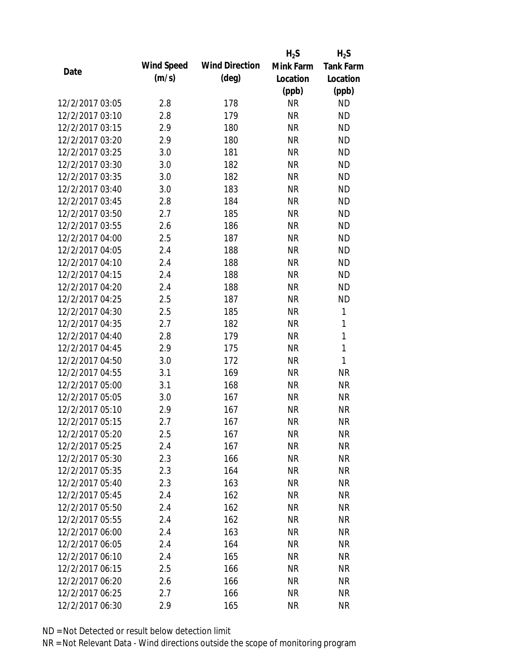|                 |            |                       | $H_2S$    | $H_2S$           |
|-----------------|------------|-----------------------|-----------|------------------|
| Date            | Wind Speed | <b>Wind Direction</b> | Mink Farm | <b>Tank Farm</b> |
|                 | (m/s)      | $(\text{deg})$        | Location  | Location         |
|                 |            |                       | (ppb)     | (ppb)            |
| 12/2/2017 03:05 | 2.8        | 178                   | <b>NR</b> | <b>ND</b>        |
| 12/2/2017 03:10 | 2.8        | 179                   | <b>NR</b> | <b>ND</b>        |
| 12/2/2017 03:15 | 2.9        | 180                   | <b>NR</b> | <b>ND</b>        |
| 12/2/2017 03:20 | 2.9        | 180                   | <b>NR</b> | <b>ND</b>        |
| 12/2/2017 03:25 | 3.0        | 181                   | <b>NR</b> | <b>ND</b>        |
| 12/2/2017 03:30 | 3.0        | 182                   | <b>NR</b> | <b>ND</b>        |
| 12/2/2017 03:35 | 3.0        | 182                   | <b>NR</b> | <b>ND</b>        |
| 12/2/2017 03:40 | 3.0        | 183                   | <b>NR</b> | <b>ND</b>        |
| 12/2/2017 03:45 | 2.8        | 184                   | <b>NR</b> | <b>ND</b>        |
| 12/2/2017 03:50 | 2.7        | 185                   | <b>NR</b> | <b>ND</b>        |
| 12/2/2017 03:55 | 2.6        | 186                   | <b>NR</b> | <b>ND</b>        |
| 12/2/2017 04:00 | 2.5        | 187                   | <b>NR</b> | <b>ND</b>        |
| 12/2/2017 04:05 | 2.4        | 188                   | <b>NR</b> | <b>ND</b>        |
| 12/2/2017 04:10 | 2.4        | 188                   | <b>NR</b> | <b>ND</b>        |
| 12/2/2017 04:15 | 2.4        | 188                   | <b>NR</b> | <b>ND</b>        |
| 12/2/2017 04:20 | 2.4        | 188                   | <b>NR</b> | <b>ND</b>        |
| 12/2/2017 04:25 | 2.5        | 187                   | <b>NR</b> | <b>ND</b>        |
| 12/2/2017 04:30 | 2.5        | 185                   | <b>NR</b> | 1                |
| 12/2/2017 04:35 | 2.7        | 182                   | <b>NR</b> | $\mathbf{1}$     |
| 12/2/2017 04:40 | 2.8        | 179                   | <b>NR</b> | 1                |
| 12/2/2017 04:45 | 2.9        | 175                   | <b>NR</b> | $\mathbf{1}$     |
| 12/2/2017 04:50 | 3.0        | 172                   | <b>NR</b> | $\mathbf{1}$     |
| 12/2/2017 04:55 | 3.1        | 169                   | <b>NR</b> | <b>NR</b>        |
| 12/2/2017 05:00 | 3.1        | 168                   | <b>NR</b> | <b>NR</b>        |
| 12/2/2017 05:05 | 3.0        | 167                   | <b>NR</b> | <b>NR</b>        |
| 12/2/2017 05:10 | 2.9        | 167                   | <b>NR</b> | <b>NR</b>        |
| 12/2/2017 05:15 | 2.7        | 167                   | <b>NR</b> | <b>NR</b>        |
| 12/2/2017 05:20 | 2.5        | 167                   | <b>NR</b> | NR               |
| 12/2/2017 05:25 | 2.4        | 167                   | <b>NR</b> | <b>NR</b>        |
| 12/2/2017 05:30 | 2.3        | 166                   | NR        | <b>NR</b>        |
| 12/2/2017 05:35 | 2.3        | 164                   | <b>NR</b> | <b>NR</b>        |
| 12/2/2017 05:40 | 2.3        | 163                   | <b>NR</b> | <b>NR</b>        |
| 12/2/2017 05:45 | 2.4        | 162                   | NR        | <b>NR</b>        |
| 12/2/2017 05:50 | 2.4        | 162                   | <b>NR</b> | <b>NR</b>        |
| 12/2/2017 05:55 | 2.4        | 162                   | <b>NR</b> | NR               |
| 12/2/2017 06:00 | 2.4        | 163                   | <b>NR</b> | <b>NR</b>        |
| 12/2/2017 06:05 | 2.4        | 164                   | NR        | NR               |
| 12/2/2017 06:10 | 2.4        | 165                   | NR        | <b>NR</b>        |
| 12/2/2017 06:15 | 2.5        | 166                   | <b>NR</b> | NR               |
| 12/2/2017 06:20 | 2.6        | 166                   | NR        | NR               |
| 12/2/2017 06:25 | 2.7        | 166                   | <b>NR</b> | <b>NR</b>        |
| 12/2/2017 06:30 | 2.9        | 165                   | <b>NR</b> | <b>NR</b>        |
|                 |            |                       |           |                  |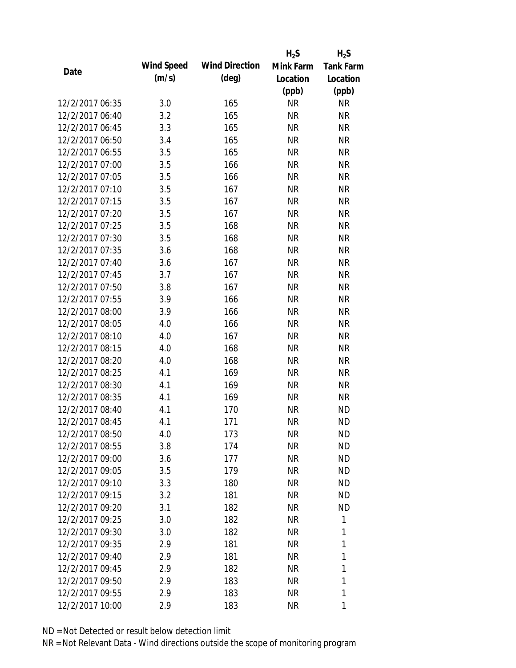|                 |            |                       | $H_2S$    | $H_2S$           |
|-----------------|------------|-----------------------|-----------|------------------|
| Date            | Wind Speed | <b>Wind Direction</b> | Mink Farm | <b>Tank Farm</b> |
|                 | (m/s)      | $(\text{deg})$        | Location  | Location         |
|                 |            |                       | (ppb)     | (ppb)            |
| 12/2/2017 06:35 | 3.0        | 165                   | <b>NR</b> | <b>NR</b>        |
| 12/2/2017 06:40 | 3.2        | 165                   | <b>NR</b> | <b>NR</b>        |
| 12/2/2017 06:45 | 3.3        | 165                   | <b>NR</b> | <b>NR</b>        |
| 12/2/2017 06:50 | 3.4        | 165                   | <b>NR</b> | <b>NR</b>        |
| 12/2/2017 06:55 | 3.5        | 165                   | <b>NR</b> | <b>NR</b>        |
| 12/2/2017 07:00 | 3.5        | 166                   | <b>NR</b> | <b>NR</b>        |
| 12/2/2017 07:05 | 3.5        | 166                   | <b>NR</b> | <b>NR</b>        |
| 12/2/2017 07:10 | 3.5        | 167                   | <b>NR</b> | <b>NR</b>        |
| 12/2/2017 07:15 | 3.5        | 167                   | <b>NR</b> | <b>NR</b>        |
| 12/2/2017 07:20 | 3.5        | 167                   | <b>NR</b> | <b>NR</b>        |
| 12/2/2017 07:25 | 3.5        | 168                   | <b>NR</b> | <b>NR</b>        |
| 12/2/2017 07:30 | 3.5        | 168                   | NR        | <b>NR</b>        |
| 12/2/2017 07:35 | 3.6        | 168                   | <b>NR</b> | <b>NR</b>        |
| 12/2/2017 07:40 | 3.6        | 167                   | <b>NR</b> | <b>NR</b>        |
| 12/2/2017 07:45 | 3.7        | 167                   | <b>NR</b> | <b>NR</b>        |
| 12/2/2017 07:50 | 3.8        | 167                   | <b>NR</b> | <b>NR</b>        |
| 12/2/2017 07:55 | 3.9        | 166                   | <b>NR</b> | <b>NR</b>        |
| 12/2/2017 08:00 | 3.9        | 166                   | <b>NR</b> | <b>NR</b>        |
| 12/2/2017 08:05 | 4.0        | 166                   | <b>NR</b> | <b>NR</b>        |
| 12/2/2017 08:10 | 4.0        | 167                   | <b>NR</b> | <b>NR</b>        |
| 12/2/2017 08:15 | 4.0        | 168                   | <b>NR</b> | <b>NR</b>        |
| 12/2/2017 08:20 | 4.0        | 168                   | <b>NR</b> | <b>NR</b>        |
| 12/2/2017 08:25 | 4.1        | 169                   | <b>NR</b> | <b>NR</b>        |
| 12/2/2017 08:30 | 4.1        | 169                   | <b>NR</b> | <b>NR</b>        |
| 12/2/2017 08:35 | 4.1        | 169                   | <b>NR</b> | <b>NR</b>        |
| 12/2/2017 08:40 | 4.1        | 170                   | <b>NR</b> | <b>ND</b>        |
| 12/2/2017 08:45 | 4.1        | 171                   | <b>NR</b> | <b>ND</b>        |
| 12/2/2017 08:50 | 4.0        | 173                   | NR        | <b>ND</b>        |
| 12/2/2017 08:55 | 3.8        | 174                   | NR        | <b>ND</b>        |
| 12/2/2017 09:00 | 3.6        | 177                   | NR        | ND.              |
| 12/2/2017 09:05 | 3.5        | 179                   | NR        | <b>ND</b>        |
| 12/2/2017 09:10 | 3.3        | 180                   | NR        | ND.              |
| 12/2/2017 09:15 | 3.2        | 181                   | NR        | <b>ND</b>        |
| 12/2/2017 09:20 | 3.1        | 182                   | NR        | <b>ND</b>        |
| 12/2/2017 09:25 | 3.0        | 182                   | <b>NR</b> | 1                |
| 12/2/2017 09:30 | 3.0        | 182                   | NR        | 1                |
| 12/2/2017 09:35 | 2.9        | 181                   | NR        | 1                |
| 12/2/2017 09:40 | 2.9        | 181                   | NR        | 1                |
| 12/2/2017 09:45 | 2.9        | 182                   | NR        | 1                |
| 12/2/2017 09:50 | 2.9        | 183                   | NR        | 1                |
| 12/2/2017 09:55 | 2.9        | 183                   | <b>NR</b> | 1                |
| 12/2/2017 10:00 | 2.9        | 183                   | <b>NR</b> | 1                |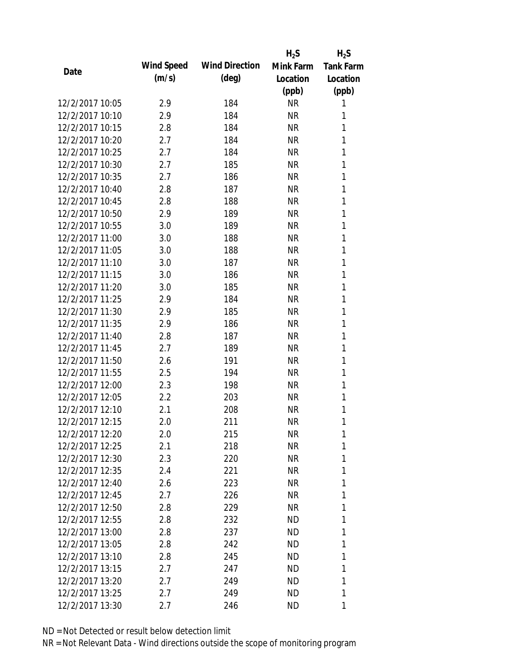|                 |            |                       | $H_2S$    | $H_2S$           |
|-----------------|------------|-----------------------|-----------|------------------|
|                 | Wind Speed | <b>Wind Direction</b> | Mink Farm | <b>Tank Farm</b> |
| Date            | (m/s)      | $(\text{deg})$        | Location  | Location         |
|                 |            |                       | (ppb)     | (ppb)            |
| 12/2/2017 10:05 | 2.9        | 184                   | <b>NR</b> | 1                |
| 12/2/2017 10:10 | 2.9        | 184                   | <b>NR</b> | 1                |
| 12/2/2017 10:15 | 2.8        | 184                   | <b>NR</b> | 1                |
| 12/2/2017 10:20 | 2.7        | 184                   | <b>NR</b> | 1                |
| 12/2/2017 10:25 | 2.7        | 184                   | <b>NR</b> | 1                |
| 12/2/2017 10:30 | 2.7        | 185                   | <b>NR</b> | 1                |
| 12/2/2017 10:35 | 2.7        | 186                   | <b>NR</b> | 1                |
| 12/2/2017 10:40 | 2.8        | 187                   | <b>NR</b> | 1                |
| 12/2/2017 10:45 | 2.8        | 188                   | <b>NR</b> | 1                |
| 12/2/2017 10:50 | 2.9        | 189                   | <b>NR</b> | 1                |
| 12/2/2017 10:55 | 3.0        | 189                   | <b>NR</b> | 1                |
| 12/2/2017 11:00 | 3.0        | 188                   | <b>NR</b> | 1                |
| 12/2/2017 11:05 | 3.0        | 188                   | <b>NR</b> | 1                |
| 12/2/2017 11:10 | 3.0        | 187                   | <b>NR</b> | 1                |
| 12/2/2017 11:15 | 3.0        | 186                   | <b>NR</b> | 1                |
| 12/2/2017 11:20 | 3.0        | 185                   | <b>NR</b> | 1                |
| 12/2/2017 11:25 | 2.9        | 184                   | <b>NR</b> | 1                |
| 12/2/2017 11:30 | 2.9        | 185                   | <b>NR</b> | 1                |
| 12/2/2017 11:35 | 2.9        | 186                   | <b>NR</b> | 1                |
| 12/2/2017 11:40 | 2.8        | 187                   | <b>NR</b> | 1                |
| 12/2/2017 11:45 | 2.7        | 189                   | <b>NR</b> | 1                |
| 12/2/2017 11:50 | 2.6        | 191                   | <b>NR</b> | 1                |
| 12/2/2017 11:55 | 2.5        | 194                   | <b>NR</b> | 1                |
| 12/2/2017 12:00 | 2.3        | 198                   | <b>NR</b> | 1                |
| 12/2/2017 12:05 | 2.2        | 203                   | <b>NR</b> | 1                |
| 12/2/2017 12:10 | 2.1        | 208                   | <b>NR</b> | 1                |
| 12/2/2017 12:15 | 2.0        | 211                   | <b>NR</b> | 1                |
| 12/2/2017 12:20 | 2.0        | 215                   | <b>NR</b> | 1                |
| 12/2/2017 12:25 | 2.1        | 218                   | <b>NR</b> | 1                |
| 12/2/2017 12:30 | 2.3        | 220                   | NR        | 1                |
| 12/2/2017 12:35 | 2.4        | 221                   | NR        | 1                |
| 12/2/2017 12:40 | 2.6        | 223                   | <b>NR</b> | 1                |
| 12/2/2017 12:45 | 2.7        | 226                   | NR        | 1                |
| 12/2/2017 12:50 | 2.8        | 229                   | <b>NR</b> | 1                |
| 12/2/2017 12:55 | 2.8        | 232                   | ND.       | 1                |
| 12/2/2017 13:00 | 2.8        | 237                   | ND        | 1                |
| 12/2/2017 13:05 | 2.8        | 242                   | ND.       | 1                |
| 12/2/2017 13:10 | 2.8        | 245                   | ND.       | 1                |
| 12/2/2017 13:15 | 2.7        | 247                   | <b>ND</b> | 1                |
| 12/2/2017 13:20 | 2.7        | 249                   | ND.       | 1                |
| 12/2/2017 13:25 | 2.7        | 249                   | ND        | 1                |
| 12/2/2017 13:30 | 2.7        | 246                   | ND        | 1                |
|                 |            |                       |           |                  |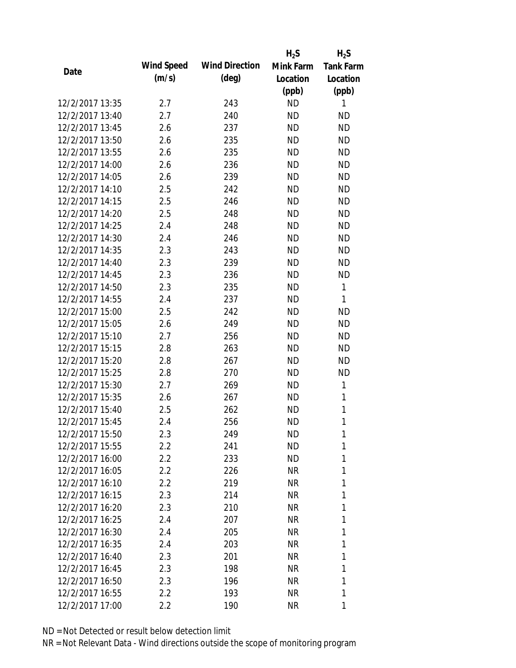|                 |                   |                       | $H_2S$    | $H_2S$           |
|-----------------|-------------------|-----------------------|-----------|------------------|
| Date            | <b>Wind Speed</b> | <b>Wind Direction</b> | Mink Farm | <b>Tank Farm</b> |
|                 | (m/s)             | $(\text{deg})$        | Location  | Location         |
|                 |                   |                       | (ppb)     | (ppb)            |
| 12/2/2017 13:35 | 2.7               | 243                   | <b>ND</b> | 1                |
| 12/2/2017 13:40 | 2.7               | 240                   | <b>ND</b> | <b>ND</b>        |
| 12/2/2017 13:45 | 2.6               | 237                   | <b>ND</b> | <b>ND</b>        |
| 12/2/2017 13:50 | 2.6               | 235                   | <b>ND</b> | <b>ND</b>        |
| 12/2/2017 13:55 | 2.6               | 235                   | <b>ND</b> | <b>ND</b>        |
| 12/2/2017 14:00 | 2.6               | 236                   | <b>ND</b> | <b>ND</b>        |
| 12/2/2017 14:05 | 2.6               | 239                   | <b>ND</b> | <b>ND</b>        |
| 12/2/2017 14:10 | 2.5               | 242                   | <b>ND</b> | <b>ND</b>        |
| 12/2/2017 14:15 | 2.5               | 246                   | <b>ND</b> | <b>ND</b>        |
| 12/2/2017 14:20 | 2.5               | 248                   | <b>ND</b> | <b>ND</b>        |
| 12/2/2017 14:25 | 2.4               | 248                   | <b>ND</b> | <b>ND</b>        |
| 12/2/2017 14:30 | 2.4               | 246                   | <b>ND</b> | <b>ND</b>        |
| 12/2/2017 14:35 | 2.3               | 243                   | <b>ND</b> | <b>ND</b>        |
| 12/2/2017 14:40 | 2.3               | 239                   | <b>ND</b> | <b>ND</b>        |
| 12/2/2017 14:45 | 2.3               | 236                   | <b>ND</b> | <b>ND</b>        |
| 12/2/2017 14:50 | 2.3               | 235                   | <b>ND</b> | 1                |
| 12/2/2017 14:55 | 2.4               | 237                   | <b>ND</b> | 1                |
| 12/2/2017 15:00 | 2.5               | 242                   | <b>ND</b> | <b>ND</b>        |
| 12/2/2017 15:05 | 2.6               | 249                   | <b>ND</b> | <b>ND</b>        |
| 12/2/2017 15:10 | 2.7               | 256                   | <b>ND</b> | <b>ND</b>        |
| 12/2/2017 15:15 | 2.8               | 263                   | <b>ND</b> | <b>ND</b>        |
| 12/2/2017 15:20 | 2.8               | 267                   | <b>ND</b> | <b>ND</b>        |
| 12/2/2017 15:25 | 2.8               | 270                   | <b>ND</b> | <b>ND</b>        |
| 12/2/2017 15:30 | 2.7               | 269                   | <b>ND</b> | 1                |
| 12/2/2017 15:35 | 2.6               | 267                   | <b>ND</b> | 1                |
| 12/2/2017 15:40 | 2.5               | 262                   | <b>ND</b> | $\mathbf{1}$     |
| 12/2/2017 15:45 | 2.4               | 256                   | <b>ND</b> | 1                |
| 12/2/2017 15:50 | 2.3               | 249                   | ΝD        | 1                |
| 12/2/2017 15:55 | 2.2               | 241                   | <b>ND</b> | 1                |
| 12/2/2017 16:00 | 2.2               | 233                   | ND        | 1                |
| 12/2/2017 16:05 | 2.2               | 226                   | NR        | 1                |
| 12/2/2017 16:10 | 2.2               | 219                   | NR        | 1                |
| 12/2/2017 16:15 | 2.3               | 214                   | NR        | 1                |
| 12/2/2017 16:20 | 2.3               | 210                   | NR        | 1                |
| 12/2/2017 16:25 | 2.4               | 207                   | NR        | 1                |
| 12/2/2017 16:30 | 2.4               | 205                   | NR        | 1                |
| 12/2/2017 16:35 | 2.4               | 203                   | NR        | 1                |
| 12/2/2017 16:40 | 2.3               | 201                   | NR        | 1                |
| 12/2/2017 16:45 | 2.3               | 198                   | NR        | 1                |
| 12/2/2017 16:50 | 2.3               | 196                   | NR        | 1                |
| 12/2/2017 16:55 | 2.2               | 193                   | <b>NR</b> | 1                |
| 12/2/2017 17:00 | 2.2               | 190                   | <b>NR</b> | 1                |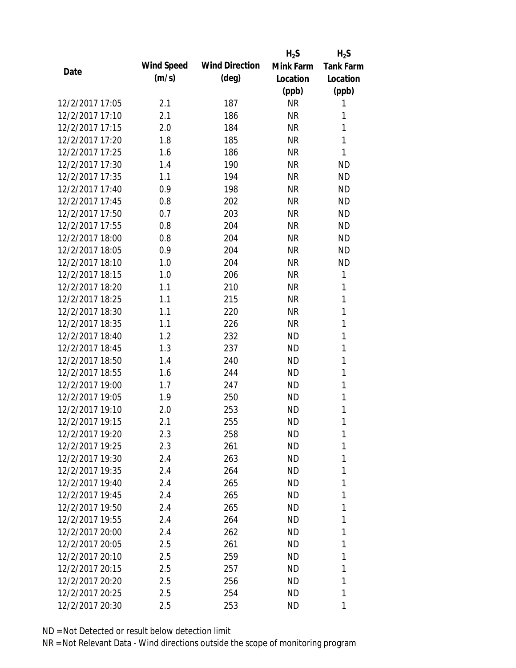|                 |            |                       | $H_2S$    | $H_2S$           |
|-----------------|------------|-----------------------|-----------|------------------|
| Date            | Wind Speed | <b>Wind Direction</b> | Mink Farm | <b>Tank Farm</b> |
|                 | (m/s)      | $(\text{deg})$        | Location  | Location         |
|                 |            |                       | (ppb)     | (ppb)            |
| 12/2/2017 17:05 | 2.1        | 187                   | <b>NR</b> | 1                |
| 12/2/2017 17:10 | 2.1        | 186                   | <b>NR</b> | 1                |
| 12/2/2017 17:15 | 2.0        | 184                   | <b>NR</b> | 1                |
| 12/2/2017 17:20 | 1.8        | 185                   | <b>NR</b> | 1                |
| 12/2/2017 17:25 | 1.6        | 186                   | <b>NR</b> | 1                |
| 12/2/2017 17:30 | 1.4        | 190                   | <b>NR</b> | <b>ND</b>        |
| 12/2/2017 17:35 | 1.1        | 194                   | <b>NR</b> | <b>ND</b>        |
| 12/2/2017 17:40 | 0.9        | 198                   | <b>NR</b> | <b>ND</b>        |
| 12/2/2017 17:45 | 0.8        | 202                   | <b>NR</b> | <b>ND</b>        |
| 12/2/2017 17:50 | 0.7        | 203                   | <b>NR</b> | <b>ND</b>        |
| 12/2/2017 17:55 | 0.8        | 204                   | <b>NR</b> | <b>ND</b>        |
| 12/2/2017 18:00 | 0.8        | 204                   | <b>NR</b> | <b>ND</b>        |
| 12/2/2017 18:05 | 0.9        | 204                   | <b>NR</b> | <b>ND</b>        |
| 12/2/2017 18:10 | 1.0        | 204                   | <b>NR</b> | <b>ND</b>        |
| 12/2/2017 18:15 | 1.0        | 206                   | <b>NR</b> | 1                |
| 12/2/2017 18:20 | 1.1        | 210                   | <b>NR</b> | 1                |
| 12/2/2017 18:25 | 1.1        | 215                   | <b>NR</b> | 1                |
| 12/2/2017 18:30 | 1.1        | 220                   | <b>NR</b> | 1                |
| 12/2/2017 18:35 | 1.1        | 226                   | <b>NR</b> | 1                |
| 12/2/2017 18:40 | 1.2        | 232                   | <b>ND</b> | 1                |
| 12/2/2017 18:45 | 1.3        | 237                   | <b>ND</b> | 1                |
| 12/2/2017 18:50 | 1.4        | 240                   | <b>ND</b> | 1                |
| 12/2/2017 18:55 | 1.6        | 244                   | <b>ND</b> | 1                |
| 12/2/2017 19:00 | 1.7        | 247                   | <b>ND</b> | 1                |
| 12/2/2017 19:05 | 1.9        | 250                   | <b>ND</b> | 1                |
| 12/2/2017 19:10 | 2.0        | 253                   | <b>ND</b> | 1                |
| 12/2/2017 19:15 | 2.1        | 255                   | <b>ND</b> | 1                |
| 12/2/2017 19:20 | 2.3        | 258                   | ΝD        | 1                |
| 12/2/2017 19:25 | 2.3        | 261                   | <b>ND</b> | 1                |
| 12/2/2017 19:30 | 2.4        | 263                   | ND        | 1                |
| 12/2/2017 19:35 | 2.4        | 264                   | ΝD        | 1                |
| 12/2/2017 19:40 | 2.4        | 265                   | <b>ND</b> | 1                |
| 12/2/2017 19:45 | 2.4        | 265                   | ND        | 1                |
| 12/2/2017 19:50 | 2.4        | 265                   | <b>ND</b> | 1                |
| 12/2/2017 19:55 | 2.4        | 264                   | ND        | 1                |
| 12/2/2017 20:00 | 2.4        | 262                   | <b>ND</b> | 1                |
| 12/2/2017 20:05 | 2.5        | 261                   | ND        | 1                |
| 12/2/2017 20:10 | 2.5        | 259                   | ΝD        | 1                |
| 12/2/2017 20:15 | 2.5        | 257                   | <b>ND</b> | 1                |
| 12/2/2017 20:20 | 2.5        | 256                   | <b>ND</b> | 1                |
| 12/2/2017 20:25 | 2.5        | 254                   | ΝD        | 1                |
| 12/2/2017 20:30 | 2.5        | 253                   | ΝD        | 1                |